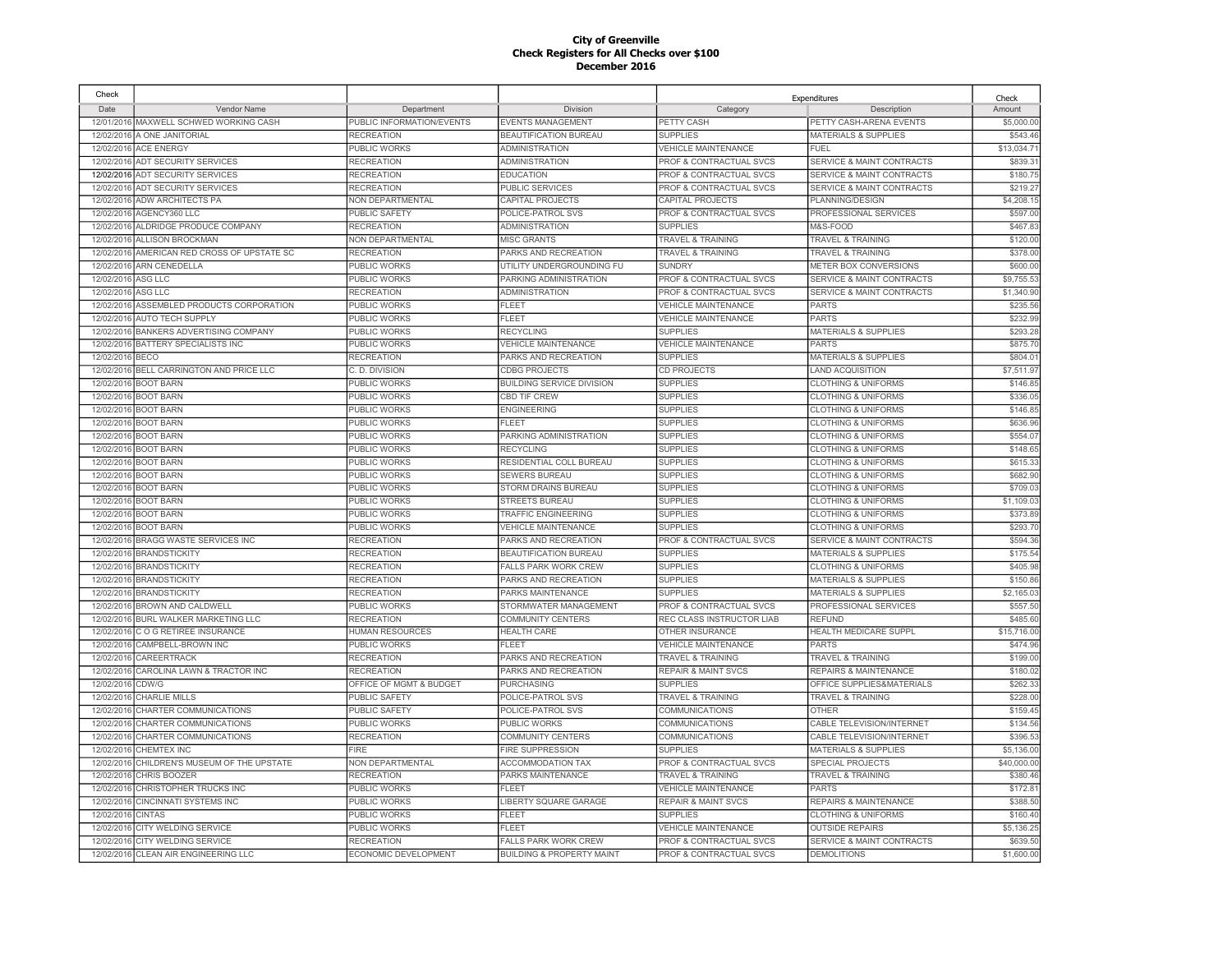| Check              |                                             |                           |                                      |                                    | Expenditures                         | Check       |
|--------------------|---------------------------------------------|---------------------------|--------------------------------------|------------------------------------|--------------------------------------|-------------|
| Date               | <b>Vendor Name</b>                          | Department                | Division                             | Category                           | Description                          | Amount      |
|                    | 12/01/2016 MAXWELL SCHWED WORKING CASH      | PUBLIC INFORMATION/EVENTS | <b>EVENTS MANAGEMENT</b>             | PETTY CASH                         | PETTY CASH-ARENA EVENTS              | \$5,000.00  |
|                    | 12/02/2016 A ONE JANITORIAL                 | <b>RECREATION</b>         | <b>BEAUTIFICATION BUREAU</b>         | <b>SUPPLIES</b>                    | <b>MATERIALS &amp; SUPPLIES</b>      | \$543.46    |
|                    | 12/02/2016 ACE ENERGY                       | PUBLIC WORKS              | <b>ADMINISTRATION</b>                | <b>VEHICLE MAINTENANCE</b>         | <b>FUEL</b>                          | \$13,034.7  |
|                    | 12/02/2016 ADT SECURITY SERVICES            | <b>RECREATION</b>         | <b>ADMINISTRATION</b>                | PROF & CONTRACTUAL SVCS            | SERVICE & MAINT CONTRACTS            | \$839.3     |
|                    | 12/02/2016 ADT SECURITY SERVICES            | <b>RECREATION</b>         | <b>EDUCATION</b>                     | <b>PROF &amp; CONTRACTUAL SVCS</b> | <b>SERVICE &amp; MAINT CONTRACTS</b> | \$180.75    |
|                    | 12/02/2016 ADT SECURITY SERVICES            | <b>RECREATION</b>         | <b>PUBLIC SERVICES</b>               | PROF & CONTRACTUAL SVCS            | <b>SERVICE &amp; MAINT CONTRACTS</b> | \$219.27    |
| 12/02/2016         | <b>ADW ARCHITECTS PA</b>                    | NON DEPARTMENTAL          | CAPITAL PROJECTS                     | CAPITAL PROJECTS                   | PLANNING/DESIGN                      | \$4,208.1   |
|                    | 12/02/2016 AGENCY360 LLC                    | PUBLIC SAFETY             | POLICE-PATROL SVS                    | PROF & CONTRACTUAL SVCS            | PROFESSIONAL SERVICES                | \$597.00    |
|                    | 12/02/2016 ALDRIDGE PRODUCE COMPANY         | <b>RECREATION</b>         | <b>ADMINISTRATION</b>                | <b>SUPPLIES</b>                    | M&S-FOOD                             | \$467.83    |
|                    | 12/02/2016 ALLISON BROCKMAN                 | NON DEPARTMENTAL          | <b>MISC GRANTS</b>                   | <b>TRAVEL &amp; TRAINING</b>       | <b>TRAVEL &amp; TRAINING</b>         | \$120.00    |
|                    | 12/02/2016 AMERICAN RED CROSS OF UPSTATE SC | <b>RECREATION</b>         | PARKS AND RECREATION                 | <b>TRAVEL &amp; TRAINING</b>       | <b>TRAVEL &amp; TRAINING</b>         | \$378.00    |
|                    | 12/02/2016 ARN CENEDELLA                    | PUBLIC WORKS              | UTILITY UNDERGROUNDING FU            | <b>SUNDRY</b>                      | METER BOX CONVERSIONS                | \$600.00    |
| 12/02/2016 ASG LLC |                                             | PUBLIC WORKS              | PARKING ADMINISTRATION               | PROF & CONTRACTUAL SVCS            | <b>SERVICE &amp; MAINT CONTRACTS</b> | \$9,755.5   |
| 12/02/2016         | ASG LLC                                     | <b>RECREATION</b>         | <b>ADMINISTRATION</b>                | <b>PROF &amp; CONTRACTUAL SVCS</b> | <b>SERVICE &amp; MAINT CONTRACTS</b> | \$1,340.90  |
| 12/02/2016         | ASSEMBLED PRODUCTS CORPORATION              | <b>PUBLIC WORKS</b>       | <b>FLEET</b>                         | VEHICLE MAINTENANCE                | <b>PARTS</b>                         | \$235.56    |
| 12/02/2016         | <b>AUTO TECH SUPPLY</b>                     | PUBLIC WORKS              | <b>FLEET</b>                         | <b>VEHICLE MAINTENANCE</b>         | <b>PARTS</b>                         | \$232.99    |
| 12/02/2016         | <b>BANKERS ADVERTISING COMPANY</b>          | PUBLIC WORKS              | <b>RECYCLING</b>                     | <b>SUPPLIES</b>                    | <b>MATERIALS &amp; SUPPLIES</b>      | \$293.2     |
| 12/02/2016         | BATTERY SPECIALISTS INC                     | PUBLIC WORKS              | <b>VEHICLE MAINTENANCE</b>           | VEHICLE MAINTENANCE                | PARTS                                | \$875.70    |
| 12/02/2016         | BECO                                        | <b>RECREATION</b>         | PARKS AND RECREATION                 | <b>SUPPLIES</b>                    | <b>MATERIALS &amp; SUPPLIES</b>      | \$804.0     |
| 12/02/2016         | BELL CARRINGTON AND PRICE LLC               | C. D. DIVISION            | <b>CDBG PROJECTS</b>                 | CD PROJECTS                        | <b>LAND ACQUISITION</b>              | \$7,511.97  |
| 12/02/2016         | <b>BOOT BARN</b>                            | PUBLIC WORKS              | <b>BUILDING SERVICE DIVISION</b>     | <b>SUPPLIES</b>                    | <b>CLOTHING &amp; UNIFORMS</b>       | \$146.8     |
| 12/02/2016         | <b>BOOT BARN</b>                            | <b>PUBLIC WORKS</b>       | CBD TIF CREW                         | <b>SUPPLIES</b>                    | <b>CLOTHING &amp; UNIFORMS</b>       | \$336.05    |
|                    | 12/02/2016 BOOT BARN                        | PUBLIC WORKS              | <b>ENGINEERING</b>                   | <b>SUPPLIES</b>                    | <b>CLOTHING &amp; UNIFORMS</b>       | \$146.85    |
|                    | 12/02/2016 BOOT BARN                        | PUBLIC WORKS              | <b>FLEET</b>                         | <b>SUPPLIES</b>                    | <b>CLOTHING &amp; UNIFORMS</b>       | \$636.96    |
|                    | 12/02/2016 BOOT BARN                        | PUBLIC WORKS              | PARKING ADMINISTRATION               | <b>SUPPLIES</b>                    | <b>CLOTHING &amp; UNIFORMS</b>       | \$554.07    |
| 12/02/2016         | <b>BOOT BARN</b>                            | PUBLIC WORKS              | <b>RECYCLING</b>                     | <b>SUPPLIES</b>                    | <b>CLOTHING &amp; UNIFORMS</b>       | \$148.65    |
| 12/02/2016         | <b>BOOT BARN</b>                            | PUBLIC WORKS              | RESIDENTIAL COLL BUREAU              | <b>SUPPLIES</b>                    | <b>CLOTHING &amp; UNIFORMS</b>       | \$615.33    |
|                    | 12/02/2016 BOOT BARN                        | PUBLIC WORKS              | <b>SEWERS BUREAU</b>                 | <b>SUPPLIES</b>                    | <b>CLOTHING &amp; UNIFORMS</b>       | \$682.90    |
| 12/02/2016         | <b>BOOT BARN</b>                            | <b>PUBLIC WORKS</b>       | STORM DRAINS BUREAU                  | <b>SUPPLIES</b>                    | <b>CLOTHING &amp; UNIFORMS</b>       | \$709.03    |
|                    | 12/02/2016 BOOT BARN                        | PUBLIC WORKS              | <b>STREETS BUREAU</b>                | <b>SUPPLIES</b>                    | <b>CLOTHING &amp; UNIFORMS</b>       | \$1,109.03  |
| 12/02/2016         | <b>BOOT BARN</b>                            | PUBLIC WORKS              | <b>TRAFFIC ENGINEERING</b>           | <b>SUPPLIES</b>                    | <b>CLOTHING &amp; UNIFORMS</b>       | \$373.89    |
| 12/02/2016         | <b>BOOT BARN</b>                            | PUBLIC WORKS              | <b>VEHICLE MAINTENANCE</b>           | <b>SUPPLIES</b>                    | <b>CLOTHING &amp; UNIFORMS</b>       | \$293.70    |
| 12/02/2016         | BRAGG WASTE SERVICES INC                    | <b>RECREATION</b>         | PARKS AND RECREATION                 | PROF & CONTRACTUAL SVCS            | SERVICE & MAINT CONTRACTS            | \$594.36    |
| 12/02/2016         | <b>BRANDSTICKITY</b>                        | <b>RECREATION</b>         | <b>BEAUTIFICATION BUREAU</b>         | <b>SUPPLIES</b>                    | <b>MATERIALS &amp; SUPPLIES</b>      | \$175.54    |
| 12/02/2016         | <b>BRANDSTICKITY</b>                        | <b>RECREATION</b>         | <b>FALLS PARK WORK CREW</b>          | <b>SUPPLIES</b>                    | <b>CLOTHING &amp; UNIFORMS</b>       | \$405.98    |
|                    | 12/02/2016 BRANDSTICKITY                    | <b>RECREATION</b>         | PARKS AND RECREATION                 | <b>SUPPLIES</b>                    | <b>MATERIALS &amp; SUPPLIES</b>      | \$150.86    |
|                    | 12/02/2016 BRANDSTICKITY                    | <b>RECREATION</b>         | PARKS MAINTENANCE                    | <b>SUPPLIES</b>                    | <b>MATERIALS &amp; SUPPLIES</b>      | \$2,165.03  |
|                    | 12/02/2016 BROWN AND CALDWELL               | PUBLIC WORKS              | STORMWATER MANAGEMENT                | PROF & CONTRACTUAL SVCS            | PROFESSIONAL SERVICES                | \$557.50    |
|                    | 12/02/2016 BURL WALKER MARKETING LLC        | <b>RECREATION</b>         | <b>COMMUNITY CENTERS</b>             | REC CLASS INSTRUCTOR LIAB          | <b>REFUND</b>                        | \$485.60    |
|                    | 12/02/2016 C O G RETIREE INSURANCE          | <b>HUMAN RESOURCES</b>    | <b>HEALTH CARE</b>                   | OTHER INSURANCE                    | HEALTH MEDICARE SUPPL                | \$15,716.00 |
|                    | 12/02/2016 CAMPBELL-BROWN INC               | PUBLIC WORKS              | FL FET                               | VEHICLE MAINTENANCE                | <b>PARTS</b>                         | \$474.96    |
| 12/02/2016         | CAREERTRACK                                 | <b>RECREATION</b>         | PARKS AND RECREATION                 | <b>TRAVEL &amp; TRAINING</b>       | <b>TRAVEL &amp; TRAINING</b>         | \$199.00    |
|                    | 12/02/2016 CAROLINA LAWN & TRACTOR INC      | <b>RECREATION</b>         | PARKS AND RECREATION                 | <b>REPAIR &amp; MAINT SVCS</b>     | REPAIRS & MAINTENANCE                | \$180.02    |
| 12/02/2016         | CDW/G                                       | OFFICE OF MGMT & BUDGET   | <b>PURCHASING</b>                    | <b>SUPPLIES</b>                    | OFFICE SUPPLIES&MATERIALS            | \$262.33    |
| 12/02/2016         | <b>CHARLIE MILLS</b>                        | <b>PUBLIC SAFETY</b>      | POLICE-PATROL SVS                    | <b>TRAVEL &amp; TRAINING</b>       | <b>TRAVEL &amp; TRAINING</b>         | \$228.00    |
| 12/02/2016         | CHARTER COMMUNICATIONS                      | <b>PUBLIC SAFETY</b>      | POLICE-PATROL SVS                    | <b>COMMUNICATIONS</b>              | <b>OTHER</b>                         | \$159.45    |
| 12/02/2016         | CHARTER COMMUNICATIONS                      | PUBLIC WORKS              | PUBLIC WORKS                         | COMMUNICATIONS                     | CABLE TELEVISION/INTERNET            | \$134.56    |
| 12/02/2016         | CHARTER COMMUNICATIONS                      | <b>RECREATION</b>         | <b>COMMUNITY CENTERS</b>             | COMMUNICATIONS                     | CABLE TELEVISION/INTERNET            | \$396.5     |
| 12/02/2016         | CHEMTEX INC                                 | FIRE                      | <b>FIRE SUPPRESSION</b>              | <b>SUPPLIES</b>                    | <b>MATERIALS &amp; SUPPLIES</b>      | \$5,136.00  |
| 12/02/201          | CHILDREN'S MUSEUM OF THE UPSTATE            | NON DEPARTMENTAL          | <b>ACCOMMODATION TAX</b>             | PROF & CONTRACTUAL SVCS            | <b>SPECIAL PROJECTS</b>              | \$40,000.00 |
| 12/02/2016         | <b>CHRIS BOOZER</b>                         | <b>RECREATION</b>         | PARKS MAINTENANCE                    | <b>TRAVEL &amp; TRAINING</b>       | <b>TRAVEL &amp; TRAINING</b>         | \$380.46    |
| 12/02/2016         | CHRISTOPHER TRUCKS INC                      | PUBLIC WORKS              | <b>FLEET</b>                         | <b>VEHICLE MAINTENANCE</b>         | <b>PARTS</b>                         | \$172.8     |
| 12/02/2016         | <b>CINCINNATI SYSTEMS INC</b>               | PUBLIC WORKS              | <b>LIBERTY SQUARE GARAGE</b>         | <b>REPAIR &amp; MAINT SVCS</b>     | <b>REPAIRS &amp; MAINTENANCE</b>     | \$388.50    |
| 12/02/2016         | <b>CINTAS</b>                               | PUBLIC WORKS              | <b>FLEET</b>                         | <b>SUPPLIES</b>                    | <b>CLOTHING &amp; UNIFORMS</b>       | \$160.40    |
| 12/02/2016         | CITY WELDING SERVICE                        | PUBLIC WORKS              | FL FET                               | <b>VEHICLE MAINTENANCE</b>         | <b>OUTSIDE REPAIRS</b>               | \$5,136.25  |
| 12/02/2016         | CITY WELDING SERVICE                        | <b>RECREATION</b>         | <b>FALLS PARK WORK CREW</b>          | PROF & CONTRACTUAL SVCS            | <b>SERVICE &amp; MAINT CONTRACTS</b> | \$639.50    |
|                    | 12/02/2016 CLEAN AIR ENGINEERING LLC        | ECONOMIC DEVELOPMENT      | <b>BUILDING &amp; PROPERTY MAINT</b> | <b>PROF &amp; CONTRACTUAL SVCS</b> | <b>DEMOLITIONS</b>                   | \$1,600.00  |
|                    |                                             |                           |                                      |                                    |                                      |             |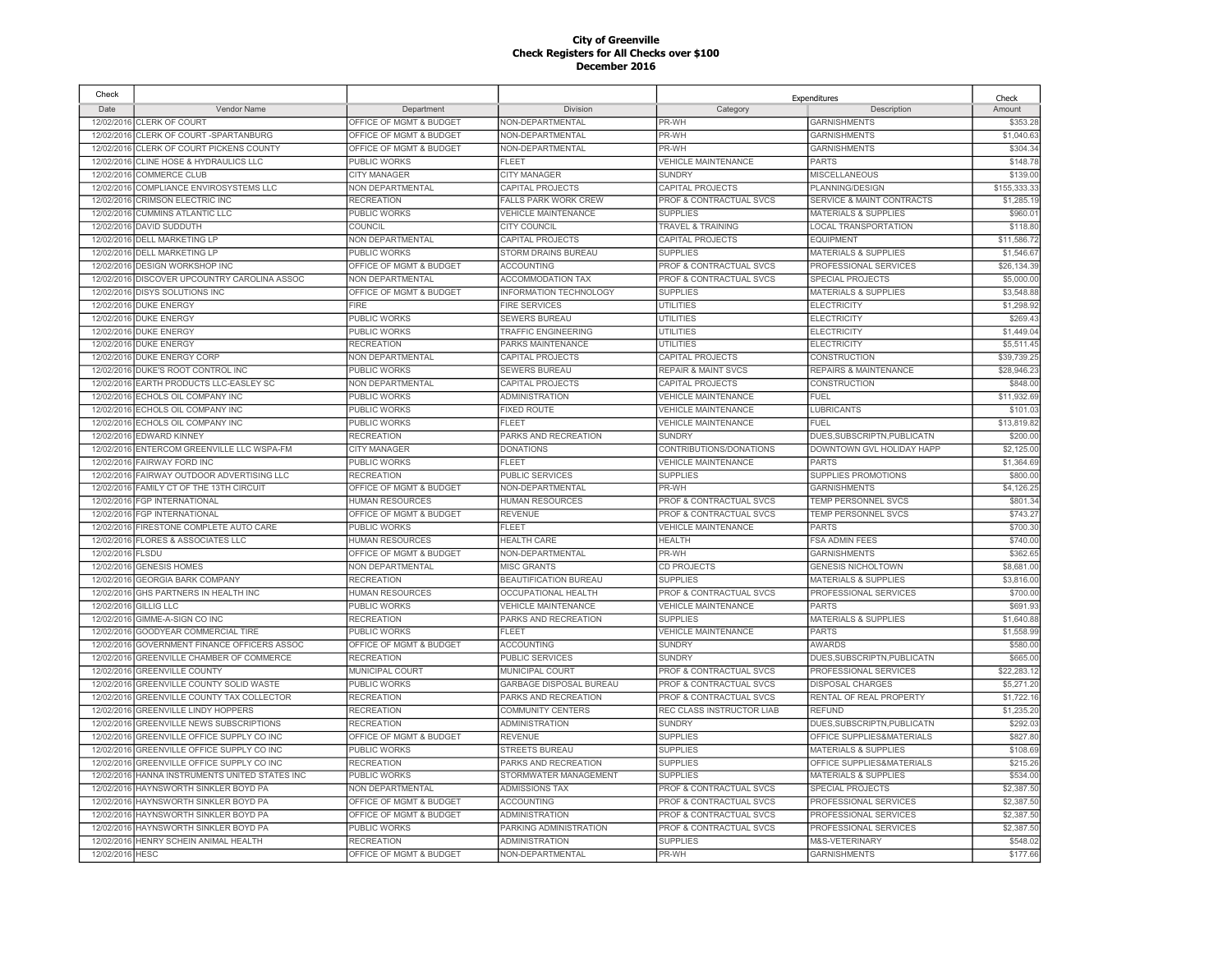| Check                    |                                                |                         |                             |                                    | Expenditures                     | Check       |
|--------------------------|------------------------------------------------|-------------------------|-----------------------------|------------------------------------|----------------------------------|-------------|
| Date                     | Vendor Name                                    | Department              | Division                    | Category                           | Description                      | Amount      |
|                          | 12/02/2016 CLERK OF COURT                      | OFFICE OF MGMT & BUDGET | NON-DEPARTMENTAL            | PR-WH                              | <b>GARNISHMENTS</b>              | \$353.28    |
|                          | 12/02/2016 CLERK OF COURT-SPARTANBURG          | OFFICE OF MGMT & BUDGET | NON-DEPARTMENTAL            | PR-WH                              | <b>GARNISHMENTS</b>              | \$1,040.63  |
|                          | 12/02/2016 CLERK OF COURT PICKENS COUNTY       | OFFICE OF MGMT & BUDGET | NON-DEPARTMENTAL            | PR-WH                              | <b>GARNISHMENTS</b>              | \$304.34    |
|                          | 12/02/2016 CLINE HOSE & HYDRAULICS LLC         | PUBLIC WORKS            | <b>FLEET</b>                | <b>VEHICLE MAINTENANCE</b>         | <b>PARTS</b>                     | \$148.78    |
|                          | 12/02/2016 COMMERCE CLUB                       | <b>CITY MANAGER</b>     | <b>CITY MANAGER</b>         | <b>SUNDRY</b>                      | <b>MISCELLANEOUS</b>             | \$139.00    |
|                          | 12/02/2016 COMPLIANCE ENVIROSYSTEMS LLC        | <b>NON DEPARTMENTAL</b> | CAPITAL PROJECTS            | CAPITAL PROJECTS                   | PLANNING/DESIGN                  | \$155,333.3 |
| 12/02/2016               | CRIMSON ELECTRIC INC                           | <b>RECREATION</b>       | <b>FALLS PARK WORK CREW</b> | PROF & CONTRACTUAL SVCS            | SERVICE & MAINT CONTRACTS        | \$1,285.1   |
|                          | 12/02/2016 CUMMINS ATLANTIC LLC                | PUBLIC WORKS            | <b>VEHICLE MAINTENANCE</b>  | <b>SUPPLIES</b>                    | <b>MATERIALS &amp; SUPPLIES</b>  | \$960.0     |
|                          | 12/02/2016 DAVID SUDDUTH                       | COUNCIL                 | <b>CITY COUNCIL</b>         | <b>TRAVEL &amp; TRAINING</b>       | <b>LOCAL TRANSPORTATION</b>      | \$118.80    |
|                          | 12/02/2016 DELL MARKETING LP                   | NON DEPARTMENTAL        | CAPITAL PROJECTS            | CAPITAL PROJECTS                   | <b>EQUIPMENT</b>                 | \$11,586.7  |
| 12/02/2016               | <b>DELL MARKETING LP</b>                       | PUBLIC WORKS            | STORM DRAINS BUREAU         | <b>SUPPLIES</b>                    | <b>MATERIALS &amp; SUPPLIES</b>  | \$1,546.67  |
| 12/02/2016               | <b>DESIGN WORKSHOP INC</b>                     | OFFICE OF MGMT & BUDGET | <b>ACCOUNTING</b>           | PROF & CONTRACTUAL SVCS            | PROFESSIONAL SERVICES            | \$26,134.39 |
| 12/02/2016               | DISCOVER UPCOUNTRY CAROLINA ASSOC              | NON DEPARTMENTAL        | <b>ACCOMMODATION TAX</b>    | PROF & CONTRACTUAL SVCS            | SPECIAL PROJECTS                 | \$5,000.0   |
| 12/02/2016               | <b>DISYS SOLUTIONS INC</b>                     | OFFICE OF MGMT & BUDGET | INFORMATION TECHNOLOGY      | <b>SUPPLIES</b>                    | <b>MATERIALS &amp; SUPPLIES</b>  | \$3,548.88  |
| 12/02/2016               | <b>DUKE ENERGY</b>                             | <b>FIRE</b>             | <b>FIRE SERVICES</b>        | <b>UTILITIES</b>                   | <b>ELECTRICITY</b>               | \$1,298.92  |
|                          | 12/02/2016 DUKE ENERGY                         | PUBLIC WORKS            | <b>SEWERS BUREAU</b>        | UTILITIES                          | <b>ELECTRICITY</b>               | \$269.43    |
| 12/02/2016               | <b>DUKE ENERGY</b>                             | PUBLIC WORKS            | TRAFFIC ENGINEERING         | UTILITIES                          | <b>ELECTRICITY</b>               | \$1,449.0   |
| 12/02/2016               | <b>DUKE ENERGY</b>                             | RECREATION              | PARKS MAINTENANCE           | <b>UTILITIES</b>                   | <b>ELECTRICITY</b>               | \$5.511.45  |
|                          | 12/02/2016 DUKE ENERGY CORP                    | <b>NON DEPARTMENTAL</b> | <b>CAPITAL PROJECTS</b>     | CAPITAL PROJECTS                   | <b>CONSTRUCTION</b>              | \$39,739.25 |
| 12/02/2016               | DUKE'S ROOT CONTROL INC                        | PUBLIC WORKS            | <b>SEWERS BUREAU</b>        | <b>REPAIR &amp; MAINT SVCS</b>     | <b>REPAIRS &amp; MAINTENANCE</b> | \$28,946.23 |
| 12/02/2016               | EARTH PRODUCTS LLC-EASLEY SC                   | <b>NON DEPARTMENTAL</b> | CAPITAL PROJECTS            | CAPITAL PROJECTS                   | <b>CONSTRUCTION</b>              | \$848.00    |
| 12/02/2016               | ECHOLS OIL COMPANY INC                         | PUBLIC WORKS            | <b>ADMINISTRATION</b>       | <b>VEHICLE MAINTENANCE</b>         | <b>FUEL</b>                      | \$11,932.69 |
| 12/02/2016               | ECHOLS OIL COMPANY INC                         | <b>PUBLIC WORKS</b>     | <b>FIXED ROUTE</b>          | <b>VEHICLE MAINTENANCE</b>         | <b>LUBRICANTS</b>                | \$101.03    |
|                          | 12/02/2016 ECHOLS OIL COMPANY INC              | PUBLIC WORKS            | FLEET                       | <b>VEHICLE MAINTENANCE</b>         | <b>FUEL</b>                      | \$13,819.82 |
| 12/02/2016               | <b>EDWARD KINNEY</b>                           | <b>RECREATION</b>       | PARKS AND RECREATION        | <b>SUNDRY</b>                      | DUES.SUBSCRIPTN.PUBLICATN        | \$200.00    |
| 12/02/2016               | ENTERCOM GREENVILLE LLC WSPA-FM                | <b>CITY MANAGER</b>     | <b>DONATIONS</b>            | CONTRIBUTIONS/DONATIONS            | DOWNTOWN GVL HOLIDAY HAPP        | \$2,125.00  |
| 12/02/2016               | <b>FAIRWAY FORD INC</b>                        | <b>PUBLIC WORKS</b>     | FLEET                       | <b>VEHICLE MAINTENANCE</b>         | <b>PARTS</b>                     | \$1,364.69  |
|                          | FAIRWAY OUTDOOR ADVERTISING LLC                | <b>RECREATION</b>       | <b>PUBLIC SERVICES</b>      | <b>SUPPLIES</b>                    | SUPPLIES PROMOTIONS              | \$800.00    |
| 12/02/2016<br>12/02/2016 | FAMILY CT OF THE 13TH CIRCUIT                  | OFFICE OF MGMT & BUDGET | NON-DEPARTMENTAL            | PR-WH                              | <b>GARNISHMENTS</b>              |             |
|                          |                                                |                         |                             |                                    |                                  | \$4,126.25  |
| 12/02/2016               | <b>FGP INTERNATIONAL</b>                       | <b>HUMAN RESOURCES</b>  | <b>HUMAN RESOURCES</b>      | <b>PROF &amp; CONTRACTUAL SVCS</b> | TEMP PERSONNEL SVCS              | \$801.34    |
| 12/02/2016               | <b>FGP INTERNATIONAL</b>                       | OFFICE OF MGMT & BUDGET | <b>REVENUE</b>              | PROF & CONTRACTUAL SVCS            | <b>TEMP PERSONNEL SVCS</b>       | \$743.2     |
| 12/02/2016               | FIRESTONE COMPLETE AUTO CARE                   | PUBLIC WORKS            | FLEET                       | <b>VEHICLE MAINTENANCE</b>         | <b>PARTS</b>                     | \$700.30    |
| 12/02/2016               | FLORES & ASSOCIATES LLC                        | HUMAN RESOURCES         | <b>HEALTH CARE</b>          | <b>HEALTH</b>                      | <b>FSA ADMIN FEES</b>            | \$740.00    |
| 12/02/2016               | <b>FLSDU</b>                                   | OFFICE OF MGMT & BUDGET | NON-DEPARTMENTAL            | PR-WH                              | <b>GARNISHMENTS</b>              | \$362.65    |
| 12/02/2016               | <b>GENESIS HOMES</b>                           | NON DEPARTMENTAL        | <b>MISC GRANTS</b>          | <b>CD PROJECTS</b>                 | <b>GENESIS NICHOLTOWN</b>        | \$8,681.00  |
| 12/02/2016               | <b>GEORGIA BARK COMPANY</b>                    | <b>RECREATION</b>       | BEAUTIFICATION BUREAU       | <b>SUPPLIES</b>                    | <b>MATERIALS &amp; SUPPLIES</b>  | \$3,816.00  |
| 12/02/2016               | GHS PARTNERS IN HEALTH INC                     | HUMAN RESOURCES         | OCCUPATIONAL HEALTH         | PROF & CONTRACTUAL SVCS            | PROFESSIONAL SERVICES            | \$700.00    |
| 12/02/2016               | <b>GILLIG LLC</b>                              | PUBLIC WORKS            | <b>VEHICLE MAINTENANCE</b>  | VEHICLE MAINTENANCE                | <b>PARTS</b>                     | \$691.93    |
| 12/02/2016               | GIMME-A-SIGN CO INC                            | <b>RECREATION</b>       | PARKS AND RECREATION        | <b>SUPPLIES</b>                    | <b>MATERIALS &amp; SUPPLIES</b>  | \$1,640.88  |
| 12/02/2016               | GOODYEAR COMMERCIAL TIRE                       | PUBLIC WORKS            | <b>FLEET</b>                | <b>VEHICLE MAINTENANCE</b>         | <b>PARTS</b>                     | \$1,558.99  |
|                          | 12/02/2016 GOVERNMENT FINANCE OFFICERS ASSOC   | OFFICE OF MGMT & BUDGET | <b>ACCOUNTING</b>           | <b>SUNDRY</b>                      | <b>AWARDS</b>                    | \$580.00    |
| 12/02/2016               | GREENVILLE CHAMBER OF COMMERCE                 | <b>RECREATION</b>       | PUBLIC SERVICES             | <b>SUNDRY</b>                      | DUES, SUBSCRIPTN, PUBLICATN      | \$665.00    |
|                          | 12/02/2016 GREENVILLE COUNTY                   | MUNICIPAL COURT         | MUNICIPAL COURT             | PROF & CONTRACTUAL SVCS            | PROFESSIONAL SERVICES            | \$22,283.12 |
|                          | 12/02/2016 GREENVILLE COUNTY SOLID WASTE       | PUBLIC WORKS            | GARBAGE DISPOSAL BUREAU     | <b>PROF &amp; CONTRACTUAL SVCS</b> | <b>DISPOSAL CHARGES</b>          | \$5,271.20  |
|                          | 12/02/2016 GREENVILLE COUNTY TAX COLLECTOR     | <b>RECREATION</b>       | PARKS AND RECREATION        | PROF & CONTRACTUAL SVCS            | RENTAL OF REAL PROPERTY          | \$1,722.16  |
| 12/02/2016               | <b>GREENVILLE LINDY HOPPERS</b>                | <b>RECREATION</b>       | <b>COMMUNITY CENTERS</b>    | REC CLASS INSTRUCTOR LIAB          | <b>REFUND</b>                    | \$1,235.20  |
|                          | 12/02/2016 GREENVILLE NEWS SUBSCRIPTIONS       | <b>RECREATION</b>       | <b>ADMINISTRATION</b>       | <b>SUNDRY</b>                      | DUES, SUBSCRIPTN, PUBLICATN      | \$292.03    |
|                          | 12/02/2016 GREENVILLE OFFICE SUPPLY CO INC     | OFFICE OF MGMT & BUDGET | <b>REVENUE</b>              | <b>SUPPLIES</b>                    | OFFICE SUPPLIES&MATERIALS        | \$827.80    |
|                          | 12/02/2016 GREENVILLE OFFICE SUPPLY CO INC     | PUBLIC WORKS            | <b>STREETS BUREAU</b>       | <b>SUPPLIES</b>                    | <b>MATERIALS &amp; SUPPLIES</b>  | \$108.6     |
| 12/02/2016               | GREENVILLE OFFICE SUPPLY CO INC                | <b>RECREATION</b>       | PARKS AND RECREATION        | <b>SUPPLIES</b>                    | OFFICE SUPPLIES&MATERIALS        | \$215.26    |
|                          | 12/02/2016 HANNA INSTRUMENTS UNITED STATES INC | <b>PUBLIC WORKS</b>     | STORMWATER MANAGEMENT       | <b>SUPPLIES</b>                    | <b>MATERIALS &amp; SUPPLIES</b>  | \$534.00    |
|                          | 12/02/2016 HAYNSWORTH SINKLER BOYD PA          | NON DEPARTMENTAL        | <b>ADMISSIONS TAX</b>       | PROF & CONTRACTUAL SVCS            | SPECIAL PROJECTS                 | \$2,387.50  |
|                          | 12/02/2016 HAYNSWORTH SINKLER BOYD PA          | OFFICE OF MGMT & BUDGET | <b>ACCOUNTING</b>           | <b>PROF &amp; CONTRACTUAL SVCS</b> | PROFESSIONAL SERVICES            | \$2,387.5   |
| 12/02/2016               | HAYNSWORTH SINKLER BOYD PA                     | OFFICE OF MGMT & BUDGET | <b>ADMINISTRATION</b>       | PROF & CONTRACTUAL SVCS            | PROFESSIONAL SERVICES            | \$2,387.50  |
| 12/02/2016               | HAYNSWORTH SINKLER BOYD PA                     | PUBLIC WORKS            | PARKING ADMINISTRATION      | PROF & CONTRACTUAL SVCS            | PROFESSIONAL SERVICES            | \$2,387.50  |
|                          | 12/02/2016 HENRY SCHEIN ANIMAL HEALTH          | <b>RECREATION</b>       | <b>ADMINISTRATION</b>       | <b>SUPPLIES</b>                    | M&S-VETERINARY                   | \$548.0     |
| 12/02/2016 HESC          |                                                | OFFICE OF MGMT & BUDGET | NON-DEPARTMENTAL            | PR-WH                              | <b>GARNISHMENTS</b>              | \$177.66    |
|                          |                                                |                         |                             |                                    |                                  |             |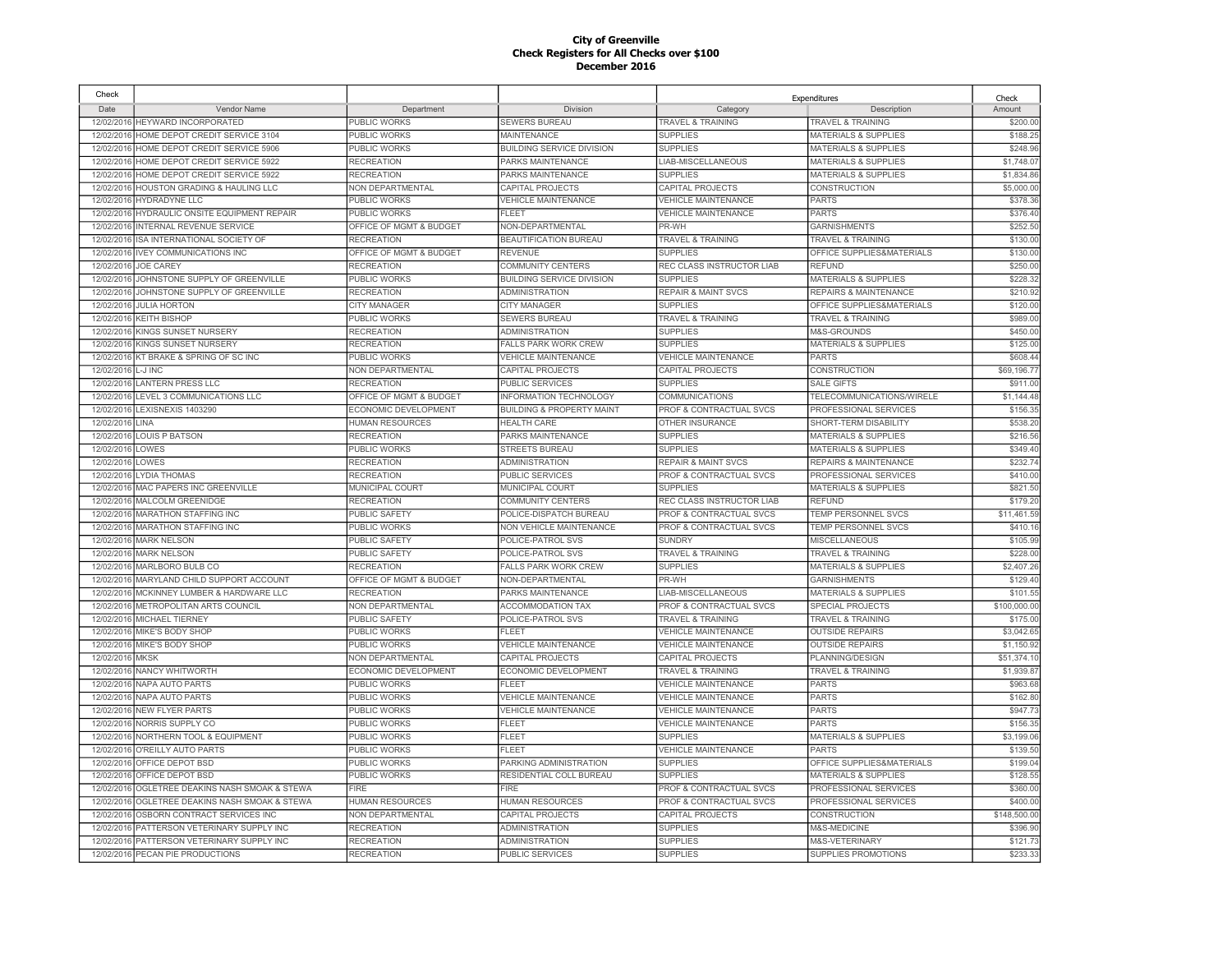| Check      |                                          |                                        |                                           |                                     | Expenditures                     | Check                   |
|------------|------------------------------------------|----------------------------------------|-------------------------------------------|-------------------------------------|----------------------------------|-------------------------|
| Date       | Vendor Name                              | Department                             | Division                                  | Category                            | Description                      | Amount                  |
| 12/02/2016 | HEYWARD INCORPORATED                     | PUBLIC WORKS                           | SEWERS BUREAU                             | TRAVEL & TRAINING                   | TRAVEL & TRAINING                | \$200.00                |
| 12/02/2016 | HOME DEPOT CREDIT SERVICE 3104           | PUBLIC WORKS                           | <b>MAINTENANCE</b>                        | <b>SUPPLIES</b>                     | <b>MATERIALS &amp; SUPPLIES</b>  | \$188.25                |
| 12/02/2016 | HOME DEPOT CREDIT SERVICE 5906           | PUBLIC WORKS                           | <b>BUILDING SERVICE DIVISION</b>          | <b>SUPPLIES</b>                     | <b>MATERIALS &amp; SUPPLIES</b>  | \$248.96                |
| 12/02/2016 | HOME DEPOT CREDIT SERVICE 5922           | <b>RECREATION</b>                      | PARKS MAINTENANCE                         | LIAB-MISCELLANEOUS                  | <b>MATERIALS &amp; SUPPLIES</b>  | \$1,748.07              |
| 12/02/2016 | HOME DEPOT CREDIT SERVICE 5922           | <b>RECREATION</b>                      | PARKS MAINTENANCE                         | <b>SUPPLIES</b>                     | <b>MATERIALS &amp; SUPPLIES</b>  | \$1,834.8               |
| 12/02/2016 | <b>HOUSTON GRADING &amp; HAULING LLC</b> | NON DEPARTMENTAL                       | <b>CAPITAL PROJECTS</b>                   | CAPITAL PROJECTS                    | CONSTRUCTION                     | \$5,000.00              |
| 12/02/2016 | HYDRADYNE LLC                            | PUBLIC WORKS                           | <b>VEHICLE MAINTENANCE</b>                | <b>VEHICLE MAINTENANCE</b>          | <b>PARTS</b>                     | \$378.3                 |
| 12/02/2016 | HYDRAULIC ONSITE EQUIPMENT REPAIR        | PUBLIC WORKS                           | <b>FLEET</b>                              | <b>VEHICLE MAINTENANCE</b>          | <b>PARTS</b>                     | \$376.40                |
| 12/02/2016 | INTERNAL REVENUE SERVICE                 | OFFICE OF MGMT & BUDGET                | NON-DEPARTMENTAL                          | PR-WH                               | <b>GARNISHMENTS</b>              | \$252.5                 |
|            | 12/02/2016 ISA INTERNATIONAL SOCIETY OF  | <b>RECREATION</b>                      | <b>BEAUTIFICATION BUREAU</b>              | <b>TRAVEL &amp; TRAINING</b>        | TRAVEL & TRAINING                | \$130.00                |
| 12/02/2016 | <b>IVEY COMMUNICATIONS INC</b>           | OFFICE OF MGMT & BUDGET                | <b>REVENUE</b>                            | <b>SUPPLIES</b>                     | OFFICE SUPPLIES&MATERIALS        | \$130.0                 |
| 12/02/2016 | JOE CAREY                                | <b>RECREATION</b>                      | <b>COMMUNITY CENTERS</b>                  | REC CLASS INSTRUCTOR LIAB           | <b>REFUND</b>                    | \$250.00                |
| 12/02/2016 | JOHNSTONE SUPPLY OF GREENVILLE           | PUBLIC WORKS                           | <b>BUILDING SERVICE DIVISION</b>          | <b>SUPPLIES</b>                     | <b>MATERIALS &amp; SUPPLIES</b>  | \$228.3                 |
| 12/02/2016 | JOHNSTONE SUPPLY OF GREENVILLE           | <b>RECREATION</b>                      | <b>ADMINISTRATION</b>                     | <b>REPAIR &amp; MAINT SVCS</b>      | REPAIRS & MAINTENANCE            | \$210.9                 |
| 12/02/2016 | <b>JULIA HORTON</b>                      | <b>CITY MANAGER</b>                    | <b>CITY MANAGER</b>                       | <b>SUPPLIES</b>                     | OFFICE SUPPLIES&MATERIALS        | \$120.0                 |
| 12/02/2016 | <b>KEITH BISHOP</b>                      | PUBLIC WORKS                           | <b>SEWERS BUREAU</b>                      | <b>TRAVEL &amp; TRAINING</b>        | <b>TRAVEL &amp; TRAINING</b>     | \$989.0                 |
| 12/02/2016 | KINGS SUNSET NURSERY                     | <b>RECREATION</b>                      | <b>ADMINISTRATION</b>                     | <b>SUPPLIES</b>                     | M&S-GROUNDS                      | \$450.0                 |
| 12/02/2016 | KINGS SUNSET NURSERY                     | <b>RECREATION</b>                      | <b>FALLS PARK WORK CREW</b>               | <b>SUPPLIES</b>                     | <b>MATERIALS &amp; SUPPLIES</b>  | \$125.0                 |
| 12/02/2016 | KT BRAKE & SPRING OF SC INC              | PUBLIC WORKS                           | <b>VEHICLE MAINTENANCE</b>                | <b>VEHICLE MAINTENANCE</b>          | <b>PARTS</b>                     | \$608.4                 |
| 12/02/2016 | L-J INC                                  | NON DEPARTMENTAL                       | CAPITAL PROJECTS                          | CAPITAL PROJECTS                    | <b>CONSTRUCTION</b>              | \$69,196.7              |
| 12/02/201  | <b>LANTERN PRESS LLC</b>                 | <b>RECREATION</b>                      | PUBLIC SERVICES                           | <b>SUPPLIES</b>                     | <b>SALE GIFTS</b>                | \$911.0                 |
| 12/02/2016 | LEVEL 3 COMMUNICATIONS LLC               | <b>OFFICE OF MGMT &amp; BUDGET</b>     | <b>INFORMATION TECHNOLOGY</b>             | COMMUNICATIONS                      | TELECOMMUNICATIONS/WIRELE        | \$1,144.4               |
| 12/02/201  | LEXISNEXIS 1403290                       | ECONOMIC DEVELOPMENT                   | <b>BUILDING &amp; PROPERTY MAINT</b>      | <b>PROF &amp; CONTRACTUAL SVCS</b>  | PROFESSIONAL SERVICES            | \$156.3                 |
| 12/02/2016 | <b>INA</b>                               | HUMAN RESOURCES                        | <b>HEALTH CARE</b>                        | <b>OTHER INSURANCE</b>              | SHORT-TERM DISABILITY            | \$538.2                 |
| 12/02/2016 | <b>LOUIS P BATSON</b>                    | <b>RECREATION</b>                      | PARKS MAINTENANCE                         | <b>SUPPLIES</b>                     | <b>MATERIALS &amp; SUPPLIES</b>  | \$216.5                 |
| 12/02/2016 | LOWES                                    | PUBLIC WORKS                           | <b>STREETS BUREAU</b>                     | <b>SUPPLIES</b>                     | <b>MATERIALS &amp; SUPPLIES</b>  | \$349.4                 |
| 12/02/201  | LOWES                                    | <b>RECREATION</b>                      | <b>ADMINISTRATION</b>                     | <b>REPAIR &amp; MAINT SVCS</b>      | <b>REPAIRS &amp; MAINTENANCE</b> | \$232.74                |
| 12/02/2016 | <b>LYDIA THOMAS</b>                      | <b>RECREATION</b>                      | <b>PUBLIC SERVICES</b>                    | PROF & CONTRACTUAL SVCS             | PROFESSIONAL SERVICES            | \$410.0                 |
| 12/02/2016 | MAC PAPERS INC GREENVILLE                | <b>MUNICIPAL COURT</b>                 | <b>MUNICIPAL COURT</b>                    | <b>SUPPLIES</b>                     | <b>MATERIALS &amp; SUPPLIES</b>  | \$821.5                 |
| 12/02/2016 | <b>MALCOLM GREENIDGE</b>                 | <b>RECREATION</b>                      | <b>COMMUNITY CENTERS</b>                  | REC CLASS INSTRUCTOR LIAB           | <b>REFUND</b>                    | \$179.2                 |
| 12/02/201  | <b>MARATHON STAFFING INC</b>             | <b>PUBLIC SAFETY</b>                   | POLICE-DISPATCH BUREAU                    | PROF & CONTRACTUAL SVCS             | TEMP PERSONNEL SVCS              | \$11,461.5              |
| 12/02/2016 | MARATHON STAFFING INC                    | PUBLIC WORKS                           | NON VEHICLE MAINTENANCE                   | PROF & CONTRACTUAL SVCS             | TEMP PERSONNEL SVCS              | \$410.1                 |
| 12/02/2016 | <b>MARK NELSON</b>                       | PUBLIC SAFETY                          | POLICE-PATROL SVS                         | <b>SUNDRY</b>                       | MISCELLANEOUS                    | \$105.9                 |
| 12/02/2016 | <b>MARK NELSON</b>                       | <b>PUBLIC SAFETY</b>                   | POLICE-PATROL SVS                         | <b>TRAVEL &amp; TRAINING</b>        | <b>TRAVEL &amp; TRAINING</b>     | \$228.0                 |
| 12/02/2016 | MARLBORO BULB CO                         | RECREATION                             | FALLS PARK WORK CREW                      | <b>SUPPLIES</b>                     | <b>MATERIALS &amp; SUPPLIES</b>  | \$2,407.2               |
| 12/02/2016 | MARYLAND CHILD SUPPORT ACCOUNT           | OFFICE OF MGMT & BUDGET                | NON-DEPARTMENTAL                          | PR-WH                               | <b>GARNISHMENTS</b>              | \$129.4                 |
| 12/02/2016 | MCKINNEY LUMBER & HARDWARE LLC           | <b>RECREATION</b>                      | <b>PARKS MAINTENANCE</b>                  | LIAB-MISCELLANEOUS                  | <b>MATERIALS &amp; SUPPLIES</b>  | \$101.5                 |
| 12/02/2016 | METROPOLITAN ARTS COUNCIL                | NON DEPARTMENTAL                       | <b>ACCOMMODATION TAX</b>                  | PROF & CONTRACTUAL SVCS             | SPECIAL PROJECTS                 | \$100,000.0             |
| 12/02/2016 | <b>MICHAEL TIERNEY</b>                   | PUBLIC SAFETY                          | POLICE-PATROL SVS                         | <b>TRAVEL &amp; TRAINING</b>        | <b>TRAVEL &amp; TRAINING</b>     | \$175.00                |
| 12/02/2016 | MIKE'S BODY SHOP                         | PUBLIC WORKS                           | FLEET                                     | <b>VEHICLE MAINTENANCE</b>          | <b>OUTSIDE REPAIRS</b>           | \$3,042.6               |
| 12/02/2016 | MIKE'S BODY SHOP                         | PUBLIC WORKS                           | <b>VEHICLE MAINTENANCE</b>                | <b>VEHICLE MAINTENANCE</b>          | <b>OUTSIDE REPAIRS</b>           | \$1,150.9               |
| 12/02/2016 | <b>MKSK</b>                              | NON DEPARTMENTAL                       | <b>CAPITAL PROJECTS</b>                   | CAPITAL PROJECTS                    | PLANNING/DESIGN                  | \$51,374.1              |
| 12/02/2016 | NANCY WHITWORTH                          | ECONOMIC DEVELOPMENT                   | ECONOMIC DEVELOPMENT                      | <b>TRAVEL &amp; TRAINING</b>        | <b>TRAVEL &amp; TRAINING</b>     | \$1,939.87              |
| 12/02/2016 | NAPA AUTO PARTS                          | PUBLIC WORKS                           | <b>FLEET</b>                              | <b>VEHICLE MAINTENANCE</b>          | <b>PARTS</b>                     | \$963.68                |
| 12/02/2016 | NAPA AUTO PARTS                          | PUBLIC WORKS                           | <b>VEHICLE MAINTENANCE</b>                | VEHICLE MAINTENANCE                 | <b>PARTS</b>                     | \$162.80                |
| 12/02/2016 | <b>NEW FLYER PARTS</b>                   | PUBLIC WORKS                           | <b>VEHICLE MAINTENANCE</b>                | <b>VEHICLE MAINTENANCE</b>          | <b>PARTS</b>                     | \$947.7                 |
| 12/02/2016 | NORRIS SUPPLY CO                         | <b>PUBLIC WORKS</b>                    | <b>FLEET</b>                              | <b>VEHICLE MAINTENANCE</b>          | <b>PARTS</b>                     | \$156.35                |
| 12/02/2016 | NORTHERN TOOL & EQUIPMENT                | PUBLIC WORKS                           | <b>FLEET</b>                              | <b>SUPPLIES</b>                     | <b>MATERIALS &amp; SUPPLIES</b>  | \$3,199.0               |
| 12/02/2016 | O'REILLY AUTO PARTS                      | PUBLIC WORKS                           | <b>FLEET</b>                              | <b>VEHICLE MAINTENANCE</b>          | <b>PARTS</b>                     | \$139.50                |
| 12/02/2016 | OFFICE DEPOT BSD                         | PUBLIC WORKS                           | PARKING ADMINISTRATION                    | <b>SUPPLIES</b>                     | OFFICE SUPPLIES&MATERIALS        | \$199.0                 |
| 12/02/2016 | OFFICE DEPOT BSD                         | PUBLIC WORKS                           | RESIDENTIAL COLL BUREAU                   | <b>SUPPLIES</b>                     | <b>MATERIALS &amp; SUPPLIES</b>  | \$128.5                 |
| 12/02/2016 | OGLETREE DEAKINS NASH SMOAK & STEWA      | FIRE                                   | <b>FIRE</b>                               | PROF & CONTRACTUAL SVCS             | PROFESSIONAL SERVICES            | \$360.0                 |
| 12/02/2016 | OGLETREE DEAKINS NASH SMOAK & STEWA      | <b>HUMAN RESOURCES</b>                 | <b>HUMAN RESOURCES</b>                    | <b>PROF &amp; CONTRACTUAL SVCS</b>  | PROFESSIONAL SERVICES            | \$400.0                 |
| 12/02/2016 | OSBORN CONTRACT SERVICES INC             |                                        |                                           |                                     | <b>CONSTRUCTION</b>              |                         |
| 12/02/2016 | PATTERSON VETERINARY SUPPLY INC          | NON DEPARTMENTAL<br><b>RECREATION</b>  | CAPITAL PROJECTS<br><b>ADMINISTRATION</b> | CAPITAL PROJECTS<br><b>SUPPLIES</b> | M&S-MEDICINE                     | \$148,500.0<br>\$396.90 |
|            |                                          |                                        |                                           |                                     |                                  |                         |
| 12/02/2016 | PATTERSON VETERINARY SUPPLY INC          | <b>RECREATION</b><br><b>RECREATION</b> | <b>ADMINISTRATION</b>                     | <b>SUPPLIES</b>                     | M&S-VETERINARY                   | \$121.7<br>\$233.33     |
|            | 12/02/2016 PECAN PIE PRODUCTIONS         |                                        | PUBLIC SERVICES                           | <b>SUPPLIES</b>                     | SUPPLIES PROMOTIONS              |                         |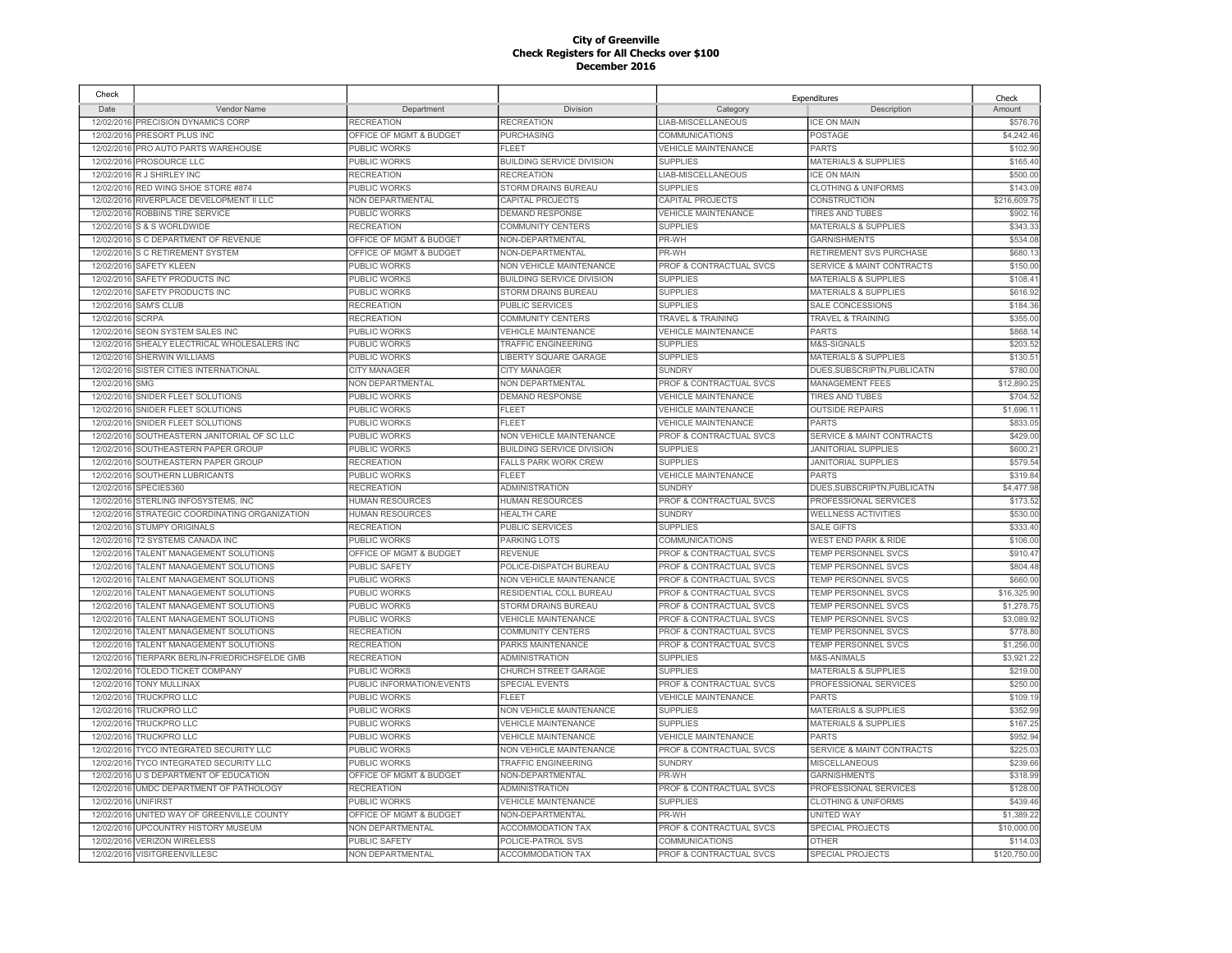| Check      |                                        |                           |                                  |                                    | Expenditures                         | Check        |
|------------|----------------------------------------|---------------------------|----------------------------------|------------------------------------|--------------------------------------|--------------|
| Date       | Vendor Name                            | Department                | Division                         | Category                           | Description                          | Amount       |
| 12/02/2016 | PRECISION DYNAMICS CORP                | <b>RECREATION</b>         | <b>RECREATION</b>                | LIAB-MISCELLANEOUS                 | <b>ICE ON MAIN</b>                   | \$576.76     |
| 12/02/2016 | PRESORT PLUS INC                       | OFFICE OF MGMT & BUDGET   | <b>PURCHASING</b>                | <b>COMMUNICATIONS</b>              | POSTAGE                              | \$4,242.46   |
| 12/02/2016 | PRO AUTO PARTS WAREHOUSE               | PUBLIC WORKS              | <b>FLEET</b>                     | <b>VEHICLE MAINTENANCE</b>         | <b>PARTS</b>                         | \$102.90     |
| 12/02/2016 | PROSOURCE LLC                          | PUBLIC WORKS              | <b>BUILDING SERVICE DIVISION</b> | <b>SUPPLIES</b>                    | <b>MATERIALS &amp; SUPPLIES</b>      | \$165.40     |
| 12/02/2016 | R J SHIRLEY INC                        | <b>RECREATION</b>         | <b>RECREATION</b>                | LIAB-MISCELLANEOUS                 | <b>ICE ON MAIN</b>                   | \$500.00     |
| 12/02/2016 | RED WING SHOE STORE #874               | PUBLIC WORKS              | STORM DRAINS BUREAU              | <b>SUPPLIES</b>                    | <b>CLOTHING &amp; UNIFORMS</b>       | \$143.09     |
| 12/02/2016 | RIVERPLACE DEVELOPMENT II LLC          | NON DEPARTMENTAL          | CAPITAL PROJECTS                 | CAPITAL PROJECTS                   | CONSTRUCTION                         | \$216,609.75 |
| 12/02/2016 | ROBBINS TIRE SERVICE                   | PUBLIC WORKS              | <b>DEMAND RESPONSE</b>           | <b>VEHICLE MAINTENANCE</b>         | <b>TIRES AND TUBES</b>               | \$902.16     |
| 12/02/2016 | S & S WORLDWIDE                        | <b>RECREATION</b>         | <b>COMMUNITY CENTERS</b>         | <b>SUPPLIES</b>                    | <b>MATERIALS &amp; SUPPLIES</b>      | \$343.33     |
| 12/02/2016 | S C DEPARTMENT OF REVENUE              | OFFICE OF MGMT & BUDGET   | NON-DEPARTMENTAL                 | PR-WH                              | <b>GARNISHMENTS</b>                  | \$534.08     |
|            | 12/02/2016 S C RETIREMENT SYSTEM       | OFFICE OF MGMT & BUDGET   | NON-DEPARTMENTAL                 | PR-WH                              | RETIREMENT SVS PURCHASE              | \$680.13     |
|            | 12/02/2016 SAFETY KLEEN                | PUBLIC WORKS              | NON VEHICLE MAINTENANCE          | PROF & CONTRACTUAL SVCS            | SERVICE & MAINT CONTRACTS            | \$150.00     |
|            | 12/02/2016 SAFETY PRODUCTS INC         | PUBLIC WORKS              | <b>BUILDING SERVICE DIVISION</b> | <b>SUPPLIES</b>                    | <b>MATERIALS &amp; SUPPLIES</b>      | \$108.4'     |
|            | 12/02/2016 SAFETY PRODUCTS INC         | PUBLIC WORKS              | STORM DRAINS BUREAU              | <b>SUPPLIES</b>                    | <b>MATERIALS &amp; SUPPLIES</b>      | \$616.92     |
| 12/02/2016 | <b>SAM'S CLUB</b>                      | <b>RECREATION</b>         | PUBLIC SERVICES                  | <b>SUPPLIES</b>                    | SALE CONCESSIONS                     | \$184.36     |
| 12/02/2016 | <b>SCRPA</b>                           | <b>RECREATION</b>         | <b>COMMUNITY CENTERS</b>         | <b>TRAVEL &amp; TRAINING</b>       | TRAVEL & TRAINING                    | \$355.00     |
| 12/02/2016 | <b>SEON SYSTEM SALES INC</b>           | PUBLIC WORKS              | <b>VEHICLE MAINTENANCE</b>       | <b>VEHICLE MAINTENANCE</b>         | <b>PARTS</b>                         | \$868.1      |
| 12/02/2016 | SHEALY ELECTRICAL WHOLESALERS INC      | PUBLIC WORKS              | <b>TRAFFIC ENGINEERING</b>       | <b>SUPPLIES</b>                    | M&S-SIGNALS                          | \$203.5      |
| 12/02/2016 | <b>SHERWIN WILLIAMS</b>                | PUBLIC WORKS              | LIBERTY SQUARE GARAGE            | <b>SUPPLIES</b>                    | <b>MATERIALS &amp; SUPPLIES</b>      | \$130.5      |
| 12/02/2016 | SISTER CITIES INTERNATIONAL            | <b>CITY MANAGER</b>       | <b>CITY MANAGER</b>              | <b>SUNDRY</b>                      | DUES, SUBSCRIPTN, PUBLICATN          | \$780.00     |
| 12/02/2016 | SMG                                    | NON DEPARTMENTAL          | NON DEPARTMENTAL                 | PROF & CONTRACTUAL SVCS            | <b>MANAGEMENT FEES</b>               | \$12,890.2   |
| 12/02/2016 | SNIDER FLEET SOLUTIONS                 | PUBLIC WORKS              | <b>DEMAND RESPONSE</b>           | <b>VEHICLE MAINTENANCE</b>         | <b>TIRES AND TUBES</b>               | \$704.5      |
| 12/02/2016 | SNIDER FLEET SOLUTIONS                 | <b>PUBLIC WORKS</b>       | <b>FLEET</b>                     | <b>VEHICLE MAINTENANCE</b>         | <b>OUTSIDE REPAIRS</b>               | \$1,696.1    |
| 12/02/2016 | SNIDER FLEET SOLUTIONS                 | PUBLIC WORKS              | <b>FLEET</b>                     | <b>VEHICLE MAINTENANCE</b>         | <b>PARTS</b>                         | \$833.05     |
| 12/02/2016 | SOUTHEASTERN JANITORIAL OF SC LLC      | PUBLIC WORKS              | NON VEHICLE MAINTENANCE          | PROF & CONTRACTUAL SVCS            | <b>SERVICE &amp; MAINT CONTRACTS</b> | \$429.0      |
| 12/02/2016 | SOUTHEASTERN PAPER GROUP               | PUBLIC WORKS              | <b>BUILDING SERVICE DIVISION</b> | <b>SUPPLIES</b>                    | <b>JANITORIAL SUPPLIES</b>           | \$600.2      |
| 12/02/2016 | SOUTHEASTERN PAPER GROUP               | <b>RECREATION</b>         | <b>FALLS PARK WORK CREW</b>      | <b>SUPPLIES</b>                    | <b>JANITORIAL SUPPLIES</b>           | \$579.54     |
| 12/02/2016 | SOUTHERN LUBRICANTS                    | <b>PUBLIC WORKS</b>       | <b>FLEET</b>                     | <b>VEHICLE MAINTENANCE</b>         | <b>PARTS</b>                         | \$319.84     |
| 12/02/2016 | SPECIES360                             | <b>RECREATION</b>         | <b>ADMINISTRATION</b>            | <b>SUNDRY</b>                      | DUES, SUBSCRIPTN, PUBLICATN          | \$4,477.98   |
| 12/02/2016 | STERLING INFOSYSTEMS. INC              | <b>HUMAN RESOURCES</b>    | <b>HUMAN RESOURCES</b>           | <b>PROF &amp; CONTRACTUAL SVCS</b> | PROFESSIONAL SERVICES                | \$173.52     |
| 12/02/2016 | STRATEGIC COORDINATING ORGANIZATION    | <b>HUMAN RESOURCES</b>    | <b>HEALTH CARE</b>               | <b>SUNDRY</b>                      | <b>WELLNESS ACTIVITIES</b>           | \$530.00     |
| 12/02/2016 | <b>STUMPY ORIGINALS</b>                | <b>RECREATION</b>         | <b>PUBLIC SERVICES</b>           | <b>SUPPLIES</b>                    | <b>SALE GIFTS</b>                    | \$333.40     |
| 12/02/2016 | T2 SYSTEMS CANADA INC                  | PUBLIC WORKS              | PARKING LOTS                     | <b>COMMUNICATIONS</b>              | <b>WEST END PARK &amp; RIDE</b>      | \$106.00     |
| 12/02/2016 | TALENT MANAGEMENT SOLUTIONS            | OFFICE OF MGMT & BUDGET   | <b>REVENUE</b>                   | <b>PROF &amp; CONTRACTUAL SVCS</b> | <b>TEMP PERSONNEL SVCS</b>           | \$910.47     |
| 12/02/2016 | TALENT MANAGEMENT SOLUTIONS            | <b>PUBLIC SAFETY</b>      | POLICE-DISPATCH BUREAU           | PROF & CONTRACTUAL SVCS            | <b>TEMP PERSONNEL SVCS</b>           | \$804.48     |
| 12/02/2016 | TALENT MANAGEMENT SOLUTIONS            | PUBLIC WORKS              | NON VEHICLE MAINTENANCE          | PROF & CONTRACTUAL SVCS            | TEMP PERSONNEL SVCS                  | \$660.00     |
| 12/02/2016 | TALENT MANAGEMENT SOLUTIONS            | PUBLIC WORKS              | RESIDENTIAL COLL BUREAU          | PROF & CONTRACTUAL SVCS            | TEMP PERSONNEL SVCS                  | \$16,325.90  |
| 12/02/2016 | TALENT MANAGEMENT SOLUTIONS            | PUBLIC WORKS              | STORM DRAINS BUREAU              | PROF & CONTRACTUAL SVCS            | <b>TEMP PERSONNEL SVCS</b>           | \$1,278.75   |
| 12/02/2016 | TALENT MANAGEMENT SOLUTIONS            | <b>PUBLIC WORKS</b>       | <b>VEHICLE MAINTENANCE</b>       | PROF & CONTRACTUAL SVCS            | TEMP PERSONNEL SVCS                  | \$3,089.92   |
| 12/02/2016 | TALENT MANAGEMENT SOLUTIONS            | <b>RECREATION</b>         | <b>COMMUNITY CENTERS</b>         | PROF & CONTRACTUAL SVCS            | TEMP PERSONNEL SVCS                  | \$778.80     |
|            | 12/02/2016 TALENT MANAGEMENT SOLUTIONS | <b>RECREATION</b>         | PARKS MAINTENANCE                | PROF & CONTRACTUAL SVCS            | TEMP PERSONNEL SVCS                  | \$1,256.00   |
| 12/02/2016 | TIERPARK BERLIN-FRIEDRICHSFELDE GMB    | <b>RECREATION</b>         | <b>ADMINISTRATION</b>            | <b>SUPPLIES</b>                    | M&S-ANIMALS                          | \$3,921.22   |
|            | 12/02/2016 TOLEDO TICKET COMPANY       | PUBLIC WORKS              | CHURCH STREET GARAGE             | <b>SUPPLIES</b>                    | <b>MATERIALS &amp; SUPPLIES</b>      | \$219.00     |
|            | 12/02/2016 TONY MULLINAX               | PUBLIC INFORMATION/EVENTS | <b>SPECIAL EVENTS</b>            | PROF & CONTRACTUAL SVCS            | PROFESSIONAL SERVICES                | \$250.00     |
|            | 12/02/2016 TRUCKPRO LLC                | PUBLIC WORKS              | <b>FLEET</b>                     | <b>VEHICLE MAINTENANCE</b>         | <b>PARTS</b>                         | \$109.1      |
| 12/02/2016 | <b>TRUCKPRO LLC</b>                    | <b>PUBLIC WORKS</b>       | NON VEHICLE MAINTENANCE          | <b>SUPPLIES</b>                    | <b>MATERIALS &amp; SUPPLIES</b>      | \$352.99     |
| 12/02/2016 | <b>TRUCKPRO LLC</b>                    | <b>PUBLIC WORKS</b>       | <b>VEHICLE MAINTENANCE</b>       | <b>SUPPLIES</b>                    | <b>MATERIALS &amp; SUPPLIES</b>      | \$167.2      |
| 12/02/2016 | <b>TRUCKPRO LLC</b>                    | <b>PUBLIC WORKS</b>       | <b>VEHICLE MAINTENANCE</b>       | VEHICLE MAINTENANCE                | <b>PARTS</b>                         | \$952.94     |
| 12/02/2016 | <b>TYCO INTEGRATED SECURITY LLC</b>    | PUBLIC WORKS              | <b>NON VEHICLE MAINTENANCE</b>   | PROF & CONTRACTUAL SVCS            | <b>SERVICE &amp; MAINT CONTRACTS</b> | \$225.0      |
| 12/02/2016 | TYCO INTEGRATED SECURITY LLC           | PUBLIC WORKS              | <b>TRAFFIC ENGINEERING</b>       | <b>SUNDRY</b>                      | <b>MISCELLANEOUS</b>                 | \$239.66     |
| 12/02/2016 | U S DEPARTMENT OF EDUCATION            | OFFICE OF MGMT & BUDGET   | NON-DEPARTMENTAL                 | PR-WH                              | <b>GARNISHMENTS</b>                  | \$318.99     |
| 12/02/2016 | UMDC DEPARTMENT OF PATHOLOGY           | <b>RECREATION</b>         | <b>ADMINISTRATION</b>            | PROF & CONTRACTUAL SVCS            | PROFESSIONAL SERVICES                | \$128.00     |
| 12/02/2016 | <b>UNIFIRST</b>                        | PUBLIC WORKS              | <b>VEHICLE MAINTENANCE</b>       | <b>SUPPLIES</b>                    | <b>CLOTHING &amp; UNIFORMS</b>       | \$439.46     |
| 12/02/201  | UNITED WAY OF GREENVILLE COUNTY        | OFFICE OF MGMT & BUDGET   | NON-DEPARTMENTAL                 | PR-WH                              | <b>UNITED WAY</b>                    | \$1,389.22   |
| 12/02/2016 | UPCOUNTRY HISTORY MUSEUM               | NON DEPARTMENTAL          | <b>ACCOMMODATION TAX</b>         | PROF & CONTRACTUAL SVCS            | SPECIAL PROJECTS                     | \$10,000.00  |
| 12/02/2016 | <b>VERIZON WIRELESS</b>                | PUBLIC SAFETY             | POLICE-PATROL SVS                | <b>COMMUNICATIONS</b>              | <b>OTHER</b>                         | \$114.03     |
|            | 12/02/2016 VISITGREENVILLESC           | <b>NON DEPARTMENTAL</b>   | <b>ACCOMMODATION TAX</b>         | <b>PROF &amp; CONTRACTUAL SVCS</b> | <b>SPECIAL PROJECTS</b>              | \$120,750.00 |
|            |                                        |                           |                                  |                                    |                                      |              |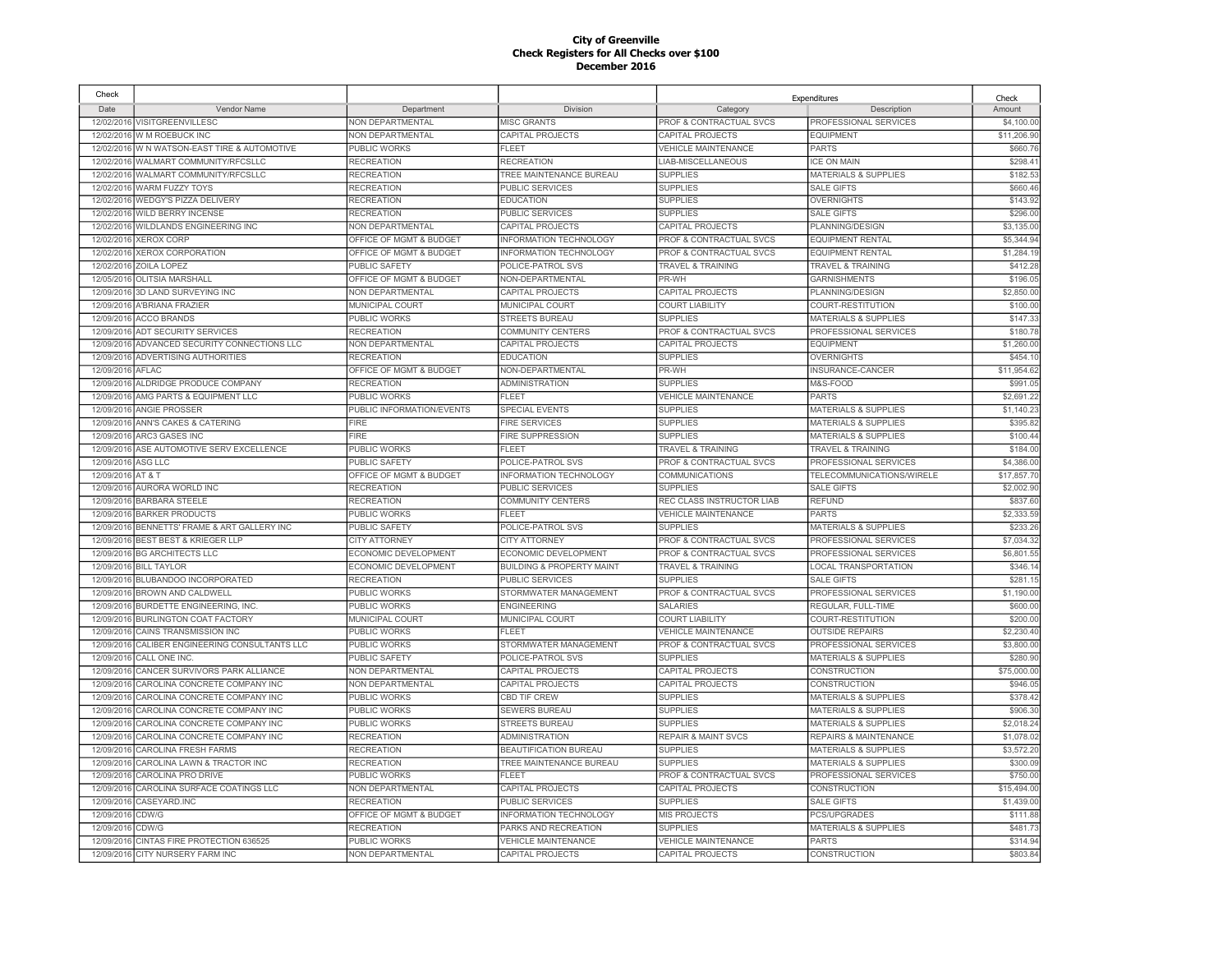| Check      |                                              |                           |                                      |                                    | Expenditures                     | Check       |
|------------|----------------------------------------------|---------------------------|--------------------------------------|------------------------------------|----------------------------------|-------------|
| Date       | Vendor Name                                  | Department                | Division                             | Category                           | Description                      | Amount      |
|            | 12/02/2016 VISITGREENVILLESC                 | NON DEPARTMENTAL          | <b>MISC GRANTS</b>                   | PROF & CONTRACTUAL SVCS            | PROFESSIONAL SERVICES            | \$4,100.00  |
|            | 12/02/2016 W M ROEBUCK INC                   | NON DEPARTMENTAL          | CAPITAL PROJECTS                     | CAPITAL PROJECTS                   | <b>EQUIPMENT</b>                 | \$11,206.90 |
|            | 12/02/2016 W N WATSON-EAST TIRE & AUTOMOTIVE | PUBLIC WORKS              | <b>FLEET</b>                         | <b>VEHICLE MAINTENANCE</b>         | <b>PARTS</b>                     | \$660.76    |
|            | 12/02/2016 WALMART COMMUNITY/RFCSLLC         | <b>RECREATION</b>         | <b>RECREATION</b>                    | LIAB-MISCELLANEOUS                 | <b>ICE ON MAIN</b>               | \$298.41    |
|            | 12/02/2016 WALMART COMMUNITY/RFCSLLC         | <b>RECREATION</b>         | TREE MAINTENANCE BUREAU              | <b>SUPPLIES</b>                    | <b>MATERIALS &amp; SUPPLIES</b>  | \$182.5     |
|            | 12/02/2016 WARM FUZZY TOYS                   | <b>RECREATION</b>         | PUBLIC SERVICES                      | <b>SUPPLIES</b>                    | <b>SALE GIFTS</b>                | \$660.46    |
| 12/02/2016 | WEDGY'S PIZZA DELIVERY                       | <b>RECREATION</b>         | <b>EDUCATION</b>                     | <b>SUPPLIES</b>                    | <b>OVERNIGHTS</b>                | \$143.92    |
| 12/02/2016 | <b>WILD BERRY INCENSE</b>                    | <b>RECREATION</b>         | PUBLIC SERVICES                      | <b>SUPPLIES</b>                    | <b>SALE GIFTS</b>                | \$296.00    |
| 12/02/2016 | WILDLANDS ENGINEERING INC                    | <b>NON DEPARTMENTAL</b>   | <b>CAPITAL PROJECTS</b>              | CAPITAL PROJECTS                   | PLANNING/DESIGN                  | \$3,135.00  |
| 12/02/2016 | <b>XEROX CORP</b>                            | OFFICE OF MGMT & BUDGET   | <b>INFORMATION TECHNOLOGY</b>        | PROF & CONTRACTUAL SVCS            | <b>EQUIPMENT RENTAL</b>          | \$5,344.94  |
| 12/02/2016 | <b>XEROX CORPORATION</b>                     | OFFICE OF MGMT & BUDGET   | INFORMATION TECHNOLOGY               | PROF & CONTRACTUAL SVCS            | <b>EQUIPMENT RENTAL</b>          | \$1,284.19  |
| 12/02/2016 | ZOILA LOPEZ                                  | PUBLIC SAFETY             | POLICE-PATROL SVS                    | <b>TRAVEL &amp; TRAINING</b>       | <b>TRAVEL &amp; TRAINING</b>     | \$412.28    |
| 12/05/2016 | <b>OLITSIA MARSHALL</b>                      | OFFICE OF MGMT & BUDGET   | NON-DEPARTMENTAL                     | PR-WH                              | <b>GARNISHMENTS</b>              | \$196.05    |
| 12/09/2016 | 3D LAND SURVEYING INC                        | NON DEPARTMENTAL          | CAPITAL PROJECTS                     | CAPITAL PROJECTS                   | PLANNING/DESIGN                  | \$2,850.00  |
| 12/09/201  | A'BRIANA FRAZIER                             | <b>MUNICIPAL COURT</b>    | MUNICIPAL COURT                      | <b>COURT LIABILITY</b>             | COURT-RESTITUTION                | \$100.00    |
| 12/09/2016 | <b>ACCO BRANDS</b>                           | <b>PUBLIC WORKS</b>       | <b>STREETS BUREAU</b>                | <b>SUPPLIES</b>                    | <b>MATERIALS &amp; SUPPLIES</b>  | \$147.33    |
| 12/09/2016 | ADT SECURITY SERVICES                        | <b>RECREATION</b>         | <b>COMMUNITY CENTERS</b>             | PROF & CONTRACTUAL SVCS            | PROFESSIONAL SERVICES            | \$180.78    |
| 12/09/2016 | ADVANCED SECURITY CONNECTIONS LLC            | <b>NON DEPARTMENTAL</b>   | <b>CAPITAL PROJECTS</b>              | CAPITAL PROJECTS                   | <b>EQUIPMENT</b>                 | \$1,260.00  |
| 12/09/2016 | <b>ADVERTISING AUTHORITIES</b>               | <b>RECREATION</b>         | <b>EDUCATION</b>                     | <b>SUPPLIES</b>                    | <b>OVERNIGHTS</b>                | \$454.1     |
| 12/09/2016 | AFLAC                                        | OFFICE OF MGMT & BUDGET   | NON-DEPARTMENTAL                     | PR-WH                              | INSURANCE-CANCER                 | \$11,954.62 |
| 12/09/2016 | ALDRIDGE PRODUCE COMPANY                     | <b>RECREATION</b>         | <b>ADMINISTRATION</b>                | <b>SUPPLIES</b>                    | M&S-FOOD                         | \$991.05    |
| 12/09/2016 | AMG PARTS & EQUIPMENT LLC                    | PUBLIC WORKS              | FI FFT                               | <b>VEHICLE MAINTENANCE</b>         | <b>PARTS</b>                     | \$2,691.22  |
| 12/09/2016 | <b>ANGIE PROSSER</b>                         | PUBLIC INFORMATION/EVENTS | <b>SPECIAL EVENTS</b>                | <b>SUPPLIES</b>                    | <b>MATERIALS &amp; SUPPLIES</b>  | \$1,140.23  |
| 12/09/2016 | ANN'S CAKES & CATERING                       | <b>FIRE</b>               | <b>FIRE SERVICES</b>                 | <b>SUPPLIES</b>                    | <b>MATERIALS &amp; SUPPLIES</b>  | \$395.82    |
| 12/09/2016 | <b>ARC3 GASES INC</b>                        | <b>FIRE</b>               | <b>FIRE SUPPRESSION</b>              | <b>SUPPLIES</b>                    | <b>MATERIALS &amp; SUPPLIES</b>  | \$100.44    |
| 12/09/2016 | ASE AUTOMOTIVE SERV EXCELLENCE               | <b>PUBLIC WORKS</b>       | <b>FLEET</b>                         | <b>TRAVEL &amp; TRAINING</b>       | <b>TRAVEL &amp; TRAINING</b>     | \$184.00    |
| 12/09/2016 | ASG LLC                                      | <b>PUBLIC SAFETY</b>      | POLICE-PATROL SVS                    | PROF & CONTRACTUAL SVCS            | PROFESSIONAL SERVICES            | \$4,386.00  |
| 12/09/2016 | AT&T                                         | OFFICE OF MGMT & BUDGET   | <b>INFORMATION TECHNOLOGY</b>        | <b>COMMUNICATIONS</b>              | TELECOMMUNICATIONS/WIRELE        | \$17,857.70 |
| 12/09/2016 | AURORA WORLD INC                             | <b>RECREATION</b>         | <b>PUBLIC SERVICES</b>               | <b>SUPPLIES</b>                    | <b>SALE GIFTS</b>                | \$2,002.90  |
| 12/09/2016 | <b>BARBARA STEELE</b>                        | <b>RECREATION</b>         | <b>COMMUNITY CENTERS</b>             | REC CLASS INSTRUCTOR LIAB          | <b>REFUND</b>                    | \$837.60    |
|            |                                              |                           | FI FFT                               |                                    | <b>PARTS</b>                     |             |
| 12/09/2016 | <b>BARKER PRODUCTS</b>                       | <b>PUBLIC WORKS</b>       |                                      | <b>VEHICLE MAINTENANCE</b>         |                                  | \$2,333.59  |
| 12/09/2016 | BENNETTS' FRAME & ART GALLERY INC            | <b>PUBLIC SAFETY</b>      | POLICE-PATROL SVS                    | <b>SUPPLIES</b>                    | <b>MATERIALS &amp; SUPPLIES</b>  | \$233.26    |
| 12/09/2016 | BEST BEST & KRIEGER LLP                      | <b>CITY ATTORNEY</b>      | <b>CITY ATTORNEY</b>                 | PROF & CONTRACTUAL SVCS            | PROFESSIONAL SERVICES            | \$7,034.32  |
| 12/09/2016 | <b>BG ARCHITECTS LLC</b>                     | ECONOMIC DEVELOPMENT      | ECONOMIC DEVELOPMENT                 | <b>PROF &amp; CONTRACTUAL SVCS</b> | PROFESSIONAL SERVICES            | \$6,801.5   |
| 12/09/2016 | <b>BILL TAYLOR</b>                           | ECONOMIC DEVELOPMENT      | <b>BUILDING &amp; PROPERTY MAINT</b> | <b>TRAVEL &amp; TRAINING</b>       | LOCAL TRANSPORTATION             | \$346.14    |
| 12/09/2016 | BLUBANDOO INCORPORATED                       | <b>RECREATION</b>         | <b>PUBLIC SERVICES</b>               | <b>SUPPLIES</b>                    | <b>SALE GIFTS</b>                | \$281.15    |
| 12/09/2016 | <b>BROWN AND CALDWELL</b>                    | <b>PUBLIC WORKS</b>       | STORMWATER MANAGEMENT                | <b>PROF &amp; CONTRACTUAL SVCS</b> | PROFESSIONAL SERVICES            | \$1,190.00  |
| 12/09/2016 | BURDETTE ENGINEERING, INC.                   | PUBLIC WORKS              | <b>ENGINEERING</b>                   | <b>SALARIES</b>                    | REGULAR, FULL-TIME               | \$600.00    |
| 12/09/2016 | <b>BURLINGTON COAT FACTORY</b>               | MUNICIPAL COURT           | MUNICIPAL COURT                      | <b>COURT LIABILITY</b>             | COURT-RESTITUTION                | \$200.00    |
| 12/09/2016 | CAINS TRANSMISSION INC                       | PUBLIC WORKS              | <b>FLEET</b>                         | <b>VEHICLE MAINTENANCE</b>         | <b>OUTSIDE REPAIRS</b>           | \$2,230.40  |
| 12/09/2016 | CALIBER ENGINEERING CONSULTANTS LLC          | PUBLIC WORKS              | STORMWATER MANAGEMENT                | PROF & CONTRACTUAL SVCS            | PROFESSIONAL SERVICES            | \$3,800.00  |
| 12/09/2016 | CALL ONE INC.                                | <b>PUBLIC SAFETY</b>      | POLICE-PATROL SVS                    | <b>SUPPLIES</b>                    | <b>MATERIALS &amp; SUPPLIES</b>  | \$280.90    |
| 12/09/2016 | CANCER SURVIVORS PARK ALLIANCE               | NON DEPARTMENTAL          | CAPITAL PROJECTS                     | CAPITAL PROJECTS                   | CONSTRUCTION                     | \$75,000.00 |
| 12/09/2016 | CAROLINA CONCRETE COMPANY INC                | NON DEPARTMENTAL          | CAPITAL PROJECTS                     | CAPITAL PROJECTS                   | CONSTRUCTION                     | \$946.05    |
|            | 12/09/2016 CAROLINA CONCRETE COMPANY INC     | PUBLIC WORKS              | CBD TIF CREW                         | <b>SUPPLIES</b>                    | <b>MATERIALS &amp; SUPPLIES</b>  | \$378.42    |
| 12/09/2016 | CAROLINA CONCRETE COMPANY INC                | PUBLIC WORKS              | SEWERS BUREAU                        | <b>SUPPLIES</b>                    | <b>MATERIALS &amp; SUPPLIES</b>  | \$906.30    |
| 12/09/2016 | CAROLINA CONCRETE COMPANY INC                | PUBLIC WORKS              | <b>STREETS BUREAU</b>                | <b>SUPPLIES</b>                    | <b>MATERIALS &amp; SUPPLIES</b>  | \$2,018.24  |
| 12/09/2016 | CAROLINA CONCRETE COMPANY INC                | <b>RECREATION</b>         | <b>ADMINISTRATION</b>                | <b>REPAIR &amp; MAINT SVCS</b>     | <b>REPAIRS &amp; MAINTENANCE</b> | \$1,078.02  |
|            | 12/09/2016 CAROLINA FRESH FARMS              | <b>RECREATION</b>         | BEAUTIFICATION BUREAU                | <b>SUPPLIES</b>                    | <b>MATERIALS &amp; SUPPLIES</b>  | \$3,572.20  |
| 12/09/2016 | CAROLINA LAWN & TRACTOR INC                  | <b>RECREATION</b>         | TREE MAINTENANCE BUREAU              | <b>SUPPLIES</b>                    | <b>MATERIALS &amp; SUPPLIES</b>  | \$300.09    |
| 12/09/2016 | CAROLINA PRO DRIVE                           | PUBLIC WORKS              | <b>FLEET</b>                         | PROF & CONTRACTUAL SVCS            | PROFESSIONAL SERVICES            | \$750.00    |
| 12/09/2016 | CAROLINA SURFACE COATINGS LLC                | NON DEPARTMENTAL          | CAPITAL PROJECTS                     | CAPITAL PROJECTS                   | CONSTRUCTION                     | \$15,494.00 |
| 12/09/2016 | CASEYARD.INC                                 | <b>RECREATION</b>         | PUBLIC SERVICES                      | <b>SUPPLIES</b>                    | <b>SALE GIFTS</b>                | \$1,439.00  |
| 12/09/2016 | CDW/G                                        | OFFICE OF MGMT & BUDGET   | INFORMATION TECHNOLOGY               | <b>MIS PROJECTS</b>                | PCS/UPGRADES                     | \$111.88    |
| 12/09/2016 | CDW/G                                        | <b>RECREATION</b>         | PARKS AND RECREATION                 | <b>SUPPLIES</b>                    | MATERIALS & SUPPLIES             | \$481.73    |
| 12/09/2016 | CINTAS FIRE PROTECTION 636525                | PUBLIC WORKS              | <b>VEHICLE MAINTENANCE</b>           | <b>VEHICLE MAINTENANCE</b>         | <b>PARTS</b>                     | \$314.94    |
|            | 12/09/2016 CITY NURSERY FARM INC             | NON DEPARTMENTAL          | CAPITAL PROJECTS                     | CAPITAL PROJECTS                   | CONSTRUCTION                     | \$803.84    |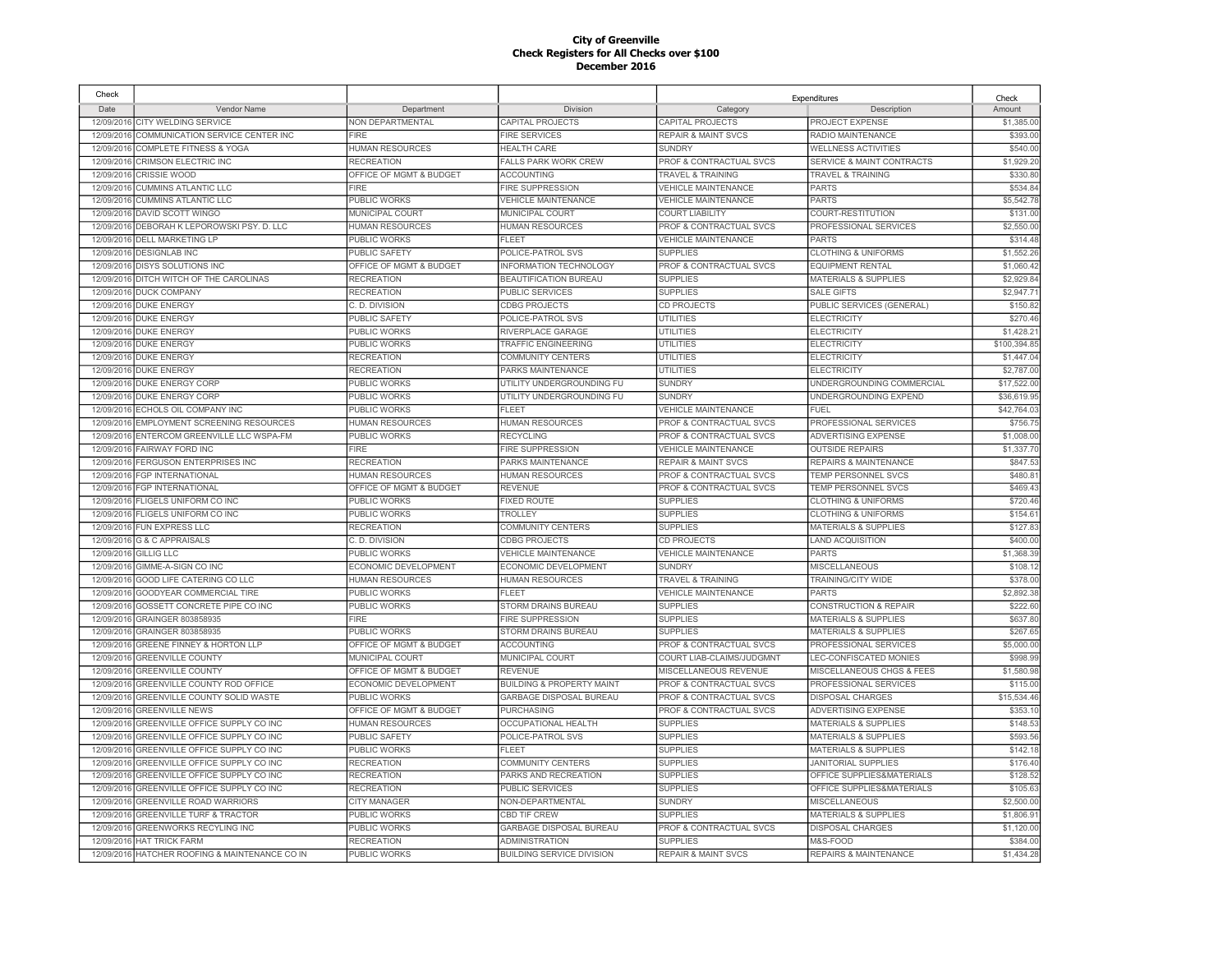| Check      |                                                |                         |                                      |                                    | Expenditures                         | Check       |
|------------|------------------------------------------------|-------------------------|--------------------------------------|------------------------------------|--------------------------------------|-------------|
| Date       | Vendor Name                                    | Department              | Division                             | Category                           | Description                          | Amount      |
| 12/09/2016 | CITY WELDING SERVICE                           | NON DEPARTMENTAL        | <b>CAPITAL PROJECTS</b>              | CAPITAL PROJECTS                   | PROJECT EXPENSE                      | \$1,385.00  |
| 12/09/2016 | COMMUNICATION SERVICE CENTER INC               | FIRE                    | <b>FIRE SERVICES</b>                 | <b>REPAIR &amp; MAINT SVCS</b>     | RADIO MAINTENANCE                    | \$393.00    |
| 12/09/2016 | <b>COMPLETE FITNESS &amp; YOGA</b>             | <b>HUMAN RESOURCES</b>  | <b>HEALTH CARE</b>                   | <b>SUNDRY</b>                      | <b>WELLNESS ACTIVITIES</b>           | \$540.00    |
| 12/09/2016 | CRIMSON ELECTRIC INC                           | <b>RECREATION</b>       | FALLS PARK WORK CREW                 | PROF & CONTRACTUAL SVCS            | <b>SERVICE &amp; MAINT CONTRACTS</b> | \$1,929.20  |
| 12/09/2016 | <b>CRISSIE WOOD</b>                            | OFFICE OF MGMT & BUDGET | <b>ACCOUNTING</b>                    | TRAVEL & TRAINING                  | <b>TRAVEL &amp; TRAINING</b>         | \$330.8     |
| 12/09/2016 | <b>CUMMINS ATLANTIC LLC</b>                    | <b>FIRE</b>             | <b>FIRE SUPPRESSION</b>              | <b>VEHICLE MAINTENANCE</b>         | <b>PARTS</b>                         | \$534.84    |
| 12/09/2016 | <b>CUMMINS ATLANTIC LLC</b>                    | PUBLIC WORKS            | <b>VEHICLE MAINTENANCE</b>           | <b>VEHICLE MAINTENANCE</b>         | <b>PARTS</b>                         | \$5,542.7   |
| 12/09/2016 | <b>DAVID SCOTT WINGO</b>                       | MUNICIPAL COURT         | MUNICIPAL COURT                      | <b>COURT LIABILITY</b>             | COURT-RESTITUTION                    | \$131.00    |
| 12/09/2016 | DEBORAH K LEPOROWSKI PSY. D. LLC               | <b>HUMAN RESOURCES</b>  | <b>HUMAN RESOURCES</b>               | <b>PROF &amp; CONTRACTUAL SVCS</b> | PROFESSIONAL SERVICES                | \$2,550.0   |
| 12/09/2016 | <b>DELL MARKETING LP</b>                       | PUBLIC WORKS            | <b>FLEET</b>                         | <b>VEHICLE MAINTENANCE</b>         | <b>PARTS</b>                         | \$314.48    |
| 12/09/2016 | <b>DESIGNLAB INC</b>                           | PUBLIC SAFETY           | POLICE-PATROL SVS                    | <b>SUPPLIES</b>                    | <b>CLOTHING &amp; UNIFORMS</b>       | \$1,552.2   |
| 12/09/2016 | <b>DISYS SOLUTIONS INC</b>                     | OFFICE OF MGMT & BUDGET | INFORMATION TECHNOLOGY               | PROF & CONTRACTUAL SVCS            | <b>EQUIPMENT RENTAL</b>              | \$1,060.42  |
| 12/09/2016 | DITCH WITCH OF THE CAROLINAS                   | <b>RECREATION</b>       | <b>BEAUTIFICATION BUREAU</b>         | <b>SUPPLIES</b>                    | <b>MATERIALS &amp; SUPPLIES</b>      | \$2,929.8   |
| 12/09/2016 | <b>DUCK COMPANY</b>                            | <b>RECREATION</b>       | <b>PUBLIC SERVICES</b>               | <b>SUPPLIES</b>                    | <b>SALE GIFTS</b>                    | \$2,947.7   |
| 12/09/2016 | <b>DUKE ENERGY</b>                             | C. D. DIVISION          | <b>CDBG PROJECTS</b>                 | CD PROJECTS                        | PUBLIC SERVICES (GENERAL)            | \$150.8     |
| 12/09/2016 | <b>DUKE ENERGY</b>                             | <b>PUBLIC SAFETY</b>    | POLICE-PATROL SVS                    | UTILITIES                          | <b>ELECTRICITY</b>                   | \$270.46    |
| 12/09/2016 | <b>DUKE ENERGY</b>                             | PUBLIC WORKS            | RIVERPLACE GARAGE                    | UTILITIES                          | <b>ELECTRICITY</b>                   | \$1,428.2   |
| 12/09/2016 | <b>DUKE ENERGY</b>                             | PUBLIC WORKS            | <b>TRAFFIC ENGINEERING</b>           | <b>UTILITIES</b>                   | <b>ELECTRICITY</b>                   | \$100,394.8 |
| 12/09/2016 | <b>DUKE ENERGY</b>                             | <b>RECREATION</b>       | <b>COMMUNITY CENTERS</b>             | UTILITIES                          | <b>ELECTRICITY</b>                   | \$1,447.0   |
| 12/09/2016 | <b>DUKE ENERGY</b>                             | <b>RECREATION</b>       | PARKS MAINTENANCE                    | UTILITIES                          | <b>ELECTRICITY</b>                   | \$2,787.0   |
| 12/09/2016 | <b>DUKE ENERGY CORP</b>                        | PUBLIC WORKS            | UTILITY UNDERGROUNDING FU            | <b>SUNDRY</b>                      | UNDERGROUNDING COMMERCIAL            | \$17,522.0  |
| 12/09/2016 | <b>DUKE ENERGY CORP</b>                        | PUBLIC WORKS            | UTILITY UNDERGROUNDING FU            | <b>SUNDRY</b>                      | UNDERGROUNDING EXPEND                | \$36,619.9  |
|            |                                                |                         |                                      |                                    |                                      |             |
| 12/09/2016 | ECHOLS OIL COMPANY INC                         | PUBLIC WORKS            | <b>FLEET</b>                         | <b>VEHICLE MAINTENANCE</b>         | <b>FUEL</b>                          | \$42,764.0  |
| 12/09/2016 | <b>EMPLOYMENT SCREENING RESOURCES</b>          | HUMAN RESOURCES         | <b>HUMAN RESOURCES</b>               | <b>PROF &amp; CONTRACTUAL SVCS</b> | PROFESSIONAL SERVICES                | \$756.7     |
| 12/09/2016 | ENTERCOM GREENVILLE LLC WSPA-FM                | PUBLIC WORKS            | <b>RECYCLING</b>                     | <b>PROF &amp; CONTRACTUAL SVCS</b> | <b>ADVERTISING EXPENSE</b>           | \$1,008.0   |
| 12/09/2016 | <b>FAIRWAY FORD INC</b>                        | FIRE                    | <b>FIRE SUPPRESSION</b>              | <b>VEHICLE MAINTENANCE</b>         | <b>OUTSIDE REPAIRS</b>               | \$1,337.7   |
| 12/09/2016 | FERGUSON ENTERPRISES INC                       | <b>RECREATION</b>       | PARKS MAINTENANCE                    | <b>REPAIR &amp; MAINT SVCS</b>     | <b>REPAIRS &amp; MAINTENANCE</b>     | \$847.5     |
| 12/09/2016 | <b>FGP INTERNATIONAL</b>                       | <b>HUMAN RESOURCES</b>  | <b>HUMAN RESOURCES</b>               | <b>PROF &amp; CONTRACTUAL SVCS</b> | <b>TEMP PERSONNEL SVCS</b>           | \$480.8     |
| 12/09/2016 | <b>FGP INTERNATIONAL</b>                       | OFFICE OF MGMT & BUDGET | <b>REVENUE</b>                       | PROF & CONTRACTUAL SVCS            | TEMP PERSONNEL SVCS                  | \$469.4     |
| 12/09/2016 | FLIGELS UNIFORM CO INC                         | PUBLIC WORKS            | <b>FIXED ROUTE</b>                   | <b>SUPPLIES</b>                    | <b>CLOTHING &amp; UNIFORMS</b>       | \$720.4     |
| 12/09/2016 | FLIGELS UNIFORM CO INC                         | PUBLIC WORKS            | TROLLEY                              | <b>SUPPLIES</b>                    | <b>CLOTHING &amp; UNIFORMS</b>       | \$154.6     |
| 12/09/2016 | <b>FUN EXPRESS LLC</b>                         | <b>RECREATION</b>       | COMMUNITY CENTERS                    | <b>SUPPLIES</b>                    | <b>MATERIALS &amp; SUPPLIES</b>      | \$127.8     |
| 12/09/2016 | <b>G &amp; C APPRAISALS</b>                    | C. D. DIVISION          | <b>CDBG PROJECTS</b>                 | CD PROJECTS                        | <b>LAND ACQUISITION</b>              | \$400.0     |
| 12/09/2016 | <b>GILLIG LLC</b>                              | PUBLIC WORKS            | <b>VEHICLE MAINTENANCE</b>           | <b>VEHICLE MAINTENANCE</b>         | <b>PARTS</b>                         | \$1,368.3   |
| 12/09/2016 | GIMME-A-SIGN CO INC                            | ECONOMIC DEVELOPMENT    | ECONOMIC DEVELOPMENT                 | <b>SUNDRY</b>                      | <b>MISCELLANEOUS</b>                 | \$108.12    |
| 12/09/2016 | GOOD LIFE CATERING CO LLC                      | <b>HUMAN RESOURCES</b>  | <b>HUMAN RESOURCES</b>               | TRAVEL & TRAINING                  | TRAINING/CITY WIDE                   | \$378.0     |
| 12/09/2016 | <b>GOODYEAR COMMERCIAL TIRE</b>                | PUBLIC WORKS            | <b>FLEET</b>                         | <b>VEHICLE MAINTENANCE</b>         | <b>PARTS</b>                         | \$2,892.3   |
| 12/09/2016 | GOSSETT CONCRETE PIPE CO INC                   | PUBLIC WORKS            | STORM DRAINS BUREAU                  | <b>SUPPLIES</b>                    | <b>CONSTRUCTION &amp; REPAIR</b>     | \$222.6     |
| 12/09/2016 | GRAINGER 803858935                             | <b>FIRE</b>             | <b>FIRE SUPPRESSION</b>              | <b>SUPPLIES</b>                    | <b>MATERIALS &amp; SUPPLIES</b>      | \$637.80    |
| 12/09/2016 | GRAINGER 803858935                             | PUBLIC WORKS            | STORM DRAINS BUREAU                  | <b>SUPPLIES</b>                    | MATERIALS & SUPPLIES                 | \$267.6     |
| 12/09/2016 | GREENE FINNEY & HORTON LLP                     | OFFICE OF MGMT & BUDGET | <b>ACCOUNTING</b>                    | PROF & CONTRACTUAL SVCS            | PROFESSIONAL SERVICES                | \$5,000.00  |
| 12/09/2016 | <b>GREENVILLE COUNTY</b>                       | MUNICIPAL COURT         | MUNICIPAL COURT                      | COURT LIAB-CLAIMS/JUDGMNT          | LEC-CONFISCATED MONIES               | \$998.9     |
| 12/09/2016 | <b>GREENVILLE COUNTY</b>                       | OFFICE OF MGMT & BUDGET | <b>REVENUE</b>                       | MISCELLANEOUS REVENUE              | MISCELLANEOUS CHGS & FEES            | \$1,580.98  |
| 12/09/2016 | <b>GREENVILLE COUNTY ROD OFFICE</b>            | ECONOMIC DEVELOPMENT    | <b>BUILDING &amp; PROPERTY MAINT</b> | PROF & CONTRACTUAL SVCS            | PROFESSIONAL SERVICES                | \$115.0     |
| 12/09/2016 | GREENVILLE COUNTY SOLID WASTE                  | PUBLIC WORKS            | GARBAGE DISPOSAL BUREAU              | PROF & CONTRACTUAL SVCS            | <b>DISPOSAL CHARGES</b>              | \$15,534.46 |
| 12/09/2016 | <b>GREENVILLE NEWS</b>                         | OFFICE OF MGMT & BUDGET | <b>PURCHASING</b>                    | PROF & CONTRACTUAL SVCS            | <b>ADVERTISING EXPENSE</b>           | \$353.1     |
| 12/09/2016 | GREENVILLE OFFICE SUPPLY CO INC                | <b>HUMAN RESOURCES</b>  | OCCUPATIONAL HEALTH                  | <b>SUPPLIES</b>                    | <b>MATERIALS &amp; SUPPLIES</b>      | \$148.5     |
| 12/09/2016 | GREENVILLE OFFICE SUPPLY CO INC                | <b>PUBLIC SAFETY</b>    | POLICE-PATROL SVS                    | <b>SUPPLIES</b>                    | <b>MATERIALS &amp; SUPPLIES</b>      | \$593.5     |
| 12/09/2016 | GREENVILLE OFFICE SUPPLY CO INC                | PUBLIC WORKS            | FLEET                                | <b>SUPPLIES</b>                    | <b>MATERIALS &amp; SUPPLIES</b>      | \$142.1     |
| 12/09/201  | GREENVILLE OFFICE SUPPLY CO INC                | <b>RECREATION</b>       | <b>COMMUNITY CENTERS</b>             | <b>SUPPLIES</b>                    | JANITORIAL SUPPLIES                  | \$176.4     |
| 12/09/2016 | GREENVILLE OFFICE SUPPLY CO INC                | <b>RECREATION</b>       | PARKS AND RECREATION                 | <b>SUPPLIES</b>                    | OFFICE SUPPLIES&MATERIALS            | \$128.5     |
| 12/09/2016 | GREENVILLE OFFICE SUPPLY CO INC                | <b>RECREATION</b>       | <b>PUBLIC SERVICES</b>               | <b>SUPPLIES</b>                    | OFFICE SUPPLIES&MATERIALS            | \$105.6     |
| 12/09/2016 | <b>GREENVILLE ROAD WARRIORS</b>                | <b>CITY MANAGER</b>     | NON-DEPARTMENTAL                     | <b>SUNDRY</b>                      | <b>MISCELLANEOUS</b>                 | \$2,500.0   |
| 12/09/201  | <b>GREENVILLE TURF &amp; TRACTOR</b>           | PUBLIC WORKS            | <b>CBD TIF CREW</b>                  | <b>SUPPLIES</b>                    | <b>MATERIALS &amp; SUPPLIES</b>      | \$1,806.9   |
| 12/09/2016 | <b>GREENWORKS RECYLING INC</b>                 | PUBLIC WORKS            | <b>GARBAGE DISPOSAL BUREAU</b>       | PROF & CONTRACTUAL SVCS            | <b>DISPOSAL CHARGES</b>              | \$1,120.00  |
| 12/09/2016 | <b>HAT TRICK FARM</b>                          | <b>RECREATION</b>       | <b>ADMINISTRATION</b>                | <b>SUPPLIES</b>                    | M&S-FOOD                             | \$384.0     |
|            | 12/09/2016 HATCHER ROOFING & MAINTENANCE CO IN | <b>PUBLIC WORKS</b>     | <b>BUILDING SERVICE DIVISION</b>     | <b>REPAIR &amp; MAINT SVCS</b>     | <b>REPAIRS &amp; MAINTENANCE</b>     | \$1.434.28  |
|            |                                                |                         |                                      |                                    |                                      |             |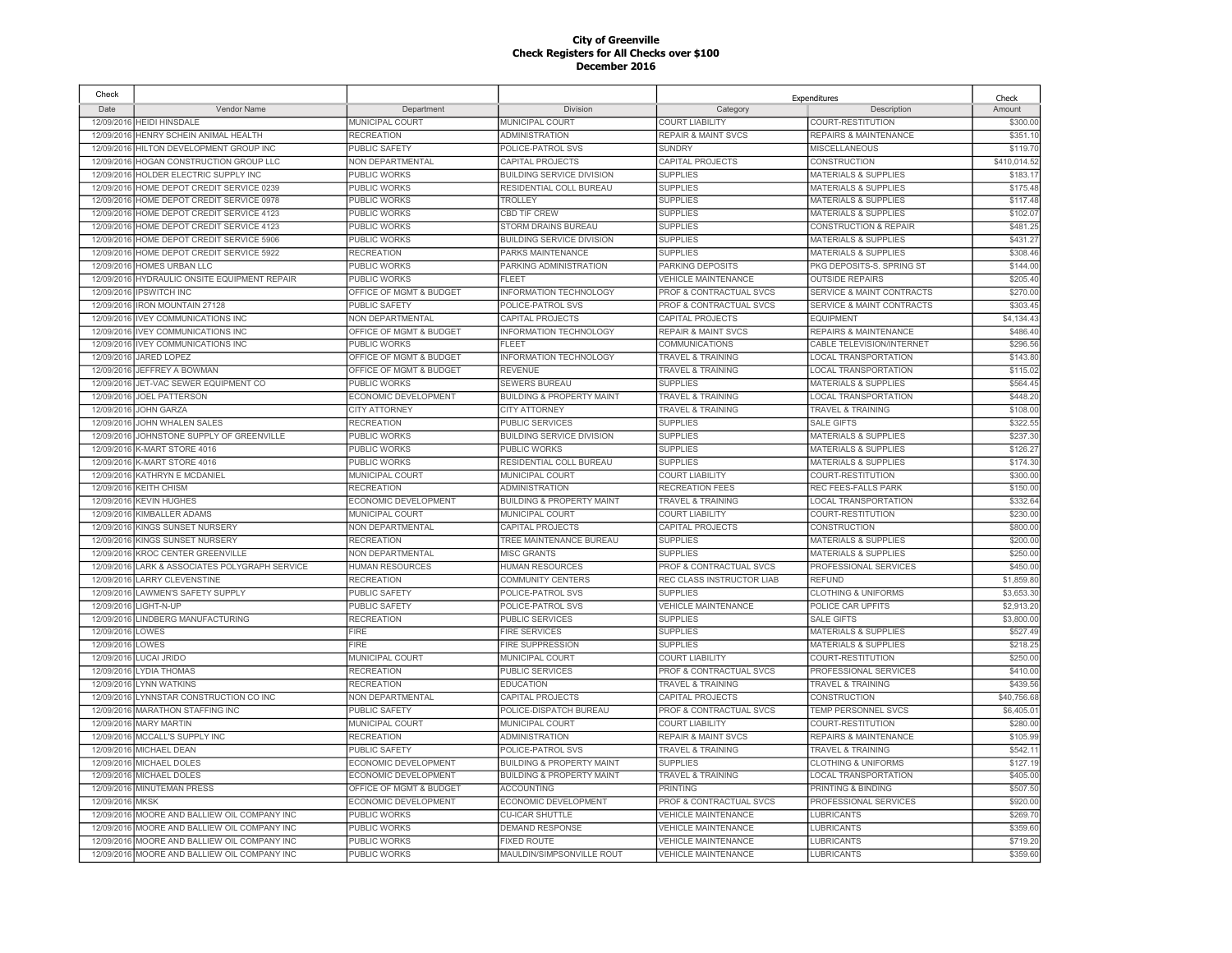| Check      |                                              |                             |                                      |                                    | Expenditures                         | Check        |
|------------|----------------------------------------------|-----------------------------|--------------------------------------|------------------------------------|--------------------------------------|--------------|
| Date       | Vendor Name                                  | Department                  | Division                             | Category                           | Description                          | Amount       |
| 12/09/2016 | <b>HEIDI HINSDALE</b>                        | MUNICIPAL COURT             | MUNICIPAL COURT                      | <b>COURT LIABILITY</b>             | COURT-RESTITUTION                    | \$300.00     |
| 12/09/2016 | HENRY SCHEIN ANIMAL HEALTH                   | <b>RECREATION</b>           | <b>ADMINISTRATION</b>                | <b>REPAIR &amp; MAINT SVCS</b>     | REPAIRS & MAINTENANCE                | \$351.10     |
| 12/09/2016 | HILTON DEVELOPMENT GROUP INC                 | <b>PUBLIC SAFETY</b>        | POLICE-PATROL SVS                    | <b>SUNDRY</b>                      | MISCELLANEOUS                        | \$119.70     |
| 12/09/2016 | HOGAN CONSTRUCTION GROUP LLC                 | NON DEPARTMENTAL            | CAPITAL PROJECTS                     | CAPITAL PROJECTS                   | CONSTRUCTION                         | \$410,014.52 |
| 12/09/201  | HOLDER ELECTRIC SUPPLY INC                   | <b>PUBLIC WORKS</b>         | <b>BUILDING SERVICE DIVISION</b>     | <b>SUPPLIES</b>                    | <b>MATERIALS &amp; SUPPLIES</b>      | \$183.17     |
| 12/09/2016 | HOME DEPOT CREDIT SERVICE 0239               | <b>PUBLIC WORKS</b>         | RESIDENTIAL COLL BUREAU              | <b>SUPPLIES</b>                    | <b>MATERIALS &amp; SUPPLIES</b>      | \$175.48     |
| 12/09/2016 | HOME DEPOT CREDIT SERVICE 0978               | PUBLIC WORKS                | <b>TROLLEY</b>                       | <b>SUPPLIES</b>                    | <b>MATERIALS &amp; SUPPLIES</b>      | \$117.48     |
| 12/09/2016 | HOME DEPOT CREDIT SERVICE 4123               | PUBLIC WORKS                | <b>CBD TIF CREW</b>                  | <b>SUPPLIES</b>                    | <b>MATERIALS &amp; SUPPLIES</b>      | \$102.0      |
| 12/09/2016 | HOME DEPOT CREDIT SERVICE 4123               | PUBLIC WORKS                | STORM DRAINS BUREAU                  | <b>SUPPLIES</b>                    | <b>CONSTRUCTION &amp; REPAIR</b>     | \$481.25     |
| 12/09/2016 | HOME DEPOT CREDIT SERVICE 5906               | <b>PUBLIC WORKS</b>         | <b>BUILDING SERVICE DIVISION</b>     | <b>SUPPLIES</b>                    | <b>MATERIALS &amp; SUPPLIES</b>      | \$431.27     |
| 12/09/2016 | HOME DEPOT CREDIT SERVICE 5922               | <b>RECREATION</b>           | PARKS MAINTENANCE                    | <b>SUPPLIES</b>                    | <b>MATERIALS &amp; SUPPLIES</b>      | \$308.46     |
| 12/09/2016 | <b>HOMES URBAN LLC</b>                       | PUBLIC WORKS                | PARKING ADMINISTRATION               | PARKING DEPOSITS                   | PKG DEPOSITS-S, SPRING ST            | \$144.00     |
| 12/09/2016 | HYDRAULIC ONSITE EQUIPMENT REPAIR            | <b>PUBLIC WORKS</b>         | <b>FLEET</b>                         | <b>VEHICLE MAINTENANCE</b>         | <b>OUTSIDE REPAIRS</b>               | \$205.40     |
| 12/09/2016 | <b>IPSWITCH INC</b>                          | OFFICE OF MGMT & BUDGET     | <b>INFORMATION TECHNOLOGY</b>        | <b>PROF &amp; CONTRACTUAL SVCS</b> | <b>SERVICE &amp; MAINT CONTRACTS</b> | \$270.00     |
| 12/09/2016 | <b>IRON MOUNTAIN 27128</b>                   | <b>PUBLIC SAFETY</b>        | POLICE-PATROL SVS                    | PROF & CONTRACTUAL SVCS            | <b>SERVICE &amp; MAINT CONTRACTS</b> | \$303.45     |
| 12/09/2016 | <b>IVEY COMMUNICATIONS INC</b>               | <b>NON DEPARTMENTAL</b>     | <b>CAPITAL PROJECTS</b>              | CAPITAL PROJECTS                   | <b>EQUIPMENT</b>                     | \$4,134.43   |
| 12/09/2016 | <b>IVEY COMMUNICATIONS INC</b>               | OFFICE OF MGMT & BUDGET     | INFORMATION TECHNOLOGY               | <b>REPAIR &amp; MAINT SVCS</b>     | REPAIRS & MAINTENANCE                | \$486.40     |
| 12/09/2016 | <b>IVEY COMMUNICATIONS INC</b>               | PUBLIC WORKS                | FI FFT                               | COMMUNICATIONS                     | <b>CABLE TELEVISION/INTERNET</b>     | \$296.56     |
| 12/09/2016 | JARED LOPEZ                                  | OFFICE OF MGMT & BUDGET     | <b>INFORMATION TECHNOLOGY</b>        | <b>TRAVEL &amp; TRAINING</b>       | <b>LOCAL TRANSPORTATION</b>          | \$143.80     |
| 12/09/2016 | JEFFREY A BOWMAN                             | OFFICE OF MGMT & BUDGET     | <b>REVENUE</b>                       | <b>TRAVEL &amp; TRAINING</b>       | <b>LOCAL TRANSPORTATION</b>          | \$115.02     |
| 12/09/2016 | JET-VAC SEWER EQUIPMENT CO                   | PUBLIC WORKS                | SEWERS BUREAU                        | <b>SUPPLIES</b>                    | <b>MATERIALS &amp; SUPPLIES</b>      | \$564.45     |
| 12/09/2016 | <b>JOEL PATTERSON</b>                        | ECONOMIC DEVELOPMENT        | <b>BUILDING &amp; PROPERTY MAINT</b> | <b>TRAVEL &amp; TRAINING</b>       | <b>LOCAL TRANSPORTATION</b>          | \$448.20     |
| 12/09/2016 | <b>JOHN GARZA</b>                            | <b>CITY ATTORNEY</b>        | <b>CITY ATTORNEY</b>                 | <b>TRAVEL &amp; TRAINING</b>       | TRAVEL & TRAINING                    | \$108.00     |
| 12/09/2016 | JOHN WHALEN SALES                            | <b>RECREATION</b>           | <b>PUBLIC SERVICES</b>               | <b>SUPPLIES</b>                    | <b>SALE GIFTS</b>                    | \$322.55     |
| 12/09/2016 | JOHNSTONE SUPPLY OF GREENVILLE               | PUBLIC WORKS                | <b>BUILDING SERVICE DIVISION</b>     | <b>SUPPLIES</b>                    | <b>MATERIALS &amp; SUPPLIES</b>      | \$237.30     |
| 12/09/2016 | <b>K-MART STORE 4016</b>                     | PUBLIC WORKS                | PUBLIC WORKS                         | <b>SUPPLIES</b>                    | <b>MATERIALS &amp; SUPPLIES</b>      | \$126.2      |
| 12/09/2016 | <b>K-MART STORE 4016</b>                     | PUBLIC WORKS                | RESIDENTIAL COLL BUREAU              | <b>SUPPLIES</b>                    | <b>MATERIALS &amp; SUPPLIES</b>      | \$174.30     |
| 12/09/2016 | KATHRYN E MCDANIEL                           | MUNICIPAL COURT             | MUNICIPAL COURT                      | COURT LIABILITY                    | COURT-RESTITUTION                    | \$300.00     |
| 12/09/2016 | <b>KEITH CHISM</b>                           | <b>RECREATION</b>           | <b>ADMINISTRATION</b>                | <b>RECREATION FEES</b>             | REC FEES-FALLS PARK                  | \$150.00     |
| 12/09/2016 | <b>KEVIN HUGHES</b>                          | ECONOMIC DEVELOPMENT        | <b>BUILDING &amp; PROPERTY MAINT</b> | <b>TRAVEL &amp; TRAINING</b>       | <b>LOCAL TRANSPORTATION</b>          | \$332.64     |
| 12/09/2016 | KIMBALLER ADAMS                              | MUNICIPAL COURT             | MUNICIPAL COURT                      | <b>COURT LIABILITY</b>             | COURT-RESTITUTION                    | \$230.00     |
| 12/09/2016 | KINGS SUNSET NURSERY                         | NON DEPARTMENTAL            | CAPITAL PROJECTS                     | CAPITAL PROJECTS                   | CONSTRUCTION                         | \$800.00     |
| 12/09/2016 | KINGS SUNSET NURSERY                         | <b>RECREATION</b>           | TREE MAINTENANCE BUREAU              | <b>SUPPLIES</b>                    | <b>MATERIALS &amp; SUPPLIES</b>      | \$200.00     |
| 12/09/2016 | <b>KROC CENTER GREENVILLE</b>                | NON DEPARTMENTAL            | <b>MISC GRANTS</b>                   | <b>SUPPLIES</b>                    | <b>MATERIALS &amp; SUPPLIES</b>      | \$250.00     |
| 12/09/2016 | LARK & ASSOCIATES POLYGRAPH SERVICE          | <b>HUMAN RESOURCES</b>      | <b>HUMAN RESOURCES</b>               | PROF & CONTRACTUAL SVCS            | PROFESSIONAL SERVICES                | \$450.00     |
| 12/09/2016 | <b>LARRY CLEVENSTINE</b>                     | <b>RECREATION</b>           | <b>COMMUNITY CENTERS</b>             | REC CLASS INSTRUCTOR LIAB          | <b>REFUND</b>                        | \$1,859.80   |
| 12/09/2016 | LAWMEN'S SAFETY SUPPLY                       | <b>PUBLIC SAFETY</b>        | POLICE-PATROL SVS                    | <b>SUPPLIES</b>                    | <b>CLOTHING &amp; UNIFORMS</b>       | \$3,653.30   |
| 12/09/2016 | LIGHT-N-UP                                   | <b>PUBLIC SAFETY</b>        | POLICE-PATROL SVS                    | <b>VEHICLE MAINTENANCE</b>         | POLICE CAR UPFITS                    | \$2,913.20   |
| 12/09/2016 | LINDBERG MANUFACTURING                       | <b>RECREATION</b>           | PUBLIC SERVICES                      | <b>SUPPLIES</b>                    | <b>SALE GIFTS</b>                    | \$3,800.00   |
| 12/09/2016 | LOWES                                        | FIRE                        | <b>FIRE SERVICES</b>                 | <b>SUPPLIES</b>                    | <b>MATERIALS &amp; SUPPLIES</b>      | \$527.49     |
| 12/09/2016 | LOWES                                        | <b>FIRE</b>                 | <b>FIRE SUPPRESSION</b>              | <b>SUPPLIES</b>                    | <b>MATERIALS &amp; SUPPLIES</b>      | \$218.25     |
| 12/09/2016 | LUCAI JRIDO                                  | MUNICIPAL COURT             | MUNICIPAL COURT                      | <b>COURT LIABILITY</b>             | COURT-RESTITUTION                    | \$250.00     |
| 12/09/2016 | LYDIA THOMAS                                 | <b>RECREATION</b>           | PUBLIC SERVICES                      | PROF & CONTRACTUAL SVCS            | PROFESSIONAL SERVICES                | \$410.00     |
| 12/09/2016 | <b>LYNN WATKINS</b>                          | <b>RECREATION</b>           | <b>EDUCATION</b>                     | <b>TRAVEL &amp; TRAINING</b>       | <b>TRAVEL &amp; TRAINING</b>         | \$439.5      |
| 12/09/2016 | YNNSTAR CONSTRUCTION CO INC                  | NON DEPARTMENTAL            | CAPITAL PROJECTS                     | CAPITAL PROJECTS                   | CONSTRUCTION                         | \$40,756.68  |
| 12/09/2016 | MARATHON STAFFING INC                        | <b>PUBLIC SAFETY</b>        | POLICE-DISPATCH BUREAU               | PROF & CONTRACTUAL SVCS            | TEMP PERSONNEL SVCS                  | \$6,405.0    |
| 12/09/2016 | <b>MARY MARTIN</b>                           | MUNICIPAL COURT             | MUNICIPAL COURT                      | <b>COURT LIABILITY</b>             | COURT-RESTITUTION                    | \$280.00     |
| 12/09/2016 | MCCALL'S SUPPLY INC                          | <b>RECREATION</b>           | <b>ADMINISTRATION</b>                | <b>REPAIR &amp; MAINT SVCS</b>     | <b>REPAIRS &amp; MAINTENANCE</b>     | \$105.9      |
| 12/09/2016 | MICHAEL DEAN                                 | <b>PUBLIC SAFETY</b>        | POLICE-PATROL SVS                    | <b>TRAVEL &amp; TRAINING</b>       | <b>TRAVEL &amp; TRAINING</b>         | \$542.1      |
| 12/09/2016 | MICHAEL DOLES                                | ECONOMIC DEVELOPMENT        | <b>BUILDING &amp; PROPERTY MAINT</b> | <b>SUPPLIES</b>                    | <b>CLOTHING &amp; UNIFORMS</b>       | \$127.1      |
| 12/09/2016 | MICHAEL DOLES                                | ECONOMIC DEVELOPMENT        | <b>BUILDING &amp; PROPERTY MAINT</b> | <b>TRAVEL &amp; TRAINING</b>       | <b>LOCAL TRANSPORTATION</b>          | \$405.00     |
| 12/09/2016 | <b>MINUTEMAN PRESS</b>                       | OFFICE OF MGMT & BUDGET     | <b>ACCOUNTING</b>                    | <b>PRINTING</b>                    | PRINTING & BINDING                   | \$507.5      |
| 12/09/2016 | <b>MKSK</b>                                  | <b>ECONOMIC DEVELOPMENT</b> | ECONOMIC DEVELOPMENT                 | <b>PROF &amp; CONTRACTUAL SVCS</b> | PROFESSIONAL SERVICES                | \$920.00     |
| 12/09/201  | MOORE AND BALLIEW OIL COMPANY INC            | PUBLIC WORKS                | <b>CU-ICAR SHUTTLE</b>               | <b>VEHICLE MAINTENANCE</b>         | <b>LUBRICANTS</b>                    | \$269.70     |
| 12/09/2016 | MOORE AND BALLIEW OIL COMPANY INC            | <b>PUBLIC WORKS</b>         | <b>DEMAND RESPONSE</b>               | <b>VEHICLE MAINTENANCE</b>         | <b>LUBRICANTS</b>                    | \$359.60     |
| 12/09/2016 | MOORE AND BALLIEW OIL COMPANY INC            | PUBLIC WORKS                | <b>FIXED ROUTE</b>                   | <b>VEHICLE MAINTENANCE</b>         | <b>LUBRICANTS</b>                    | \$719.20     |
|            | 12/09/2016 MOORE AND BALLIEW OIL COMPANY INC | <b>PUBLIC WORKS</b>         | MAULDIN/SIMPSONVILLE ROUT            | <b>VEHICLE MAINTENANCE</b>         | <b>LUBRICANTS</b>                    | \$359.60     |
|            |                                              |                             |                                      |                                    |                                      |              |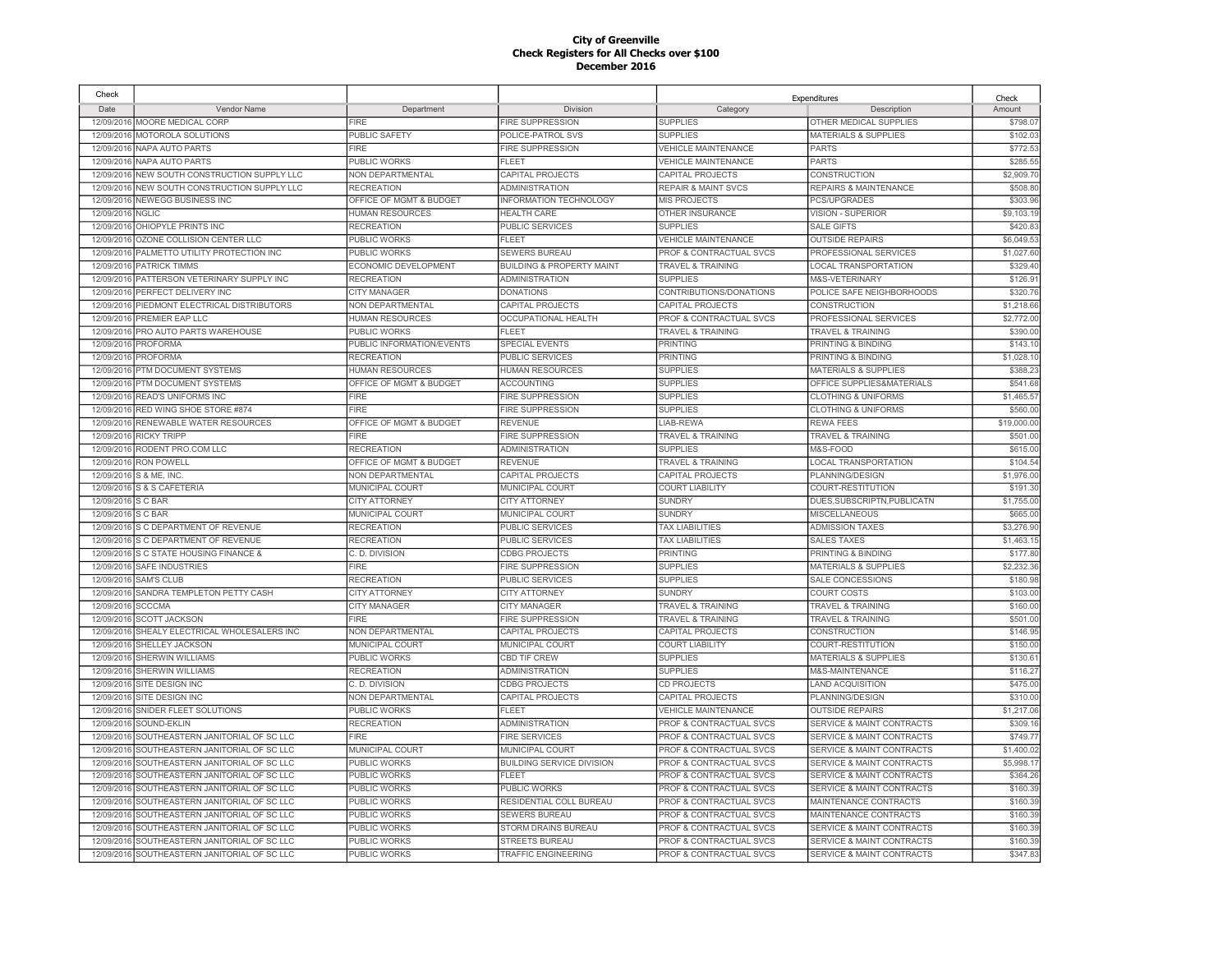| Check      |                                              |                           |                                      |                                    | Expenditures                         | Check      |
|------------|----------------------------------------------|---------------------------|--------------------------------------|------------------------------------|--------------------------------------|------------|
| Date       | Vendor Name                                  | Department                | Division                             | Category                           | Description                          | Amount     |
| 12/09/2016 | MOORE MEDICAL CORP                           | <b>FIRE</b>               | FIRE SUPPRESSION                     | <b>SUPPLIES</b>                    | OTHER MEDICAL SUPPLIES               | \$798.07   |
| 12/09/2016 | MOTOROLA SOLUTIONS                           | PUBLIC SAFETY             | POLICE-PATROL SVS                    | <b>SUPPLIES</b>                    | <b>MATERIALS &amp; SUPPLIES</b>      | \$102.03   |
| 12/09/2016 | NAPA AUTO PARTS                              | <b>FIRE</b>               | FIRE SUPPRESSION                     | <b>VEHICLE MAINTENANCE</b>         | <b>PARTS</b>                         | \$772.5    |
| 12/09/2016 | NAPA AUTO PARTS                              | PUBLIC WORKS              | <b>FLEET</b>                         | <b>VEHICLE MAINTENANCE</b>         | <b>PARTS</b>                         | \$285.55   |
| 12/09/2016 | NEW SOUTH CONSTRUCTION SUPPLY LLC            | NON DEPARTMENTAL          | CAPITAL PROJECTS                     | CAPITAL PROJECTS                   | CONSTRUCTION                         | \$2,909.7  |
| 12/09/2016 | NEW SOUTH CONSTRUCTION SUPPLY LLC            | <b>RECREATION</b>         | <b>ADMINISTRATION</b>                | <b>REPAIR &amp; MAINT SVCS</b>     | <b>REPAIRS &amp; MAINTENANCE</b>     | \$508.8    |
| 12/09/2016 | <b>NEWEGG BUSINESS INC</b>                   | OFFICE OF MGMT & BUDGET   | INFORMATION TECHNOLOGY               | MIS PROJECTS                       | PCS/UPGRADES                         | \$303.9    |
| 12/09/2016 | <b>NGLIC</b>                                 | <b>HUMAN RESOURCES</b>    | <b>HEALTH CARE</b>                   | OTHER INSURANCE                    | VISION - SUPERIOR                    | \$9,103.19 |
| 12/09/2016 | OHIOPYLE PRINTS INC                          | <b>RECREATION</b>         | PUBLIC SERVICES                      | <b>SUPPLIES</b>                    | <b>SALE GIFTS</b>                    | \$420.8    |
| 12/09/2016 | OZONE COLLISION CENTER LLC                   | PUBLIC WORKS              | <b>FLEET</b>                         | <b>VEHICLE MAINTENANCE</b>         | <b>OUTSIDE REPAIRS</b>               | \$6,049.5  |
| 12/09/2016 | PALMETTO UTILITY PROTECTION INC              | PUBLIC WORKS              | SEWERS BUREAU                        | PROF & CONTRACTUAL SVCS            | PROFESSIONAL SERVICES                | \$1,027.6  |
| 12/09/2016 | <b>PATRICK TIMMS</b>                         | ECONOMIC DEVELOPMENT      | <b>BUILDING &amp; PROPERTY MAINT</b> | <b>TRAVEL &amp; TRAINING</b>       | <b>LOCAL TRANSPORTATION</b>          | \$329.40   |
| 12/09/2016 | PATTERSON VETERINARY SUPPLY INC              | <b>RECREATION</b>         | <b>ADMINISTRATION</b>                | <b>SUPPLIES</b>                    | M&S-VETERINARY                       | \$126.9    |
| 12/09/2016 | PERFECT DELIVERY INC                         | CITY MANAGER              | <b>DONATIONS</b>                     | CONTRIBUTIONS/DONATIONS            | POLICE SAFE NEIGHBORHOODS            | \$320.7    |
| 12/09/201  | PIEDMONT ELECTRICAL DISTRIBUTORS             | NON DEPARTMENTAL          | CAPITAL PROJECTS                     | CAPITAL PROJECTS                   | CONSTRUCTION                         | \$1,218.6  |
| 12/09/2016 | <b>PREMIER EAP LLC</b>                       | <b>HUMAN RESOURCES</b>    | <b>OCCUPATIONAL HEALTH</b>           | <b>PROF &amp; CONTRACTUAL SVCS</b> | PROFESSIONAL SERVICES                | \$2,772.00 |
| 12/09/201  | PRO AUTO PARTS WAREHOUSE                     | PUBLIC WORKS              | FLEET                                | <b>TRAVEL &amp; TRAINING</b>       | <b>TRAVEL &amp; TRAINING</b>         | \$390.0    |
| 12/09/2016 | <b>PROFORMA</b>                              | PUBLIC INFORMATION/EVENTS | <b>SPECIAL EVENTS</b>                | PRINTING                           | PRINTING & BINDING                   | \$143.1    |
| 12/09/2016 | PROFORMA                                     | <b>RECREATION</b>         | <b>PUBLIC SERVICES</b>               | <b>PRINTING</b>                    | PRINTING & BINDING                   | \$1,028.1  |
| 12/09/2016 | PTM DOCUMENT SYSTEMS                         | <b>HUMAN RESOURCES</b>    | <b>HUMAN RESOURCES</b>               | <b>SUPPLIES</b>                    | <b>MATERIALS &amp; SUPPLIES</b>      | \$388.2    |
| 12/09/2016 | PTM DOCUMENT SYSTEMS                         | OFFICE OF MGMT & BUDGET   | <b>ACCOUNTING</b>                    | <b>SUPPLIES</b>                    | OFFICE SUPPLIES&MATERIALS            | \$541.6    |
| 12/09/2016 | READ'S UNIFORMS INC                          | <b>FIRE</b>               | <b>FIRE SUPPRESSION</b>              | <b>SUPPLIES</b>                    | <b>CLOTHING &amp; UNIFORMS</b>       | \$1,465.5  |
|            |                                              | FIRE                      |                                      |                                    |                                      |            |
| 12/09/2016 | RED WING SHOE STORE #874                     |                           | <b>FIRE SUPPRESSION</b>              | <b>SUPPLIES</b>                    | <b>CLOTHING &amp; UNIFORMS</b>       | \$560.0    |
| 12/09/2016 | RENEWABLE WATER RESOURCES                    | OFFICE OF MGMT & BUDGET   | <b>REVENUE</b>                       | LIAB-REWA                          | <b>REWA FEES</b>                     | \$19,000.0 |
| 12/09/2016 | <b>RICKY TRIPP</b>                           | <b>FIRE</b>               | <b>FIRE SUPPRESSION</b>              | <b>TRAVEL &amp; TRAINING</b>       | TRAVEL & TRAINING                    | \$501.0    |
| 12/09/2016 | RODENT PRO.COM LLC                           | <b>RECREATION</b>         | <b>ADMINISTRATION</b>                | <b>SUPPLIES</b>                    | M&S-FOOD                             | \$615.00   |
| 12/09/2016 | RON POWELL                                   | OFFICE OF MGMT & BUDGET   | <b>REVENUE</b>                       | TRAVEL & TRAINING                  | <b>LOCAL TRANSPORTATION</b>          | \$104.54   |
| 12/09/2016 | S & ME, INC.                                 | NON DEPARTMENTAL          | CAPITAL PROJECTS                     | CAPITAL PROJECTS                   | PLANNING/DESIGN                      | \$1,976.00 |
| 12/09/2016 | S & S CAFETERIA                              | MUNICIPAL COURT           | MUNICIPAL COURT                      | <b>COURT LIABILITY</b>             | COURT-RESTITUTION                    | \$191.3    |
| 12/09/2016 | S C BAR                                      | <b>CITY ATTORNEY</b>      | <b>CITY ATTORNEY</b>                 | <b>SUNDRY</b>                      | DUES, SUBSCRIPTN, PUBLICATN          | \$1,755.00 |
| 12/09/2016 | S C BAR                                      | MUNICIPAL COURT           | MUNICIPAL COURT                      | <b>SUNDRY</b>                      | MISCELLANEOUS                        | \$665.00   |
|            | 12/09/2016 S C DEPARTMENT OF REVENUE         | <b>RECREATION</b>         | PUBLIC SERVICES                      | <b>TAX LIABILITIES</b>             | <b>ADMISSION TAXES</b>               | \$3,276.9  |
|            | 12/09/2016 S C DEPARTMENT OF REVENUE         | <b>RECREATION</b>         | PUBLIC SERVICES                      | <b>TAX LIABILITIES</b>             | <b>SALES TAXES</b>                   | \$1,463.1  |
| 12/09/2016 | S C STATE HOUSING FINANCE &                  | C. D. DIVISION            | <b>CDBG PROJECTS</b>                 | <b>PRINTING</b>                    | PRINTING & BINDING                   | \$177.8    |
| 12/09/2016 | <b>SAFE INDUSTRIES</b>                       | <b>FIRE</b>               | <b>FIRE SUPPRESSION</b>              | <b>SUPPLIES</b>                    | <b>MATERIALS &amp; SUPPLIES</b>      | \$2,232.3  |
| 12/09/2016 | <b>SAM'S CLUB</b>                            | <b>RECREATION</b>         | <b>PUBLIC SERVICES</b>               | <b>SUPPLIES</b>                    | SALE CONCESSIONS                     | \$180.9    |
| 12/09/2016 | SANDRA TEMPLETON PETTY CASH                  | <b>CITY ATTORNEY</b>      | <b>CITY ATTORNEY</b>                 | <b>SUNDRY</b>                      | <b>COURT COSTS</b>                   | \$103.0    |
| 12/09/2016 | SCCCMA                                       | <b>CITY MANAGER</b>       | CITY MANAGER                         | TRAVEL & TRAINING                  | <b>TRAVEL &amp; TRAINING</b>         | \$160.0    |
| 12/09/2016 | <b>SCOTT JACKSON</b>                         | <b>FIRE</b>               | <b>FIRE SUPPRESSION</b>              | <b>TRAVEL &amp; TRAINING</b>       | <b>TRAVEL &amp; TRAINING</b>         | \$501.0    |
| 12/09/2016 | SHEALY ELECTRICAL WHOLESALERS INC            | NON DEPARTMENTAL          | CAPITAL PROJECTS                     | CAPITAL PROJECTS                   | <b>CONSTRUCTION</b>                  | \$146.9    |
| 12/09/2016 | <b>SHELLEY JACKSON</b>                       | MUNICIPAL COURT           | <b>MUNICIPAL COURT</b>               | <b>COURT LIABILITY</b>             | COURT-RESTITUTION                    | \$150.0    |
| 12/09/2016 | SHERWIN WILLIAMS                             | PUBLIC WORKS              | <b>CBD TIF CREW</b>                  | <b>SUPPLIES</b>                    | <b>MATERIALS &amp; SUPPLIES</b>      | \$130.6    |
| 12/09/2016 | <b>SHERWIN WILLIAMS</b>                      | <b>RECREATION</b>         | <b>ADMINISTRATION</b>                | <b>SUPPLIES</b>                    | M&S-MAINTENANCE                      | \$116.27   |
| 12/09/2016 | SITE DESIGN INC                              | C. D. DIVISION            | <b>CDBG PROJECTS</b>                 | CD PROJECTS                        | <b>LAND ACQUISITION</b>              | \$475.0    |
| 12/09/2016 | SITE DESIGN INC                              | NON DEPARTMENTAL          | CAPITAL PROJECTS                     | CAPITAL PROJECTS                   | PLANNING/DESIGN                      | \$310.0    |
| 12/09/2016 | SNIDER FLEET SOLUTIONS                       | PUBLIC WORKS              | FLEET                                | VEHICLE MAINTENANCE                | <b>OUTSIDE REPAIRS</b>               | \$1,217.06 |
| 12/09/2016 | SOUND-EKLIN                                  | <b>RECREATION</b>         | <b>ADMINISTRATION</b>                | PROF & CONTRACTUAL SVCS            | <b>SERVICE &amp; MAINT CONTRACTS</b> | \$309.1    |
| 12/09/2016 | SOUTHEASTERN JANITORIAL OF SC LLC            | FIRE                      | <b>FIRE SERVICES</b>                 | PROF & CONTRACTUAL SVCS            | <b>SERVICE &amp; MAINT CONTRACTS</b> | \$749.7    |
| 12/09/2016 | SOUTHEASTERN JANITORIAL OF SC LLC            | MUNICIPAL COURT           | <b>MUNICIPAL COURT</b>               | PROF & CONTRACTUAL SVCS            | <b>SERVICE &amp; MAINT CONTRACTS</b> | \$1,400.0  |
| 12/09/2016 | SOUTHEASTERN JANITORIAL OF SC LLC            | PUBLIC WORKS              | <b>BUILDING SERVICE DIVISION</b>     | PROF & CONTRACTUAL SVCS            | SERVICE & MAINT CONTRACTS            | \$5,998.1  |
| 12/09/2016 | SOUTHEASTERN JANITORIAL OF SC LLC            | PUBLIC WORKS              | FLEET                                | <b>PROF &amp; CONTRACTUAL SVCS</b> | <b>SERVICE &amp; MAINT CONTRACTS</b> | \$364.26   |
| 12/09/2016 | SOUTHEASTERN JANITORIAL OF SC LLC            | PUBLIC WORKS              | PUBLIC WORKS                         | PROF & CONTRACTUAL SVCS            | SERVICE & MAINT CONTRACTS            | \$160.3    |
| 12/09/2016 | SOUTHEASTERN JANITORIAL OF SC LLC            | PUBLIC WORKS              | RESIDENTIAL COLL BUREAU              | PROF & CONTRACTUAL SVCS            | MAINTENANCE CONTRACTS                | \$160.3    |
| 12/09/2016 | SOUTHEASTERN JANITORIAL OF SC LLC            | PUBLIC WORKS              | SEWERS BUREAU                        | <b>PROF &amp; CONTRACTUAL SVCS</b> | MAINTENANCE CONTRACTS                | \$160.39   |
| 12/09/2016 | SOUTHEASTERN JANITORIAL OF SC LLC            | PUBLIC WORKS              | STORM DRAINS BUREAU                  | <b>PROF &amp; CONTRACTUAL SVCS</b> | <b>SERVICE &amp; MAINT CONTRACTS</b> | \$160.3    |
| 12/09/2016 | SOUTHEASTERN JANITORIAL OF SC LLC            | PUBLIC WORKS              | <b>STREETS BUREAU</b>                | PROF & CONTRACTUAL SVCS            | SERVICE & MAINT CONTRACTS            | \$160.39   |
|            | 12/09/2016 SOUTHEASTERN JANITORIAL OF SC LLC | <b>PUBLIC WORKS</b>       | <b>TRAFFIC ENGINEERING</b>           | PROF & CONTRACTUAL SVCS            | <b>SERVICE &amp; MAINT CONTRACTS</b> | \$347.83   |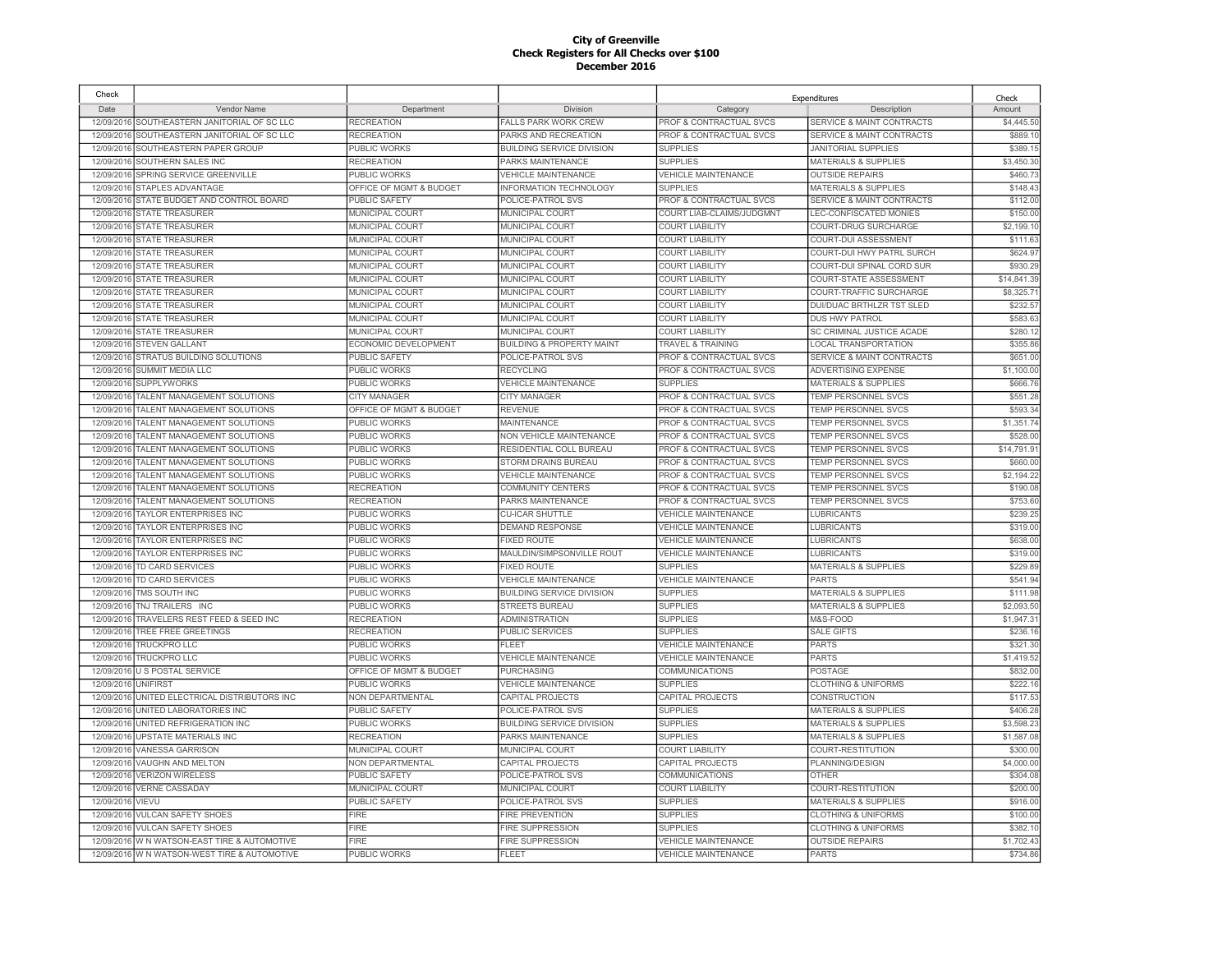| Check      |                                              |                         |                                      |                                    | Expenditures                         | Check      |
|------------|----------------------------------------------|-------------------------|--------------------------------------|------------------------------------|--------------------------------------|------------|
| Date       | Vendor Name                                  | Department              | Division                             | Category                           | Description                          | Amount     |
| 12/09/2016 | SOUTHEASTERN JANITORIAL OF SC LLC            | <b>RECREATION</b>       | FALLS PARK WORK CREW                 | PROF & CONTRACTUAL SVCS            | SERVICE & MAINT CONTRACTS            | \$4,445.50 |
| 12/09/2016 | SOUTHEASTERN JANITORIAL OF SC LLC            | <b>RECREATION</b>       | PARKS AND RECREATION                 | PROF & CONTRACTUAL SVCS            | <b>SERVICE &amp; MAINT CONTRACTS</b> | \$889.10   |
| 12/09/2016 | SOUTHEASTERN PAPER GROUP                     | PUBLIC WORKS            | <b>BUILDING SERVICE DIVISION</b>     | <b>SUPPLIES</b>                    | <b>JANITORIAL SUPPLIES</b>           | \$389.1    |
| 12/09/2016 | SOUTHERN SALES INC                           | <b>RECREATION</b>       | PARKS MAINTENANCE                    | <b>SUPPLIES</b>                    | <b>MATERIALS &amp; SUPPLIES</b>      | \$3,450.30 |
| 12/09/2016 | SPRING SERVICE GREENVILLE                    | PUBLIC WORKS            | <b>VEHICLE MAINTENANCE</b>           | VEHICLE MAINTENANCE                | <b>OUTSIDE REPAIRS</b>               | \$460.7    |
|            | 12/09/2016 STAPLES ADVANTAGE                 | OFFICE OF MGMT & BUDGET | INFORMATION TECHNOLOGY               | <b>SUPPLIES</b>                    | <b>MATERIALS &amp; SUPPLIES</b>      | \$148.43   |
| 12/09/2016 | STATE BUDGET AND CONTROL BOARD               | PUBLIC SAFETY           | POLICE-PATROL SVS                    | PROF & CONTRACTUAL SVCS            | <b>SERVICE &amp; MAINT CONTRACTS</b> | \$112.00   |
| 12/09/2016 | <b>STATE TREASURER</b>                       | MUNICIPAL COURT         | MUNICIPAL COURT                      | COURT LIAB-CLAIMS/JUDGMNT          | LEC-CONFISCATED MONIES               | \$150.00   |
| 12/09/2016 | <b>STATE TREASURER</b>                       | MUNICIPAL COURT         | MUNICIPAL COURT                      | <b>COURT LIABILITY</b>             | COURT-DRUG SURCHARGE                 | \$2,199.1  |
| 12/09/2016 | <b>STATE TREASURER</b>                       | MUNICIPAL COURT         | MUNICIPAL COURT                      | <b>COURT LIABILITY</b>             | COURT-DUI ASSESSMENT                 | \$111.6    |
| 12/09/2016 | <b>STATE TREASURER</b>                       | MUNICIPAL COURT         | MUNICIPAL COURT                      | <b>COURT LIABILITY</b>             | COURT-DUI HWY PATRL SURCH            | \$624.9    |
| 12/09/2016 | <b>STATE TREASURER</b>                       | MUNICIPAL COURT         | MUNICIPAL COURT                      | <b>COURT LIABILITY</b>             | COURT-DUI SPINAL CORD SUR            | \$930.29   |
| 12/09/2016 | <b>STATE TREASURER</b>                       | MUNICIPAL COURT         | MUNICIPAL COURT                      | <b>COURT LIABILITY</b>             | COURT-STATE ASSESSMENT               | \$14,841.3 |
| 12/09/2016 | <b>STATE TREASURER</b>                       | <b>MUNICIPAL COURT</b>  | <b>MUNICIPAL COURT</b>               | <b>COURT LIABILITY</b>             | COURT-TRAFFIC SURCHARGE              | \$8,325.7  |
| 12/09/2016 | STATE TREASURER                              | MUNICIPAL COURT         | MUNICIPAL COURT                      | <b>COURT LIABILITY</b>             | DUI/DUAC BRTHLZR TST SLED            | \$232.5    |
| 12/09/2016 | <b>STATE TREASURER</b>                       | MUNICIPAL COURT         | MUNICIPAL COURT                      | <b>COURT LIABILITY</b>             | <b>DUS HWY PATROL</b>                | \$583.6    |
| 12/09/2016 | <b>STATE TREASURER</b>                       | MUNICIPAL COURT         | MUNICIPAL COURT                      | <b>COURT LIABILITY</b>             | SC CRIMINAL JUSTICE ACADE            | \$280.1    |
| 12/09/2016 | <b>STEVEN GALLANT</b>                        | ECONOMIC DEVELOPMENT    | <b>BUILDING &amp; PROPERTY MAINT</b> | <b>TRAVEL &amp; TRAINING</b>       | <b>LOCAL TRANSPORTATION</b>          | \$355.8    |
| 12/09/2016 | STRATUS BUILDING SOLUTIONS                   | <b>PUBLIC SAFETY</b>    | POLICE-PATROL SVS                    | PROF & CONTRACTUAL SVCS            | <b>SERVICE &amp; MAINT CONTRACTS</b> | \$651.0    |
| 12/09/2016 | SUMMIT MEDIA LLC                             | PUBLIC WORKS            | <b>RECYCLING</b>                     | PROF & CONTRACTUAL SVCS            | <b>ADVERTISING EXPENSE</b>           | \$1,100.00 |
| 12/09/201  | <b>SUPPLYWORKS</b>                           | PUBLIC WORKS            | <b>VEHICLE MAINTENANCE</b>           | <b>SUPPLIES</b>                    | <b>MATERIALS &amp; SUPPLIES</b>      | \$666.7    |
| 12/09/2016 | TALENT MANAGEMENT SOLUTIONS                  | <b>CITY MANAGER</b>     | <b>CITY MANAGER</b>                  | PROF & CONTRACTUAL SVCS            | TEMP PERSONNEL SVCS                  | \$551.2    |
| 12/09/2016 | TALENT MANAGEMENT SOLUTIONS                  | OFFICE OF MGMT & BUDGET | <b>REVENUE</b>                       | <b>PROF &amp; CONTRACTUAL SVCS</b> | <b>TEMP PERSONNEL SVCS</b>           | \$593.34   |
| 12/09/2016 | TALENT MANAGEMENT SOLUTIONS                  | PUBLIC WORKS            | <b>MAINTENANCE</b>                   | <b>PROF &amp; CONTRACTUAL SVCS</b> | <b>TEMP PERSONNEL SVCS</b>           | \$1,351.7  |
| 12/09/2016 | TALENT MANAGEMENT SOLUTIONS                  | PUBLIC WORKS            | NON VEHICLE MAINTENANCE              | PROF & CONTRACTUAL SVCS            | <b>TEMP PERSONNEL SVCS</b>           | \$528.0    |
| 12/09/2016 | TALENT MANAGEMENT SOLUTIONS                  | PUBLIC WORKS            | RESIDENTIAL COLL BUREAU              | <b>PROF &amp; CONTRACTUAL SVCS</b> | <b>TEMP PERSONNEL SVCS</b>           | \$14,791.9 |
| 12/09/2016 | TALENT MANAGEMENT SOLUTIONS                  | PUBLIC WORKS            | STORM DRAINS BUREAU                  | PROF & CONTRACTUAL SVCS            | <b>TEMP PERSONNEL SVCS</b>           | \$660.0    |
| 12/09/2016 | TALENT MANAGEMENT SOLUTIONS                  | <b>PUBLIC WORKS</b>     | <b>VEHICLE MAINTENANCE</b>           | <b>PROF &amp; CONTRACTUAL SVCS</b> | <b>TEMP PERSONNEL SVCS</b>           | \$2,194.22 |
| 12/09/2016 | TALENT MANAGEMENT SOLUTIONS                  | <b>RECREATION</b>       | <b>COMMUNITY CENTERS</b>             | PROF & CONTRACTUAL SVCS            | <b>TEMP PERSONNEL SVCS</b>           | \$190.0    |
| 12/09/2016 | TALENT MANAGEMENT SOLUTIONS                  | <b>RECREATION</b>       | PARKS MAINTENANCE                    | <b>PROF &amp; CONTRACTUAL SVCS</b> | <b>TEMP PERSONNEL SVCS</b>           | \$753.60   |
| 12/09/2016 | TAYLOR ENTERPRISES INC                       | PUBLIC WORKS            | <b>CU-ICAR SHUTTLE</b>               | <b>VEHICLE MAINTENANCE</b>         | <b>LUBRICANTS</b>                    | \$239.25   |
| 12/09/2016 | <b>TAYLOR ENTERPRISES INC</b>                | PUBLIC WORKS            | <b>DEMAND RESPONSE</b>               | <b>VEHICLE MAINTENANCE</b>         | <b>LUBRICANTS</b>                    | \$319.0    |
| 12/09/2016 | TAYLOR ENTERPRISES INC                       | <b>PUBLIC WORKS</b>     | <b>FIXED ROUTE</b>                   | <b>VEHICLE MAINTENANCE</b>         | <b>LUBRICANTS</b>                    | \$638.00   |
| 12/09/2016 | TAYLOR ENTERPRISES INC                       | PUBLIC WORKS            | MAULDIN/SIMPSONVILLE ROUT            | <b>VEHICLE MAINTENANCE</b>         | <b>LUBRICANTS</b>                    | \$319.0    |
| 12/09/2016 | <b>TD CARD SERVICES</b>                      | PUBLIC WORKS            | <b>FIXED ROUTE</b>                   | <b>SUPPLIES</b>                    | <b>MATERIALS &amp; SUPPLIES</b>      | \$229.89   |
| 12/09/2016 | TD CARD SERVICES                             | PUBLIC WORKS            | <b>VEHICLE MAINTENANCE</b>           | <b>VEHICLE MAINTENANCE</b>         | <b>PARTS</b>                         | \$541.94   |
| 12/09/2016 | TMS SOUTH INC                                | <b>PUBLIC WORKS</b>     | <b>BUILDING SERVICE DIVISION</b>     | <b>SUPPLIES</b>                    | <b>MATERIALS &amp; SUPPLIES</b>      | \$111.98   |
| 12/09/2016 | TNJ TRAILERS INC                             | PUBLIC WORKS            | <b>STREETS BUREAU</b>                | <b>SUPPLIES</b>                    | <b>MATERIALS &amp; SUPPLIES</b>      | \$2,093.5  |
| 12/09/2016 | TRAVELERS REST FEED & SEED INC               | <b>RECREATION</b>       | ADMINISTRATION                       | <b>SUPPLIES</b>                    | M&S-FOOD                             | \$1,947.31 |
|            | 12/09/2016 TREE FREE GREETINGS               | <b>RECREATION</b>       | PUBLIC SERVICES                      | <b>SUPPLIES</b>                    | <b>SALE GIFTS</b>                    | \$236.1    |
|            | 12/09/2016 TRUCKPRO LLC                      | PUBLIC WORKS            | <b>FLEET</b>                         | <b>VEHICLE MAINTENANCE</b>         | <b>PARTS</b>                         | \$321.30   |
| 12/09/2016 | <b>TRUCKPRO LLC</b>                          | PUBLIC WORKS            | <b>VEHICLE MAINTENANCE</b>           | <b>VEHICLE MAINTENANCE</b>         | <b>PARTS</b>                         | \$1,419.5  |
| 12/09/2016 | U S POSTAL SERVICE                           | OFFICE OF MGMT & BUDGET | PURCHASING                           | <b>COMMUNICATIONS</b>              | POSTAGE                              | \$832.00   |
| 12/09/2016 | <b>UNIFIRST</b>                              | PUBLIC WORKS            | <b>VEHICLE MAINTENANCE</b>           | <b>SUPPLIES</b>                    | <b>CLOTHING &amp; UNIFORMS</b>       | \$222.1    |
| 12/09/2016 | UNITED ELECTRICAL DISTRIBUTORS INC           | NON DEPARTMENTAL        | CAPITAL PROJECTS                     | CAPITAL PROJECTS                   | CONSTRUCTION                         | \$117.5    |
| 12/09/2016 | UNITED LABORATORIES INC                      | PUBLIC SAFETY           | POLICE-PATROL SVS                    | <b>SUPPLIES</b>                    | <b>MATERIALS &amp; SUPPLIES</b>      | \$406.2    |
| 12/09/2016 | UNITED REFRIGERATION INC                     | PUBLIC WORKS            | <b>BUILDING SERVICE DIVISION</b>     | <b>SUPPLIES</b>                    | <b>MATERIALS &amp; SUPPLIES</b>      | \$3,598.2  |
| 12/09/2016 | UPSTATE MATERIALS INC                        | <b>RECREATION</b>       | PARKS MAINTENANCE                    | <b>SUPPLIES</b>                    | <b>MATERIALS &amp; SUPPLIES</b>      | \$1,587.0  |
| 12/09/2016 | <b>VANESSA GARRISON</b>                      | <b>MUNICIPAL COURT</b>  | <b>MUNICIPAL COURT</b>               | <b>COURT LIABILITY</b>             | COURT-RESTITUTION                    | \$300.0    |
| 12/09/2016 | <b>VAUGHN AND MELTON</b>                     | NON DEPARTMENTAL        | CAPITAL PROJECTS                     | CAPITAL PROJECTS                   | PLANNING/DESIGN                      | \$4,000.0  |
| 12/09/2016 | <b>VERIZON WIRELESS</b>                      | PUBLIC SAFETY           | POLICE-PATROL SVS                    | <b>COMMUNICATIONS</b>              | <b>OTHER</b>                         | \$304.0    |
| 12/09/2016 | <b>VERNE CASSADAY</b>                        | MUNICIPAL COURT         | MUNICIPAL COURT                      | <b>COURT LIABILITY</b>             | COURT-RESTITUTION                    | \$200.0    |
| 12/09/2016 | VIEVU                                        | PUBLIC SAFETY           | POLICE-PATROL SVS                    | <b>SUPPLIES</b>                    | <b>MATERIALS &amp; SUPPLIES</b>      | \$916.0    |
| 12/09/201  | <b>VULCAN SAFETY SHOES</b>                   | <b>FIRE</b>             | <b>FIRE PREVENTION</b>               | <b>SUPPLIES</b>                    | <b>CLOTHING &amp; UNIFORMS</b>       | \$100.0    |
| 12/09/2016 | <b>VULCAN SAFETY SHOES</b>                   | FIRE                    | <b>FIRE SUPPRESSION</b>              | <b>SUPPLIES</b>                    | <b>CLOTHING &amp; UNIFORMS</b>       | \$382.1    |
| 12/09/2016 | W N WATSON-EAST TIRE & AUTOMOTIVE            | <b>FIRE</b>             | <b>FIRE SUPPRESSION</b>              | <b>VEHICLE MAINTENANCE</b>         | <b>OUTSIDE REPAIRS</b>               | \$1,702.4  |
|            | 12/09/2016 W N WATSON-WEST TIRE & AUTOMOTIVE | <b>PUBLIC WORKS</b>     | <b>FLEET</b>                         | <b>VEHICLE MAINTENANCE</b>         | <b>PARTS</b>                         | \$734.86   |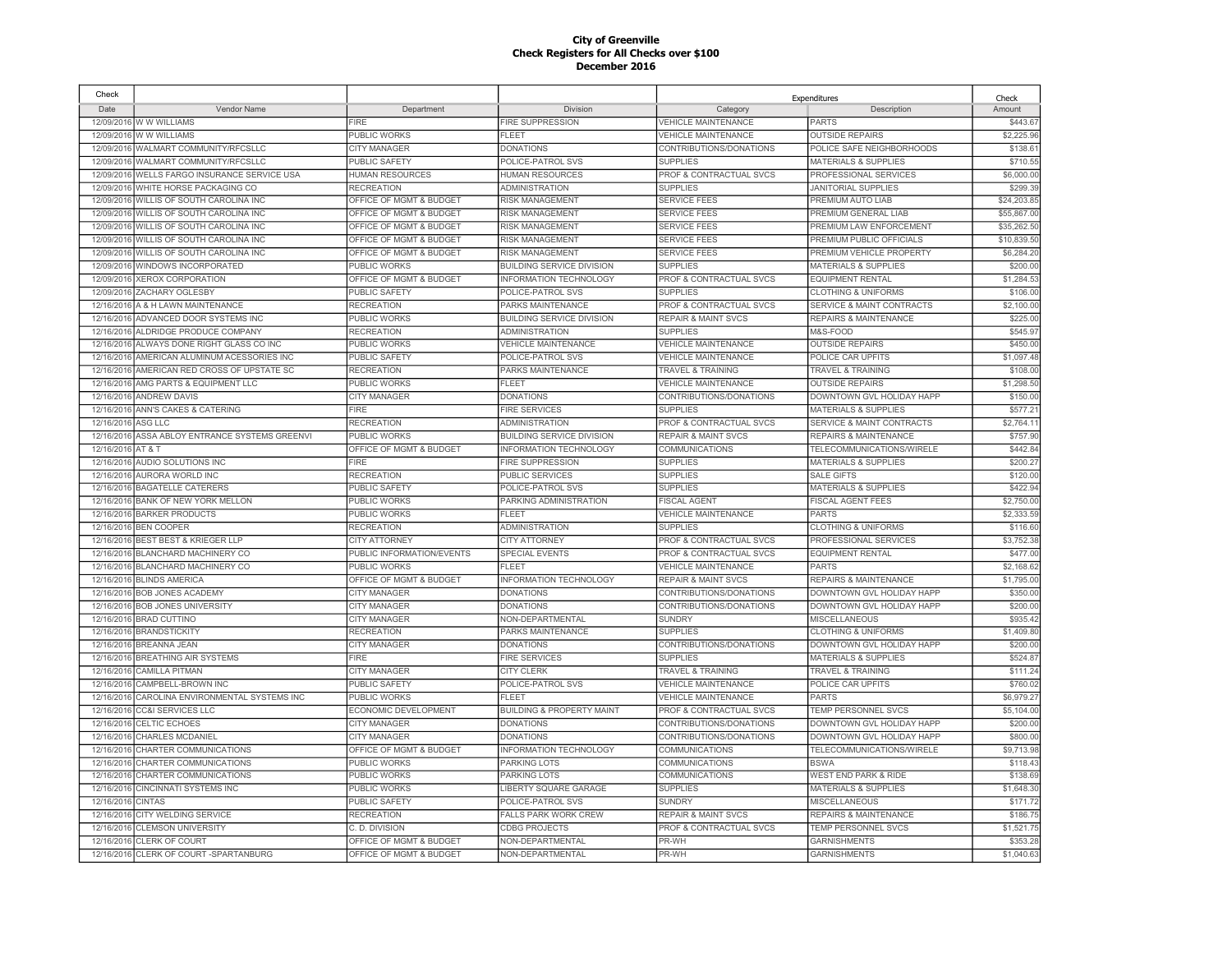| Check      |                                         |                           |                                      | Expenditures                       |                                      | Check       |
|------------|-----------------------------------------|---------------------------|--------------------------------------|------------------------------------|--------------------------------------|-------------|
| Date       | Vendor Name                             | Department                | Division                             | Category                           | Description                          | Amount      |
|            | 12/09/2016 W W WILLIAMS                 | <b>FIRE</b>               | <b>FIRE SUPPRESSION</b>              | <b>VEHICLE MAINTENANCE</b>         | <b>PARTS</b>                         | \$443.67    |
|            | 12/09/2016 W W WILLIAMS                 | PUBLIC WORKS              | FI FFT                               | <b>VEHICLE MAINTENANCE</b>         | <b>OUTSIDE REPAIRS</b>               | \$2,225.96  |
|            | 12/09/2016 WALMART COMMUNITY/RFCSLLC    | <b>CITY MANAGER</b>       | <b>DONATIONS</b>                     | CONTRIBUTIONS/DONATIONS            | POLICE SAFE NEIGHBORHOODS            | \$138.6'    |
| 12/09/2016 | WALMART COMMUNITY/RFCSLLC               | PUBLIC SAFETY             | POLICE-PATROL SVS                    | <b>SUPPLIES</b>                    | <b>MATERIALS &amp; SUPPLIES</b>      | \$710.55    |
| 12/09/2016 | WELLS FARGO INSURANCE SERVICE USA       | <b>HUMAN RESOURCES</b>    | <b>HUMAN RESOURCES</b>               | PROF & CONTRACTUAL SVCS            | PROFESSIONAL SERVICES                | \$6,000.00  |
|            | 12/09/2016 WHITE HORSE PACKAGING CO     | <b>RECREATION</b>         | <b>ADMINISTRATION</b>                | <b>SUPPLIES</b>                    | <b>JANITORIAL SUPPLIES</b>           | \$299.39    |
| 12/09/2016 | WILLIS OF SOUTH CAROLINA INC            | OFFICE OF MGMT & BUDGET   | <b>RISK MANAGEMENT</b>               | <b>SERVICE FEES</b>                | PREMIUM AUTO LIAB                    | \$24,203.8  |
| 12/09/2016 | WILLIS OF SOUTH CAROLINA INC            | OFFICE OF MGMT & BUDGET   | <b>RISK MANAGEMENT</b>               | <b>SERVICE FEES</b>                | PREMIUM GENERAL LIAB                 | \$55,867.00 |
| 12/09/2016 | <b>WILLIS OF SOUTH CAROLINA INC</b>     | OFFICE OF MGMT & BUDGET   | <b>RISK MANAGEMENT</b>               | <b>SERVICE FEES</b>                | PREMIUM LAW ENFORCEMENT              | \$35,262.50 |
|            | 12/09/2016 WILLIS OF SOUTH CAROLINA INC | OFFICE OF MGMT & BUDGET   | <b>RISK MANAGEMENT</b>               | <b>SERVICE FEES</b>                | PREMIUM PUBLIC OFFICIALS             | \$10,839.50 |
| 12/09/2016 | WILLIS OF SOUTH CAROLINA INC            | OFFICE OF MGMT & BUDGET   | <b>RISK MANAGEMENT</b>               | <b>SERVICE FEES</b>                | PREMIUM VEHICLE PROPERTY             | \$6,284.20  |
| 12/09/2016 | WINDOWS INCORPORATED                    | PUBLIC WORKS              | <b>BUILDING SERVICE DIVISION</b>     | <b>SUPPLIES</b>                    | <b>MATERIALS &amp; SUPPLIES</b>      | \$200.00    |
| 12/09/2016 | <b>XEROX CORPORATION</b>                | OFFICE OF MGMT & BUDGET   | INFORMATION TECHNOLOGY               | PROF & CONTRACTUAL SVCS            | <b>EQUIPMENT RENTAL</b>              | \$1,284.5   |
| 12/09/2016 | ZACHARY OGLESBY                         | <b>PUBLIC SAFETY</b>      | POLICE-PATROL SVS                    | <b>SUPPLIES</b>                    | <b>CLOTHING &amp; UNIFORMS</b>       | \$106.00    |
| 12/16/2016 | A & H LAWN MAINTENANCE                  | <b>RECREATION</b>         | PARKS MAINTENANCE                    | PROF & CONTRACTUAL SVCS            | SERVICE & MAINT CONTRACTS            | \$2,100.00  |
| 12/16/2016 | ADVANCED DOOR SYSTEMS INC               | PUBLIC WORKS              | <b>BUILDING SERVICE DIVISION</b>     | <b>REPAIR &amp; MAINT SVCS</b>     | REPAIRS & MAINTENANCE                | \$225.00    |
| 12/16/2016 | ALDRIDGE PRODUCE COMPANY                | <b>RECREATION</b>         | <b>ADMINISTRATION</b>                | <b>SUPPLIES</b>                    | M&S-FOOD                             | \$545.97    |
| 12/16/2016 | ALWAYS DONE RIGHT GLASS CO INC          | PUBLIC WORKS              | <b>VEHICLE MAINTENANCE</b>           | <b>VEHICLE MAINTENANCE</b>         | <b>OUTSIDE REPAIRS</b>               | \$450.00    |
| 12/16/2016 | AMERICAN ALUMINUM ACESSORIES INC        | <b>PUBLIC SAFETY</b>      | POLICE-PATROL SVS                    | <b>VEHICLE MAINTENANCE</b>         | POLICE CAR UPFITS                    | \$1,097.48  |
| 12/16/2016 | AMERICAN RED CROSS OF UPSTATE SC        | <b>RECREATION</b>         | PARKS MAINTENANCE                    | <b>TRAVEL &amp; TRAINING</b>       | TRAVEL & TRAINING                    | \$108.00    |
| 12/16/2016 | AMG PARTS & EQUIPMENT LLC               | PUBLIC WORKS              | <b>FLEET</b>                         | <b>VEHICLE MAINTENANCE</b>         | <b>OUTSIDE REPAIRS</b>               | \$1,298.5   |
| 12/16/2016 | <b>ANDREW DAVIS</b>                     | <b>CITY MANAGER</b>       | <b>DONATIONS</b>                     | CONTRIBUTIONS/DONATIONS            | DOWNTOWN GVL HOLIDAY HAPP            | \$150.00    |
| 12/16/2016 | ANN'S CAKES & CATERING                  | <b>FIRE</b>               | <b>FIRE SERVICES</b>                 | <b>SUPPLIES</b>                    | <b>MATERIALS &amp; SUPPLIES</b>      | \$577.2     |
| 12/16/2016 | ASG LLC                                 | <b>RECREATION</b>         | <b>ADMINISTRATION</b>                | PROF & CONTRACTUAL SVCS            | <b>SERVICE &amp; MAINT CONTRACTS</b> | \$2.764.1   |
| 12/16/2016 | ASSA ABLOY ENTRANCE SYSTEMS GREENVI     | PUBLIC WORKS              | <b>BUILDING SERVICE DIVISION</b>     | <b>REPAIR &amp; MAINT SVCS</b>     | <b>REPAIRS &amp; MAINTENANCE</b>     | \$757.90    |
| 12/16/2016 | AT&T                                    | OFFICE OF MGMT & BUDGET   | <b>INFORMATION TECHNOLOGY</b>        | <b>COMMUNICATIONS</b>              | TELECOMMUNICATIONS/WIRELE            | \$442.84    |
| 12/16/2016 |                                         | <b>FIRE</b>               | <b>FIRE SUPPRESSION</b>              | <b>SUPPLIES</b>                    | <b>MATERIALS &amp; SUPPLIES</b>      | \$200.27    |
|            | AUDIO SOLUTIONS INC                     |                           |                                      |                                    |                                      |             |
| 12/16/2016 | <b>AURORA WORLD INC</b>                 | <b>RECREATION</b>         | <b>PUBLIC SERVICES</b>               | <b>SUPPLIES</b>                    | <b>SALE GIFTS</b>                    | \$120.00    |
| 12/16/2016 | <b>BAGATELLE CATERERS</b>               | PUBLIC SAFETY             | POLICE-PATROL SVS                    | <b>SUPPLIES</b>                    | <b>MATERIALS &amp; SUPPLIES</b>      | \$422.94    |
| 12/16/2016 | <b>BANK OF NEW YORK MELLON</b>          | PUBLIC WORKS              | PARKING ADMINISTRATION               | <b>FISCAL AGENT</b>                | <b>FISCAL AGENT FEES</b>             | \$2,750.00  |
| 12/16/2016 | <b>BARKER PRODUCTS</b>                  | PUBLIC WORKS              | <b>FLEET</b>                         | <b>VEHICLE MAINTENANCE</b>         | <b>PARTS</b>                         | \$2,333.59  |
| 12/16/2016 | <b>BEN COOPER</b>                       | <b>RECREATION</b>         | <b>ADMINISTRATION</b>                | <b>SUPPLIES</b>                    | <b>CLOTHING &amp; UNIFORMS</b>       | \$116.60    |
| 12/16/2016 | BEST BEST & KRIEGER LLP                 | <b>CITY ATTORNEY</b>      | <b>CITY ATTORNEY</b>                 | PROF & CONTRACTUAL SVCS            | PROFESSIONAL SERVICES                | \$3,752.38  |
| 12/16/2016 | BLANCHARD MACHINERY CO                  | PUBLIC INFORMATION/EVENTS | SPECIAL EVENTS                       | <b>PROF &amp; CONTRACTUAL SVCS</b> | <b>EQUIPMENT RENTAL</b>              | \$477.00    |
| 12/16/2016 | BLANCHARD MACHINERY CO                  | PUBLIC WORKS              | FI FFT                               | <b>VEHICLE MAINTENANCE</b>         | <b>PARTS</b>                         | \$2,168.62  |
| 12/16/2016 | <b>BLINDS AMERICA</b>                   | OFFICE OF MGMT & BUDGET   | INFORMATION TECHNOLOGY               | <b>REPAIR &amp; MAINT SVCS</b>     | <b>REPAIRS &amp; MAINTENANCE</b>     | \$1,795.00  |
| 12/16/2016 | <b>BOB JONES ACADEMY</b>                | <b>CITY MANAGER</b>       | <b>DONATIONS</b>                     | CONTRIBUTIONS/DONATIONS            | DOWNTOWN GVL HOLIDAY HAPP            | \$350.00    |
| 12/16/2016 | <b>BOB JONES UNIVERSITY</b>             | <b>CITY MANAGER</b>       | <b>DONATIONS</b>                     | CONTRIBUTIONS/DONATIONS            | DOWNTOWN GVL HOLIDAY HAPP            | \$200.00    |
| 12/16/2016 | <b>BRAD CUTTINO</b>                     | <b>CITY MANAGER</b>       | NON-DEPARTMENTAL                     | <b>SUNDRY</b>                      | <b>MISCELLANEOUS</b>                 | \$935.42    |
|            | 12/16/2016 BRANDSTICKITY                | <b>RECREATION</b>         | PARKS MAINTENANCE                    | <b>SUPPLIES</b>                    | <b>CLOTHING &amp; UNIFORMS</b>       | \$1,409.80  |
|            | 12/16/2016 BREANNA JEAN                 | <b>CITY MANAGER</b>       | <b>DONATIONS</b>                     | CONTRIBUTIONS/DONATIONS            | DOWNTOWN GVL HOLIDAY HAPP            | \$200.00    |
| 12/16/2016 | <b>BREATHING AIR SYSTEMS</b>            | <b>FIRE</b>               | <b>FIRE SERVICES</b>                 | <b>SUPPLIES</b>                    | MATERIALS & SUPPLIES                 | \$524.87    |
| 12/16/2016 | CAMILLA PITMAN                          | <b>CITY MANAGER</b>       | <b>CITY CLERK</b>                    | <b>TRAVEL &amp; TRAINING</b>       | <b>TRAVEL &amp; TRAINING</b>         | \$111.24    |
| 12/16/2016 | CAMPBELL-BROWN INC                      | <b>PUBLIC SAFETY</b>      | POLICE-PATROL SVS                    | <b>VEHICLE MAINTENANCE</b>         | POLICE CAR UPFITS                    | \$760.02    |
| 12/16/2016 | CAROLINA ENVIRONMENTAL SYSTEMS INC      | PUBLIC WORKS              | <b>FLEET</b>                         | <b>VEHICLE MAINTENANCE</b>         | <b>PARTS</b>                         | \$6,979.27  |
| 12/16/2016 | <b>CC&amp;I SERVICES LLC</b>            | ECONOMIC DEVELOPMENT      | <b>BUILDING &amp; PROPERTY MAINT</b> | PROF & CONTRACTUAL SVCS            | <b>TEMP PERSONNEL SVCS</b>           | \$5,104.00  |
| 12/16/2016 | CELTIC ECHOES                           | CITY MANAGER              | <b>DONATIONS</b>                     | CONTRIBUTIONS/DONATIONS            | DOWNTOWN GVL HOLIDAY HAPP            | \$200.00    |
| 12/16/2016 | CHARLES MCDANIEL                        | <b>CITY MANAGER</b>       | <b>DONATIONS</b>                     | CONTRIBUTIONS/DONATIONS            | DOWNTOWN GVL HOLIDAY HAPP            | \$800.00    |
| 12/16/2016 | CHARTER COMMUNICATIONS                  | OFFICE OF MGMT & BUDGET   | <b>INFORMATION TECHNOLOGY</b>        | COMMUNICATIONS                     | TELECOMMUNICATIONS/WIRELE            | \$9,713.98  |
| 12/16/2016 | CHARTER COMMUNICATIONS                  | PUBLIC WORKS              | PARKING LOTS                         | <b>COMMUNICATIONS</b>              | <b>BSWA</b>                          | \$118.43    |
| 12/16/2016 | CHARTER COMMUNICATIONS                  | <b>PUBLIC WORKS</b>       | <b>PARKING LOTS</b>                  | <b>COMMUNICATIONS</b>              | <b>WEST END PARK &amp; RIDE</b>      | \$138.69    |
| 12/16/2016 | <b>CINCINNATI SYSTEMS INC</b>           | PUBLIC WORKS              | LIBERTY SQUARE GARAGE                | <b>SUPPLIES</b>                    | <b>MATERIALS &amp; SUPPLIES</b>      | \$1,648.30  |
| 12/16/2016 | <b>CINTAS</b>                           | <b>UBLIC SAFETY</b>       | POLICE-PATROL SVS                    | <b>SUNDRY</b>                      | <b>MISCELLANEOUS</b>                 | \$171.72    |
| 12/16/2016 | CITY WELDING SERVICE                    | <b>RECREATION</b>         | <b>FALLS PARK WORK CREW</b>          | <b>REPAIR &amp; MAINT SVCS</b>     | <b>REPAIRS &amp; MAINTENANCE</b>     | \$186.75    |
| 12/16/2016 | <b>CLEMSON UNIVERSITY</b>               | C. D. DIVISION            | <b>CDBG PROJECTS</b>                 | PROF & CONTRACTUAL SVCS            | TEMP PERSONNEL SVCS                  | \$1,521.75  |
| 12/16/2016 | <b>CLERK OF COURT</b>                   | OFFICE OF MGMT & BUDGET   | NON-DEPARTMENTAL                     | PR-WH                              | <b>GARNISHMENTS</b>                  | \$353.28    |
|            | 12/16/2016 CLERK OF COURT-SPARTANBURG   | OFFICE OF MGMT & BUDGET   | NON-DEPARTMENTAL                     | PR-WH                              | <b>GARNISHMENTS</b>                  | \$1,040.63  |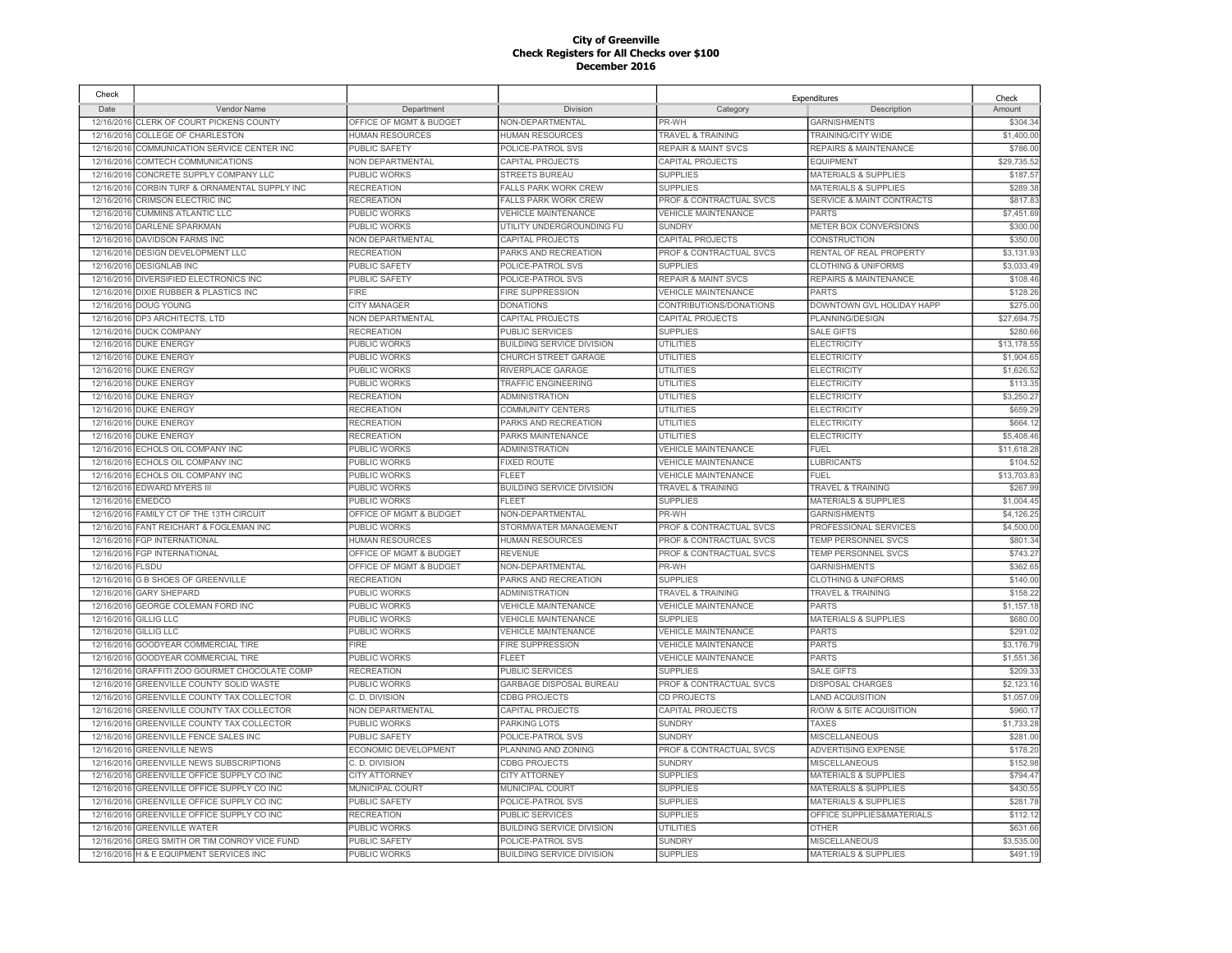| Check            |                                                                  |                             |                                                  |                                | Expenditures                     | Check                   |
|------------------|------------------------------------------------------------------|-----------------------------|--------------------------------------------------|--------------------------------|----------------------------------|-------------------------|
| Date             | Vendor Name                                                      | Department                  | Division                                         | Category                       | Description                      | Amount                  |
|                  | 12/16/2016 CLERK OF COURT PICKENS COUNTY                         | OFFICE OF MGMT & BUDGET     | NON-DEPARTMENTAL                                 | PR-WH                          | <b>GARNISHMENTS</b>              | \$304.34                |
|                  | 12/16/2016 COLLEGE OF CHARLESTON                                 | <b>HUMAN RESOURCES</b>      | <b>HUMAN RESOURCES</b>                           | <b>TRAVEL &amp; TRAINING</b>   | TRAINING/CITY WIDE               | \$1,400.00              |
|                  | 12/16/2016 COMMUNICATION SERVICE CENTER INC                      | PUBLIC SAFETY               | POLICE-PATROL SVS                                | <b>REPAIR &amp; MAINT SVCS</b> | <b>REPAIRS &amp; MAINTENANCE</b> | \$786.00                |
|                  | 12/16/2016 COMTECH COMMUNICATIONS                                | NON DEPARTMENTAL            | CAPITAL PROJECTS                                 | CAPITAL PROJECTS               | <b>EQUIPMENT</b>                 | \$29,735.52             |
|                  | 12/16/2016 CONCRETE SUPPLY COMPANY LLC                           | PUBLIC WORKS                | <b>STREETS BUREAU</b>                            | <b>SUPPLIES</b>                | <b>MATERIALS &amp; SUPPLIES</b>  | \$187.57                |
|                  | 12/16/2016 CORBIN TURF & ORNAMENTAL SUPPLY INC                   | <b>RECREATION</b>           | <b>FALLS PARK WORK CREW</b>                      | <b>SUPPLIES</b>                | <b>MATERIALS &amp; SUPPLIES</b>  | \$289.38                |
|                  | 12/16/2016 CRIMSON ELECTRIC INC                                  | <b>RECREATION</b>           | <b>FALLS PARK WORK CREW</b>                      | PROF & CONTRACTUAL SVCS        | SERVICE & MAINT CONTRACTS        | \$817.8                 |
| 12/16/2016       | <b>CUMMINS ATLANTIC LLC</b>                                      | PUBLIC WORKS                | <b>VEHICLE MAINTENANCE</b>                       | <b>VEHICLE MAINTENANCE</b>     | <b>PARTS</b>                     | \$7,451.69              |
|                  | 12/16/2016 DARLENE SPARKMAN                                      | PUBLIC WORKS                | UTILITY UNDERGROUNDING FU                        | <b>SUNDRY</b>                  | METER BOX CONVERSIONS            | \$300.00                |
|                  | 12/16/2016 DAVIDSON FARMS INC                                    | <b>NON DEPARTMENTAL</b>     | CAPITAL PROJECTS                                 | CAPITAL PROJECTS               | <b>CONSTRUCTION</b>              | \$350.00                |
| 12/16/2016       | <b>DESIGN DEVELOPMENT LLC</b>                                    | <b>RECREATION</b>           | PARKS AND RECREATION                             | PROF & CONTRACTUAL SVCS        | RENTAL OF REAL PROPERTY          | \$3,131.93              |
| 12/16/2016       | <b>DESIGNLAB INC</b>                                             | PUBLIC SAFETY               | POLICE-PATROL SVS                                | <b>SUPPLIES</b>                | <b>CLOTHING &amp; UNIFORMS</b>   | \$3,033.49              |
|                  | 12/16/2016 DIVERSIFIED ELECTRONICS INC                           | <b>PUBLIC SAFETY</b>        | POLICE-PATROL SVS                                | <b>REPAIR &amp; MAINT SVCS</b> | <b>REPAIRS &amp; MAINTENANCE</b> | \$108.46                |
| 12/16/2016       | DIXIE RUBBER & PLASTICS INC                                      | <b>FIRE</b>                 | <b>FIRE SUPPRESSION</b>                          | VEHICLE MAINTENANCE            | <b>PARTS</b>                     | \$128.26                |
|                  | 12/16/2016 DOUG YOUNG                                            | CITY MANAGER                | <b>DONATIONS</b>                                 | CONTRIBUTIONS/DONATIONS        | DOWNTOWN GVL HOLIDAY HAPP        | \$275.00                |
|                  | 12/16/2016 DP3 ARCHITECTS, LTD                                   | NON DEPARTMENTAL            | CAPITAL PROJECTS                                 | CAPITAL PROJECTS               | PLANNING/DESIGN                  | \$27,694.7              |
|                  | 12/16/2016 DUCK COMPANY                                          | <b>RECREATION</b>           | PUBLIC SERVICES                                  | <b>SUPPLIES</b>                | <b>SALE GIFTS</b>                | \$280.66                |
|                  | 12/16/2016 DUKE ENERGY                                           | PUBLIC WORKS                | <b>BUILDING SERVICE DIVISION</b>                 | UTILITIES                      | <b>ELECTRICITY</b>               | \$13,178.5              |
|                  | 12/16/2016 DUKE ENERGY                                           | PUBLIC WORKS                | <b>CHURCH STREET GARAGE</b>                      | UTILITIES                      | <b>ELECTRICITY</b>               | \$1,904.6               |
|                  | 12/16/2016 DUKE ENERGY                                           | PUBLIC WORKS                | RIVERPLACE GARAGE                                | <b>UTILITIES</b>               | <b>ELECTRICITY</b>               | \$1,626.52              |
|                  | 12/16/2016 DUKE ENERGY                                           | PUBLIC WORKS                | <b>TRAFFIC ENGINEERING</b>                       | UTILITIES                      | <b>ELECTRICITY</b>               | \$113.35                |
|                  | 12/16/2016 DUKE ENERGY                                           | <b>RECREATION</b>           | <b>ADMINISTRATION</b>                            | UTILITIES                      | <b>ELECTRICITY</b>               | \$3,250.2               |
| 12/16/2016       | <b>DUKE ENERGY</b>                                               | <b>RECREATION</b>           | <b>COMMUNITY CENTERS</b>                         | <b>UTILITIES</b>               | <b>ELECTRICITY</b>               | \$659.29                |
|                  | 12/16/2016 DUKE ENERGY                                           | <b>RECREATION</b>           | PARKS AND RECREATION                             | UTILITIES                      | <b>ELECTRICITY</b>               | \$664.1                 |
|                  | 12/16/2016 DUKE ENERGY                                           | <b>RECREATION</b>           | PARKS MAINTENANCE                                | <b>UTILITIES</b>               | <b>ELECTRICITY</b>               | \$5,408.46              |
|                  | 12/16/2016 ECHOLS OIL COMPANY INC                                | <b>PUBLIC WORKS</b>         | <b>ADMINISTRATION</b>                            | <b>VEHICLE MAINTENANCE</b>     | <b>FUEL</b>                      | \$11,618.28             |
|                  |                                                                  | <b>PUBLIC WORKS</b>         | <b>FIXED ROUTE</b>                               | <b>VEHICLE MAINTENANCE</b>     |                                  |                         |
| 12/16/2016       | ECHOLS OIL COMPANY INC                                           |                             |                                                  |                                | <b>LUBRICANTS</b><br><b>FUEL</b> | \$104.52<br>\$13,703.83 |
|                  | 12/16/2016 ECHOLS OIL COMPANY INC<br>12/16/2016 EDWARD MYERS III | PUBLIC WORKS                | FLEET                                            | <b>VEHICLE MAINTENANCE</b>     | <b>TRAVEL &amp; TRAINING</b>     | \$267.99                |
|                  |                                                                  | PUBLIC WORKS                | <b>BUILDING SERVICE DIVISION</b><br><b>FLEET</b> | <b>TRAVEL &amp; TRAINING</b>   |                                  |                         |
| 12/16/2016       | <b>EMEDCO</b>                                                    | PUBLIC WORKS                |                                                  | <b>SUPPLIES</b>                | <b>MATERIALS &amp; SUPPLIES</b>  | \$1.004.45              |
| 12/16/2016       | FAMILY CT OF THE 13TH CIRCUIT                                    | OFFICE OF MGMT & BUDGET     | NON-DEPARTMENTAL                                 | PR-WH                          | <b>GARNISHMENTS</b>              | \$4,126.25              |
|                  | 12/16/2016 FANT REICHART & FOGLEMAN INC                          | PUBLIC WORKS                | STORMWATER MANAGEMENT                            | PROF & CONTRACTUAL SVCS        | PROFESSIONAL SERVICES            | \$4,500.00              |
|                  | 12/16/2016 FGP INTERNATIONAL                                     | <b>HUMAN RESOURCES</b>      | <b>HUMAN RESOURCES</b>                           | PROF & CONTRACTUAL SVCS        | <b>TEMP PERSONNEL SVCS</b>       | \$801.34                |
|                  | 12/16/2016 FGP INTERNATIONAL                                     | OFFICE OF MGMT & BUDGET     | <b>REVENUE</b>                                   | PROF & CONTRACTUAL SVCS        | TEMP PERSONNEL SVCS              | \$743.2                 |
| 12/16/2016 FLSDU |                                                                  | OFFICE OF MGMT & BUDGET     | NON-DEPARTMENTAL                                 | PR-WH                          | <b>GARNISHMENTS</b>              | \$362.65                |
|                  | 12/16/2016 G B SHOES OF GREENVILLE                               | <b>RECREATION</b>           | PARKS AND RECREATION                             | <b>SUPPLIES</b>                | <b>CLOTHING &amp; UNIFORMS</b>   | \$140.00                |
|                  | 12/16/2016 GARY SHEPARD                                          | PUBLIC WORKS                | <b>ADMINISTRATION</b>                            | TRAVEL & TRAINING              | <b>TRAVEL &amp; TRAINING</b>     | \$158.22                |
|                  | 12/16/2016 GEORGE COLEMAN FORD INC                               | PUBLIC WORKS                | <b>VEHICLE MAINTENANCE</b>                       | <b>VEHICLE MAINTENANCE</b>     | <b>PARTS</b>                     | \$1,157.18              |
|                  | 12/16/2016 GILLIG LLC                                            | <b>PUBLIC WORKS</b>         | <b>VEHICLE MAINTENANCE</b>                       | <b>SUPPLIES</b>                | <b>MATERIALS &amp; SUPPLIES</b>  | \$680.00                |
|                  | 12/16/2016 GILLIG LLC                                            | PUBLIC WORKS                | <b>VEHICLE MAINTENANCE</b>                       | <b>VEHICLE MAINTENANCE</b>     | <b>PARTS</b>                     | \$291.02                |
|                  | 12/16/2016 GOODYEAR COMMERCIAL TIRE                              | FIRE                        | <b>FIRE SUPPRESSION</b>                          | <b>VEHICLE MAINTENANCE</b>     | <b>PARTS</b>                     | \$3,176.79              |
|                  | 12/16/2016 GOODYEAR COMMERCIAL TIRE                              | PUBLIC WORKS                | <b>FLEET</b>                                     | <b>VEHICLE MAINTENANCE</b>     | <b>PARTS</b>                     | \$1,551.36              |
| 12/16/2016       | GRAFFITI ZOO GOURMET CHOCOLATE COMP                              | <b>RECREATION</b>           | <b>PUBLIC SERVICES</b>                           | <b>SUPPLIES</b>                | <b>SALE GIFTS</b>                | \$209.33                |
|                  | 12/16/2016 GREENVILLE COUNTY SOLID WASTE                         | PUBLIC WORKS                | GARBAGE DISPOSAL BUREAU                          | PROF & CONTRACTUAL SVCS        | <b>DISPOSAL CHARGES</b>          | \$2,123.16              |
|                  | 12/16/2016 GREENVILLE COUNTY TAX COLLECTOR                       | C. D. DIVISION              | <b>CDBG PROJECTS</b>                             | CD PROJECTS                    | <b>LAND ACQUISITION</b>          | \$1,057.09              |
| 12/16/2016       | GREENVILLE COUNTY TAX COLLECTOR                                  | NON DEPARTMENTAL            | CAPITAL PROJECTS                                 | CAPITAL PROJECTS               | R/O/W & SITE ACQUISITION         | \$960.17                |
| 12/16/2016       | GREENVILLE COUNTY TAX COLLECTOR                                  | PUBLIC WORKS                | PARKING LOTS                                     | <b>SUNDRY</b>                  | <b>TAXES</b>                     | \$1,733.28              |
| 12/16/2016       | <b>GREENVILLE FENCE SALES INC</b>                                | <b>PUBLIC SAFETY</b>        | POLICE-PATROL SVS                                | <b>SUNDRY</b>                  | <b>MISCELLANEOUS</b>             | \$281.00                |
| 12/16/2016       | <b>GREENVILLE NEWS</b>                                           | <b>ECONOMIC DEVELOPMENT</b> | PLANNING AND ZONING                              | PROF & CONTRACTUAL SVCS        | ADVERTISING EXPENSE              | \$178.20                |
| 12/16/2016       | <b>GREENVILLE NEWS SUBSCRIPTIONS</b>                             | C. D. DIVISION              | <b>CDBG PROJECTS</b>                             | <b>SUNDRY</b>                  | <b>MISCELLANEOUS</b>             | \$152.98                |
| 12/16/2016       | GREENVILLE OFFICE SUPPLY CO INC                                  | <b>CITY ATTORNEY</b>        | <b>CITY ATTORNEY</b>                             | <b>SUPPLIES</b>                | <b>MATERIALS &amp; SUPPLIES</b>  | \$794.47                |
| 12/16/2016       | GREENVILLE OFFICE SUPPLY CO INC                                  | MUNICIPAL COURT             | MUNICIPAL COURT                                  | <b>SUPPLIES</b>                | <b>MATERIALS &amp; SUPPLIES</b>  | \$430.55                |
| 12/16/2016       | GREENVILLE OFFICE SUPPLY CO INC                                  | PUBLIC SAFETY               | POLICE-PATROL SVS                                | <b>SUPPLIES</b>                | <b>MATERIALS &amp; SUPPLIES</b>  | \$281.78                |
| 12/16/2016       | GREENVILLE OFFICE SUPPLY CO INC                                  | RECREATION                  | PUBLIC SERVICES                                  | <b>SUPPLIES</b>                | OFFICE SUPPLIES&MATERIALS        | \$112.12                |
| 12/16/2016       | <b>GREENVILLE WATER</b>                                          | PUBLIC WORKS                | <b>BUILDING SERVICE DIVISION</b>                 | <b>UTILITIES</b>               | <b>OTHER</b>                     | \$631.66                |
|                  | 12/16/2016 GREG SMITH OR TIM CONROY VICE FUND                    | PUBLIC SAFETY               | POLICE-PATROL SVS                                | <b>SUNDRY</b>                  | <b>MISCELLANEOUS</b>             | \$3,535.00              |
|                  | 12/16/2016 H & E EQUIPMENT SERVICES INC                          | <b>PUBLIC WORKS</b>         | <b>BUILDING SERVICE DIVISION</b>                 | <b>SUPPLIES</b>                | <b>MATERIALS &amp; SUPPLIES</b>  | \$491.19                |
|                  |                                                                  |                             |                                                  |                                |                                  |                         |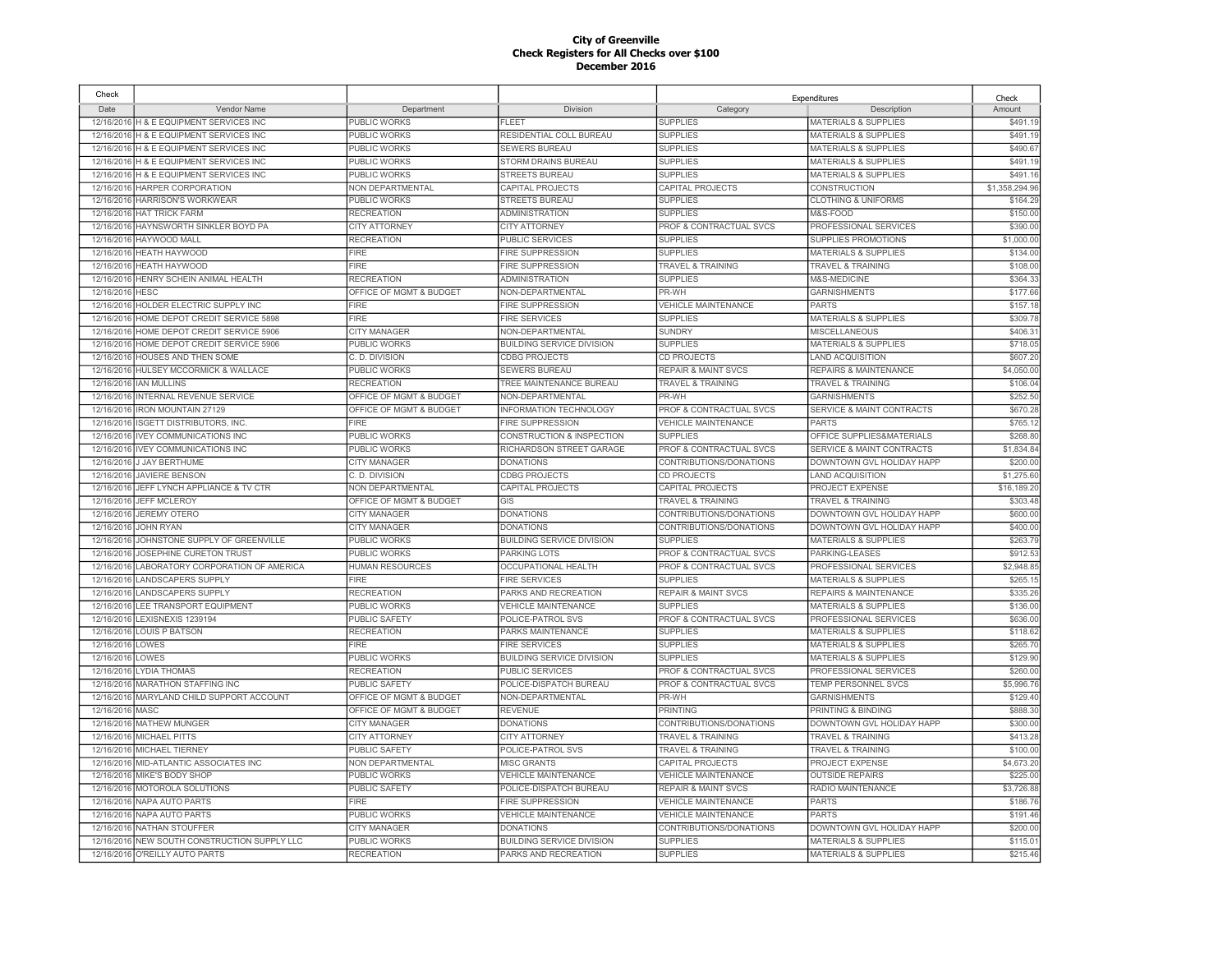| Check            |                                                      |                                             |                                      |                                                  | Expenditures                                    | Check         |
|------------------|------------------------------------------------------|---------------------------------------------|--------------------------------------|--------------------------------------------------|-------------------------------------------------|---------------|
| Date             | Vendor Name                                          | Department                                  | Division                             | Category                                         | Description                                     | Amount        |
|                  | 12/16/2016 H & E EQUIPMENT SERVICES INC              | PUBLIC WORKS                                | FLEET                                | <b>SUPPLIES</b>                                  | <b>MATERIALS &amp; SUPPLIES</b>                 | \$491.1       |
|                  | 12/16/2016 H & E EQUIPMENT SERVICES INC              | PUBLIC WORKS                                | RESIDENTIAL COLL BUREAU              | <b>SUPPLIES</b>                                  | <b>MATERIALS &amp; SUPPLIES</b>                 | \$491.19      |
|                  | 12/16/2016 H & E EQUIPMENT SERVICES INC              | PUBLIC WORKS                                | SEWERS BUREAU                        | <b>SUPPLIES</b>                                  | <b>MATERIALS &amp; SUPPLIES</b>                 | \$490.6       |
|                  | 12/16/2016 H & E EQUIPMENT SERVICES INC              | PUBLIC WORKS                                | STORM DRAINS BUREAU                  | <b>SUPPLIES</b>                                  | <b>MATERIALS &amp; SUPPLIES</b>                 | \$491.19      |
|                  | 12/16/2016 H & E EQUIPMENT SERVICES INC              | PUBLIC WORKS                                | <b>STREETS BUREAU</b>                | <b>SUPPLIES</b>                                  | <b>MATERIALS &amp; SUPPLIES</b>                 | \$491.1       |
|                  | 12/16/2016 HARPER CORPORATION                        | <b>NON DEPARTMENTAL</b>                     | CAPITAL PROJECTS                     | <b>CAPITAL PROJECTS</b>                          | <b>CONSTRUCTION</b>                             | \$1,358,294.9 |
|                  | 12/16/2016 HARRISON'S WORKWEAR                       | PUBLIC WORKS                                | <b>STREETS BUREAU</b>                | <b>SUPPLIES</b>                                  | <b>CLOTHING &amp; UNIFORMS</b>                  | \$164.2       |
|                  | 12/16/2016 HAT TRICK FARM                            | <b>RECREATION</b>                           | <b>ADMINISTRATION</b>                | <b>SUPPLIES</b>                                  | M&S-FOOD                                        | \$150.00      |
|                  | 12/16/2016 HAYNSWORTH SINKLER BOYD PA                | <b>CITY ATTORNEY</b>                        | <b>CITY ATTORNEY</b>                 | PROF & CONTRACTUAL SVCS                          | PROFESSIONAL SERVICES                           | \$390.0       |
|                  | 12/16/2016 HAYWOOD MALL                              | <b>RECREATION</b>                           | <b>PUBLIC SERVICES</b>               | <b>SUPPLIES</b>                                  | <b>SUPPLIES PROMOTIONS</b>                      | \$1,000.0     |
| 12/16/2016       | <b>HEATH HAYWOOD</b>                                 | <b>FIRE</b>                                 | <b>FIRE SUPPRESSION</b>              | <b>SUPPLIES</b>                                  | <b>MATERIALS &amp; SUPPLIES</b>                 | \$134.0       |
| 12/16/2016       | <b>HEATH HAYWOOD</b>                                 | <b>FIRE</b>                                 | FIRE SUPPRESSION                     | <b>TRAVEL &amp; TRAINING</b>                     | <b>TRAVEL &amp; TRAINING</b>                    | \$108.0       |
| 12/16/2016       | HENRY SCHEIN ANIMAL HEALTH                           | <b>RECREATION</b>                           | <b>ADMINISTRATION</b>                | <b>SUPPLIES</b>                                  | M&S-MEDICINE                                    | \$364.3       |
| 12/16/2016       | <b>HESC</b>                                          | OFFICE OF MGMT & BUDGET                     | NON-DEPARTMENTAL                     | PR-WH                                            | <b>GARNISHMENTS</b>                             | \$177.6       |
| 12/16/2016       | HOLDER ELECTRIC SUPPLY INC                           | <b>FIRE</b>                                 | <b>FIRE SUPPRESSION</b>              | <b>VEHICLE MAINTENANCE</b>                       | <b>PARTS</b>                                    | \$157.1       |
| 12/16/2016       | HOME DEPOT CREDIT SERVICE 5898                       | <b>FIRE</b>                                 | <b>FIRE SERVICES</b>                 | <b>SUPPLIES</b>                                  | <b>MATERIALS &amp; SUPPLIES</b>                 | \$309.7       |
|                  | 12/16/2016 HOME DEPOT CREDIT SERVICE 5906            | <b>CITY MANAGER</b>                         | NON-DEPARTMENTAL                     | <b>SUNDRY</b>                                    | <b>MISCELLANEOUS</b>                            | \$406.3       |
|                  | 12/16/2016 HOME DEPOT CREDIT SERVICE 5906            | PUBLIC WORKS                                | <b>BUILDING SERVICE DIVISION</b>     | <b>SUPPLIES</b>                                  | <b>MATERIALS &amp; SUPPLIES</b>                 | \$718.0       |
|                  | 12/16/2016 HOUSES AND THEN SOME                      | C. D. DIVISION                              | <b>CDBG PROJECTS</b>                 | CD PROJECTS                                      | <b>LAND ACQUISITION</b>                         | \$607.2       |
|                  | 12/16/2016 HULSEY MCCORMICK & WALLACE                | PUBLIC WORKS                                | <b>SEWERS BUREAU</b>                 | <b>REPAIR &amp; MAINT SVCS</b>                   | <b>REPAIRS &amp; MAINTENANCE</b>                | \$4,050.00    |
| 12/16/2016       | <b>IAN MULLINS</b>                                   | RECREATION                                  | TREE MAINTENANCE BUREAU              | <b>TRAVEL &amp; TRAINING</b>                     | TRAVEL & TRAINING                               | \$106.0       |
| 12/16/2016       | INTERNAL REVENUE SERVICE                             | OFFICE OF MGMT & BUDGET                     | NON-DEPARTMENTAL                     | PR-WH                                            | <b>GARNISHMENTS</b>                             | \$252.5       |
| 12/16/2016       | <b>IRON MOUNTAIN 27129</b>                           | OFFICE OF MGMT & BUDGET                     | <b>INFORMATION TECHNOLOGY</b>        | PROF & CONTRACTUAL SVCS                          | <b>SERVICE &amp; MAINT CONTRACTS</b>            | \$670.28      |
| 12/16/2016       | <b>ISGETT DISTRIBUTORS, INC</b>                      | <b>FIRE</b>                                 | <b>FIRE SUPPRESSION</b>              | <b>VEHICLE MAINTENANCE</b>                       | <b>PARTS</b>                                    | \$765.1       |
| 12/16/2016       | <b>IVEY COMMUNICATIONS INC</b>                       | PUBLIC WORKS                                | <b>CONSTRUCTION &amp; INSPECTION</b> | <b>SUPPLIES</b>                                  | OFFICE SUPPLIES&MATERIALS                       | \$268.8       |
| 12/16/2016       | <b>IVEY COMMUNICATIONS INC</b>                       | <b>PUBLIC WORKS</b>                         | RICHARDSON STREET GARAGE             | PROF & CONTRACTUAL SVCS                          | <b>SERVICE &amp; MAINT CONTRACTS</b>            | \$1.834.8     |
| 12/16/2016       | <b>J JAY BERTHUME</b>                                | <b>CITY MANAGER</b>                         | <b>DONATIONS</b>                     | CONTRIBUTIONS/DONATIONS                          | DOWNTOWN GVL HOLIDAY HAPP                       | \$200.00      |
|                  |                                                      |                                             |                                      |                                                  |                                                 | \$1,275.60    |
| 12/16/2016       | <b>JAVIERE BENSON</b>                                | C.D. DIVISION                               | <b>CDBG PROJECTS</b>                 | <b>CD PROJECTS</b>                               | <b>LAND ACQUISITION</b>                         | \$16,189.2    |
| 12/16/2016       | JEFF LYNCH APPLIANCE & TV CTR<br><b>JEFF MCLEROY</b> | NON DEPARTMENTAL<br>OFFICE OF MGMT & BUDGET | CAPITAL PROJECTS<br>GIS              | CAPITAL PROJECTS<br><b>TRAVEL &amp; TRAINING</b> | PROJECT EXPENSE<br><b>TRAVEL &amp; TRAINING</b> | \$303.4       |
| 12/16/2016       |                                                      |                                             |                                      |                                                  |                                                 |               |
| 12/16/2016       | <b>JEREMY OTERO</b>                                  | <b>CITY MANAGER</b>                         | <b>DONATIONS</b>                     | CONTRIBUTIONS/DONATIONS                          | DOWNTOWN GVL HOLIDAY HAPP                       | \$600.00      |
| 12/16/2016       | <b>JOHN RYAN</b>                                     | <b>CITY MANAGER</b>                         | <b>DONATIONS</b>                     | CONTRIBUTIONS/DONATIONS                          | DOWNTOWN GVL HOLIDAY HAPP                       | \$400.0       |
| 12/16/2016       | JOHNSTONE SUPPLY OF GREENVILLE                       | PUBLIC WORKS                                | <b>BUILDING SERVICE DIVISION</b>     | <b>SUPPLIES</b>                                  | <b>MATERIALS &amp; SUPPLIES</b>                 | \$263.7       |
| 12/16/2016       | JOSEPHINE CURETON TRUST                              | PUBLIC WORKS                                | PARKING LOTS                         | PROF & CONTRACTUAL SVCS                          | PARKING-LEASES                                  | \$912.5       |
|                  | 12/16/2016 LABORATORY CORPORATION OF AMERICA         | <b>HUMAN RESOURCES</b>                      | OCCUPATIONAL HEALTH                  | PROF & CONTRACTUAL SVCS                          | PROFESSIONAL SERVICES                           | \$2,948.85    |
|                  | 12/16/2016 LANDSCAPERS SUPPLY                        | <b>FIRE</b>                                 | <b>FIRE SERVICES</b>                 | <b>SUPPLIES</b>                                  | <b>MATERIALS &amp; SUPPLIES</b>                 | \$265.1       |
|                  | 12/16/2016 LANDSCAPERS SUPPLY                        | <b>RECREATION</b>                           | PARKS AND RECREATION                 | <b>REPAIR &amp; MAINT SVCS</b>                   | REPAIRS & MAINTENANCE                           | \$335.26      |
|                  | 12/16/2016 LEE TRANSPORT EQUIPMENT                   | PUBLIC WORKS                                | <b>VEHICLE MAINTENANCE</b>           | <b>SUPPLIES</b>                                  | <b>MATERIALS &amp; SUPPLIES</b>                 | \$136.0       |
|                  | 12/16/2016 LEXISNEXIS 1239194                        | PUBLIC SAFETY                               | POLICE-PATROL SVS                    | PROF & CONTRACTUAL SVCS                          | PROFESSIONAL SERVICES                           | \$636.00      |
|                  | 12/16/2016 LOUIS P BATSON                            | <b>RECREATION</b>                           | PARKS MAINTENANCE                    | <b>SUPPLIES</b>                                  | <b>MATERIALS &amp; SUPPLIES</b>                 | \$118.62      |
| 12/16/2016 LOWES |                                                      | <b>FIRE</b>                                 | FIRE SERVICES                        | <b>SUPPLIES</b>                                  | <b>MATERIALS &amp; SUPPLIES</b>                 | \$265.7       |
| 12/16/2016 LOWES |                                                      | PUBLIC WORKS                                | <b>BUILDING SERVICE DIVISION</b>     | <b>SUPPLIES</b>                                  | <b>MATERIALS &amp; SUPPLIES</b>                 | \$129.9       |
|                  | 12/16/2016 LYDIA THOMAS                              | <b>RECREATION</b>                           | <b>PUBLIC SERVICES</b>               | <b>PROF &amp; CONTRACTUAL SVCS</b>               | PROFESSIONAL SERVICES                           | \$260.0       |
|                  | 12/16/2016 MARATHON STAFFING INC                     | PUBLIC SAFETY                               | POLICE-DISPATCH BUREAU               | PROF & CONTRACTUAL SVCS                          | TEMP PERSONNEL SVCS                             | \$5,996.7     |
|                  | 12/16/2016 MARYLAND CHILD SUPPORT ACCOUNT            | OFFICE OF MGMT & BUDGET                     | NON-DEPARTMENTAL                     | PR-WH                                            | <b>GARNISHMENTS</b>                             | \$129.40      |
| 12/16/2016 MASC  |                                                      | OFFICE OF MGMT & BUDGET                     | <b>REVENUE</b>                       | <b>PRINTING</b>                                  | PRINTING & BINDING                              | \$888.3       |
|                  | 12/16/2016 MATHEW MUNGER                             | <b>CITY MANAGER</b>                         | <b>DONATIONS</b>                     | CONTRIBUTIONS/DONATIONS                          | DOWNTOWN GVL HOLIDAY HAPP                       | \$300.00      |
|                  | 12/16/2016 MICHAEL PITTS                             | <b>CITY ATTORNEY</b>                        | <b>CITY ATTORNEY</b>                 | TRAVEL & TRAINING                                | <b>TRAVEL &amp; TRAINING</b>                    | \$413.2       |
| 12/16/2016       | <b>MICHAEL TIERNEY</b>                               | PUBLIC SAFETY                               | POLICE-PATROL SVS                    | <b>TRAVEL &amp; TRAINING</b>                     | TRAVEL & TRAINING                               | \$100.0       |
| 12/16/2016       | MID-ATLANTIC ASSOCIATES INC                          | NON DEPARTMENTAL                            | <b>MISC GRANTS</b>                   | CAPITAL PROJECTS                                 | PROJECT EXPENSE                                 | \$4,673.2     |
| 12/16/2016       | MIKE'S BODY SHOP                                     | PUBLIC WORKS                                | <b>VEHICLE MAINTENANCE</b>           | <b>VEHICLE MAINTENANCE</b>                       | <b>OUTSIDE REPAIRS</b>                          | \$225.0       |
| 12/16/2016       | MOTOROLA SOLUTIONS                                   | PUBLIC SAFETY                               | POLICE-DISPATCH BUREAU               | <b>REPAIR &amp; MAINT SVCS</b>                   | RADIO MAINTENANCE                               | \$3,726.8     |
| 12/16/2016       | NAPA AUTO PARTS                                      | FIRE                                        | <b>FIRE SUPPRESSION</b>              | <b>VEHICLE MAINTENANCE</b>                       | <b>PARTS</b>                                    | \$186.7       |
|                  | 12/16/2016 NAPA AUTO PARTS                           | PUBLIC WORKS                                | <b>VEHICLE MAINTENANCE</b>           | <b>VEHICLE MAINTENANCE</b>                       | <b>PARTS</b>                                    | \$191.4       |
| 12/16/2016       | <b>NATHAN STOUFFER</b>                               | CITY MANAGER                                | DONATIONS                            | CONTRIBUTIONS/DONATIONS                          | DOWNTOWN GVL HOLIDAY HAPP                       | \$200.0       |
|                  | 12/16/2016 NEW SOUTH CONSTRUCTION SUPPLY LLC         | PUBLIC WORKS                                | BUILDING SERVICE DIVISION            | <b>SUPPLIES</b>                                  | <b>MATERIALS &amp; SUPPLIES</b>                 | \$115.0       |
|                  | 12/16/2016 O'REILLY AUTO PARTS                       | <b>RECREATION</b>                           | PARKS AND RECREATION                 | <b>SUPPLIES</b>                                  | <b>MATERIALS &amp; SUPPLIES</b>                 | \$215.46      |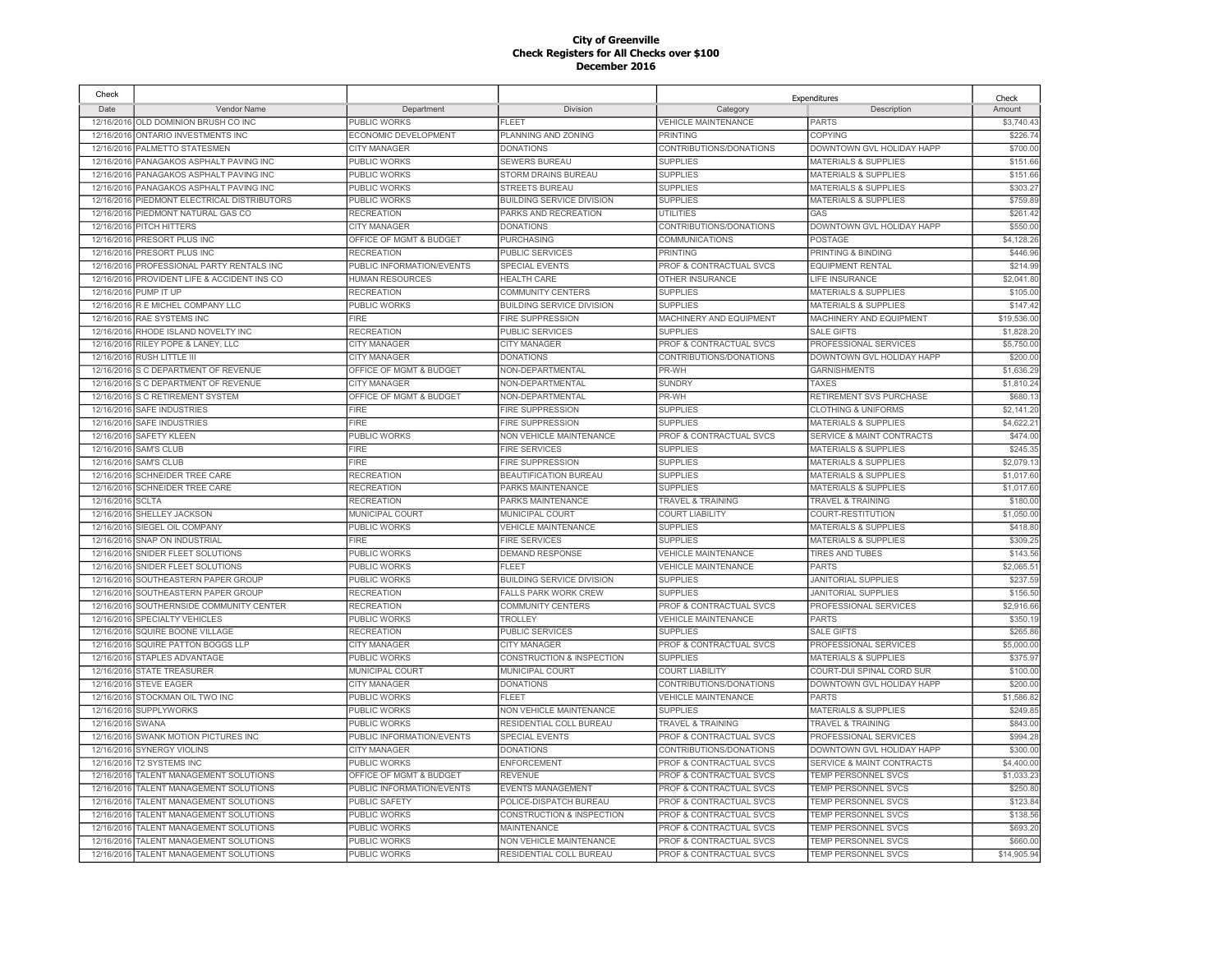| Check      |                                        |                           |                                      |                                    | Expenditures                    | Check       |
|------------|----------------------------------------|---------------------------|--------------------------------------|------------------------------------|---------------------------------|-------------|
| Date       | Vendor Name                            | Department                | Division                             | Category                           | Description                     | Amount      |
|            | 12/16/2016 OLD DOMINION BRUSH CO INC   | PUBLIC WORKS              | <b>FLEET</b>                         | <b>VEHICLE MAINTENANCE</b>         | <b>PARTS</b>                    | \$3,740.43  |
|            | 12/16/2016 ONTARIO INVESTMENTS INC     | ECONOMIC DEVELOPMENT      | PLANNING AND ZONING                  | <b>PRINTING</b>                    | <b>COPYING</b>                  | \$226.74    |
| 12/16/2016 | PALMETTO STATESMEN                     | <b>CITY MANAGER</b>       | <b>DONATIONS</b>                     | CONTRIBUTIONS/DONATIONS            | DOWNTOWN GVL HOLIDAY HAPP       | \$700.00    |
| 12/16/2016 | PANAGAKOS ASPHALT PAVING INC           | PUBLIC WORKS              | SEWERS BUREAU                        | <b>SUPPLIES</b>                    | <b>MATERIALS &amp; SUPPLIES</b> | \$151.66    |
| 12/16/2016 | PANAGAKOS ASPHALT PAVING INC           | PUBLIC WORKS              | STORM DRAINS BUREAU                  | <b>SUPPLIES</b>                    | <b>MATERIALS &amp; SUPPLIES</b> | \$151.66    |
| 12/16/2016 | PANAGAKOS ASPHALT PAVING INC           | PUBLIC WORKS              | <b>STREETS BUREAU</b>                | <b>SUPPLIES</b>                    | <b>MATERIALS &amp; SUPPLIES</b> | \$303.27    |
| 12/16/2016 | PIEDMONT ELECTRICAL DISTRIBUTORS       | <b>PUBLIC WORKS</b>       | <b>BUILDING SERVICE DIVISION</b>     | <b>SUPPLIES</b>                    | <b>MATERIALS &amp; SUPPLIES</b> | \$759.89    |
| 12/16/2016 | PIEDMONT NATURAL GAS CO                | <b>RECREATION</b>         | PARKS AND RECREATION                 | <b>UTILITIES</b>                   | GAS                             | \$261.42    |
| 12/16/2016 | PITCH HITTERS                          | <b>CITY MANAGER</b>       | <b>DONATIONS</b>                     | CONTRIBUTIONS/DONATIONS            | DOWNTOWN GVL HOLIDAY HAPP       | \$550.00    |
| 12/16/2016 | PRESORT PLUS INC                       | OFFICE OF MGMT & BUDGET   | PURCHASING                           | <b>COMMUNICATIONS</b>              | POSTAGE                         | \$4,128.26  |
| 12/16/2016 | PRESORT PLUS INC                       | <b>RECREATION</b>         | <b>PUBLIC SERVICES</b>               | <b>PRINTING</b>                    | PRINTING & BINDING              | \$446.96    |
| 12/16/2016 | PROFESSIONAL PARTY RENTALS INC         | PUBLIC INFORMATION/EVENTS | SPECIAL EVENTS                       | PROF & CONTRACTUAL SVCS            | <b>EQUIPMENT RENTAL</b>         | \$214.99    |
| 12/16/2016 | PROVIDENT LIFE & ACCIDENT INS CO       | <b>HUMAN RESOURCES</b>    | <b>HEALTH CARE</b>                   | <b>OTHER INSURANCE</b>             | <b>LIFE INSURANCE</b>           | \$2.041.80  |
| 12/16/2016 | PUMP IT UP                             | <b>RECREATION</b>         | <b>COMMUNITY CENTERS</b>             | <b>SUPPLIES</b>                    | <b>MATERIALS &amp; SUPPLIES</b> | \$105.00    |
| 12/16/2016 | R E MICHEL COMPANY LLC                 | <b>PUBLIC WORKS</b>       | <b>BUILDING SERVICE DIVISION</b>     | <b>SUPPLIES</b>                    | <b>MATERIALS &amp; SUPPLIES</b> | \$147.42    |
| 12/16/2016 | <b>RAE SYSTEMS INC</b>                 | <b>FIRE</b>               | <b>FIRE SUPPRESSION</b>              | MACHINERY AND EQUIPMENT            | MACHINERY AND EQUIPMENT         | \$19,536.00 |
| 12/16/2016 | RHODE ISLAND NOVELTY INC               | <b>RECREATION</b>         | PUBLIC SERVICES                      | <b>SUPPLIES</b>                    | <b>SALE GIFTS</b>               | \$1,828.20  |
| 12/16/2016 | RILEY POPE & LANEY, LLC                | <b>CITY MANAGER</b>       | <b>CITY MANAGER</b>                  | <b>PROF &amp; CONTRACTUAL SVCS</b> | PROFESSIONAL SERVICES           | \$5,750.00  |
| 12/16/2016 | <b>RUSH LITTLE III</b>                 | <b>CITY MANAGER</b>       | <b>DONATIONS</b>                     | CONTRIBUTIONS/DONATIONS            | DOWNTOWN GVL HOLIDAY HAPP       | \$200.00    |
| 12/16/2016 | S C DEPARTMENT OF REVENUE              | OFFICE OF MGMT & BUDGET   | NON-DEPARTMENTAL                     | PR-WH                              | <b>GARNISHMENTS</b>             | \$1,636.29  |
| 12/16/2016 | S C DEPARTMENT OF REVENUE              | <b>CITY MANAGER</b>       | NON-DEPARTMENTAL                     | <b>SUNDRY</b>                      | <b>TAXES</b>                    | \$1,810.24  |
|            | 12/16/2016 S C RETIREMENT SYSTEM       | OFFICE OF MGMT & BUDGET   | NON-DEPARTMENTAL                     | PR-WH                              | RETIREMENT SVS PURCHASE         | \$680.1     |
| 12/16/2016 | <b>SAFE INDUSTRIES</b>                 | <b>FIRE</b>               | <b>FIRE SUPPRESSION</b>              | <b>SUPPLIES</b>                    | <b>CLOTHING &amp; UNIFORMS</b>  | \$2,141.20  |
| 12/16/2016 | <b>SAFE INDUSTRIES</b>                 | FIRE                      | <b>FIRE SUPPRESSION</b>              | <b>SUPPLIES</b>                    | <b>MATERIALS &amp; SUPPLIES</b> | \$4,622.2   |
| 12/16/2016 | <b>SAFETY KLEEN</b>                    | PUBLIC WORKS              | NON VEHICLE MAINTENANCE              | PROF & CONTRACTUAL SVCS            | SERVICE & MAINT CONTRACTS       | \$474.00    |
| 12/16/2016 | <b>SAM'S CLUB</b>                      | <b>FIRE</b>               | <b>FIRE SERVICES</b>                 | <b>SUPPLIES</b>                    | <b>MATERIALS &amp; SUPPLIES</b> | \$245.35    |
| 12/16/2016 | <b>SAM'S CLUB</b>                      | FIRE                      | <b>FIRE SUPPRESSION</b>              | <b>SUPPLIES</b>                    | <b>MATERIALS &amp; SUPPLIES</b> | \$2,079.13  |
| 12/16/2016 | <b>SCHNEIDER TREE CARE</b>             | <b>RECREATION</b>         | BEAUTIFICATION BUREAU                | <b>SUPPLIES</b>                    | <b>MATERIALS &amp; SUPPLIES</b> | \$1,017.60  |
| 12/16/2016 | <b>SCHNEIDER TREE CARE</b>             | <b>RECREATION</b>         | PARKS MAINTENANCE                    | <b>SUPPLIES</b>                    | <b>MATERIALS &amp; SUPPLIES</b> | \$1,017.60  |
| 12/16/2016 | <b>SCLTA</b>                           | <b>RECREATION</b>         | PARKS MAINTENANCE                    | <b>TRAVEL &amp; TRAINING</b>       | <b>TRAVEL &amp; TRAINING</b>    | \$180.00    |
| 12/16/2016 | SHELLEY JACKSON                        | MUNICIPAL COURT           | MUNICIPAL COURT                      | <b>COURT LIABILITY</b>             | COURT-RESTITUTION               | \$1,050.00  |
| 12/16/2016 | SIEGEL OIL COMPANY                     | PUBLIC WORKS              | <b>VEHICLE MAINTENANCE</b>           | <b>SUPPLIES</b>                    | <b>MATERIALS &amp; SUPPLIES</b> | \$418.80    |
| 12/16/2016 | <b>SNAP ON INDUSTRIAL</b>              | <b>FIRE</b>               | <b>FIRE SERVICES</b>                 | <b>SUPPLIES</b>                    | <b>MATERIALS &amp; SUPPLIES</b> | \$309.25    |
| 12/16/2016 | SNIDER FLEET SOLUTIONS                 | PUBLIC WORKS              | <b>DEMAND RESPONSE</b>               | <b>VEHICLE MAINTENANCE</b>         | <b>TIRES AND TUBES</b>          | \$143.56    |
| 12/16/2016 | SNIDER FLEET SOLUTIONS                 | PUBLIC WORKS              | FLEET                                | <b>VEHICLE MAINTENANCE</b>         | <b>PARTS</b>                    | \$2,065.5   |
| 12/16/2016 | SOUTHEASTERN PAPER GROUP               | PUBLIC WORKS              | <b>BUILDING SERVICE DIVISION</b>     | <b>SUPPLIES</b>                    | <b>JANITORIAL SUPPLIES</b>      | \$237.59    |
|            | 12/16/2016 SOUTHEASTERN PAPER GROUP    | <b>RECREATION</b>         | <b>FALLS PARK WORK CREW</b>          | <b>SUPPLIES</b>                    | <b>JANITORIAL SUPPLIES</b>      | \$156.50    |
| 12/16/2016 | SOUTHERNSIDE COMMUNITY CENTER          | <b>RECREATION</b>         | <b>COMMUNITY CENTERS</b>             | PROF & CONTRACTUAL SVCS            | PROFESSIONAL SERVICES           | \$2,916.66  |
| 12/16/2016 | SPECIALTY VEHICLES                     | PUBLIC WORKS              | <b>TROLLEY</b>                       | <b>VEHICLE MAINTENANCE</b>         | <b>PARTS</b>                    | \$350.19    |
|            | 12/16/2016 SQUIRE BOONE VILLAGE        | <b>RECREATION</b>         | PUBLIC SERVICES                      | <b>SUPPLIES</b>                    | <b>SALE GIFTS</b>               | \$265.86    |
| 12/16/2016 | SQUIRE PATTON BOGGS LLP                | <b>CITY MANAGER</b>       | <b>CITY MANAGER</b>                  | PROF & CONTRACTUAL SVCS            | PROFESSIONAL SERVICES           | \$5,000.00  |
| 12/16/2016 | STAPLES ADVANTAGE                      | PUBLIC WORKS              | CONSTRUCTION & INSPECTION            | <b>SUPPLIES</b>                    | <b>MATERIALS &amp; SUPPLIES</b> | \$375.97    |
| 12/16/2016 | <b>STATE TREASURER</b>                 | MUNICIPAL COURT           | MUNICIPAL COURT                      | <b>COURT LIABILITY</b>             | COURT-DUI SPINAL CORD SUR       | \$100.00    |
| 12/16/2016 | <b>STEVE EAGER</b>                     | <b>CITY MANAGER</b>       | <b>DONATIONS</b>                     | CONTRIBUTIONS/DONATIONS            | DOWNTOWN GVL HOLIDAY HAPP       | \$200.00    |
| 12/16/2016 | STOCKMAN OIL TWO INC                   | PUBLIC WORKS              | <b>FLEET</b>                         | <b>VEHICLE MAINTENANCE</b>         | <b>PARTS</b>                    | \$1,586.82  |
| 12/16/2016 | <b>SUPPLYWORKS</b>                     | PUBLIC WORKS              | NON VEHICLE MAINTENANCE              | <b>SUPPLIES</b>                    | <b>MATERIALS &amp; SUPPLIES</b> | \$249.85    |
| 12/16/2016 | <b>SWANA</b>                           | PUBLIC WORKS              | RESIDENTIAL COLL BUREAU              | <b>TRAVEL &amp; TRAINING</b>       | <b>TRAVEL &amp; TRAINING</b>    | \$843.00    |
| 12/16/2016 | SWANK MOTION PICTURES INC              | PUBLIC INFORMATION/EVENTS | <b>SPECIAL EVENTS</b>                | PROF & CONTRACTUAL SVCS            | PROFESSIONAL SERVICES           | \$994.2     |
| 12/16/2016 | <b>SYNERGY VIOLINS</b>                 | CITY MANAGER              | <b>DONATIONS</b>                     | CONTRIBUTIONS/DONATIONS            | DOWNTOWN GVL HOLIDAY HAPP       | \$300.00    |
| 12/16/2016 | <b>T2 SYSTEMS INC</b>                  | PUBLIC WORKS              | <b>ENFORCEMENT</b>                   | PROF & CONTRACTUAL SVCS            | SERVICE & MAINT CONTRACTS       | \$4,400.00  |
| 12/16/2016 | TALENT MANAGEMENT SOLUTIONS            | OFFICE OF MGMT & BUDGET   | <b>REVENUE</b>                       | PROF & CONTRACTUAL SVCS            | TEMP PERSONNEL SVCS             | \$1,033.23  |
| 12/16/2016 | TALENT MANAGEMENT SOLUTIONS            | PUBLIC INFORMATION/EVENTS | <b>EVENTS MANAGEMENT</b>             | PROF & CONTRACTUAL SVCS            | TEMP PERSONNEL SVCS             | \$250.80    |
| 12/16/2016 | TALENT MANAGEMENT SOLUTIONS            | <b>PUBLIC SAFETY</b>      | POLICE-DISPATCH BUREAU               | <b>PROF &amp; CONTRACTUAL SVCS</b> | <b>TEMP PERSONNEL SVCS</b>      | \$123.84    |
| 12/16/2016 | TALENT MANAGEMENT SOLUTIONS            | PUBLIC WORKS              | <b>CONSTRUCTION &amp; INSPECTION</b> | PROF & CONTRACTUAL SVCS            | TEMP PERSONNEL SVCS             | \$138.56    |
| 12/16/2016 | TALENT MANAGEMENT SOLUTIONS            | PUBLIC WORKS              | MAINTENANCE                          | PROF & CONTRACTUAL SVCS            | <b>TEMP PERSONNEL SVCS</b>      | \$693.20    |
| 12/16/2016 | TALENT MANAGEMENT SOLUTIONS            | PUBLIC WORKS              | NON VEHICLE MAINTENANCE              | PROF & CONTRACTUAL SVCS            | TEMP PERSONNEL SVCS             | \$660.00    |
|            | 12/16/2016 TALENT MANAGEMENT SOLUTIONS | <b>PUBLIC WORKS</b>       | RESIDENTIAL COLL BUREAU              | PROF & CONTRACTUAL SVCS            | TEMP PERSONNEL SVCS             | \$14,905.94 |
|            |                                        |                           |                                      |                                    |                                 |             |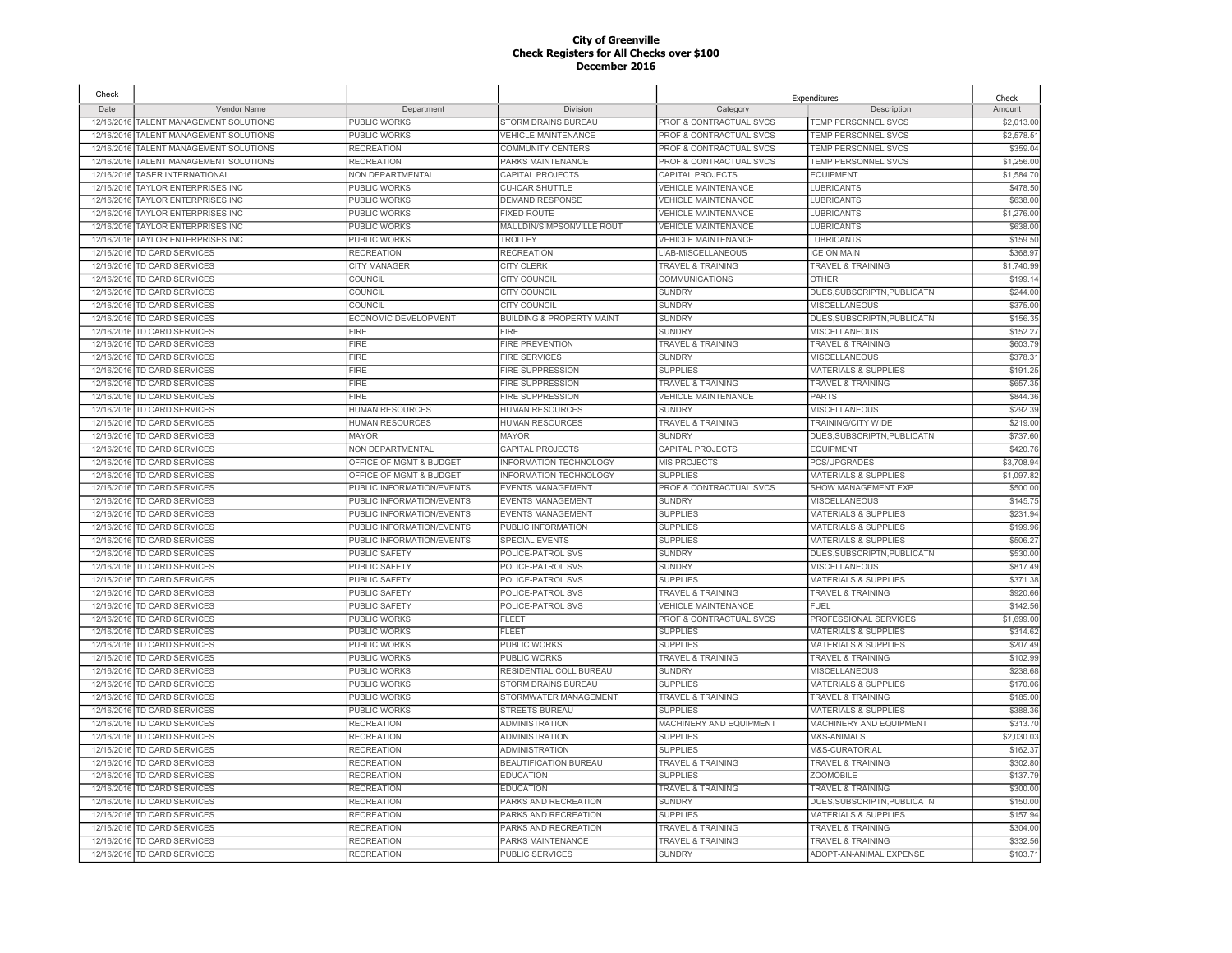| Check      |                                   |                           |                                      |                              | Expenditures                    | Check      |
|------------|-----------------------------------|---------------------------|--------------------------------------|------------------------------|---------------------------------|------------|
| Date       | Vendor Name                       | Department                | Division                             | Category                     | Description                     | Amount     |
| 12/16/2016 | TALENT MANAGEMENT SOLUTIONS       | PUBLIC WORKS              | STORM DRAINS BUREAU                  | PROF & CONTRACTUAL SVCS      | TEMP PERSONNEL SVCS             | \$2,013.00 |
| 12/16/2016 | TALENT MANAGEMENT SOLUTIONS       | <b>PUBLIC WORKS</b>       | <b>VEHICLE MAINTENANCE</b>           | PROF & CONTRACTUAL SVCS      | TEMP PERSONNEL SVCS             | \$2,578.51 |
| 12/16/2016 | TALENT MANAGEMENT SOLUTIONS       | <b>RECREATION</b>         | COMMUNITY CENTERS                    | PROF & CONTRACTUAL SVCS      | <b>TEMP PERSONNEL SVCS</b>      | \$359.04   |
| 12/16/2016 | TALENT MANAGEMENT SOLUTIONS       | <b>RECREATION</b>         | PARKS MAINTENANCE                    | PROF & CONTRACTUAL SVCS      | TEMP PERSONNEL SVCS             | \$1,256.00 |
| 12/16/2016 | <b>TASER INTERNATIONAL</b>        | NON DEPARTMENTAL          | CAPITAL PROJECTS                     | CAPITAL PROJECTS             | <b>EQUIPMENT</b>                | \$1,584.7  |
|            | 12/16/2016 TAYLOR ENTERPRISES INC | PUBLIC WORKS              | <b>CU-ICAR SHUTTLE</b>               | <b>VEHICLE MAINTENANCE</b>   | <b>LUBRICANTS</b>               | \$478.50   |
| 12/16/2016 | TAYLOR ENTERPRISES INC            | PUBLIC WORKS              | <b>DEMAND RESPONSE</b>               | <b>VEHICLE MAINTENANCE</b>   | LUBRICANTS                      | \$638.0    |
|            | 12/16/2016 TAYLOR ENTERPRISES INC | PUBLIC WORKS              | <b>FIXED ROUTE</b>                   | <b>VEHICLE MAINTENANCE</b>   | <b>LUBRICANTS</b>               | \$1,276.00 |
| 12/16/2016 | <b>TAYLOR ENTERPRISES INC</b>     | PUBLIC WORKS              | MAULDIN/SIMPSONVILLE ROUT            | <b>VEHICLE MAINTENANCE</b>   | <b>LUBRICANTS</b>               | \$638.0    |
|            | 12/16/2016 TAYLOR ENTERPRISES INC | <b>PUBLIC WORKS</b>       | TROLLEY                              | <b>VEHICLE MAINTENANCE</b>   | <b>LUBRICANTS</b>               | \$159.50   |
|            | 12/16/2016 TD CARD SERVICES       | <b>RECREATION</b>         | <b>RECREATION</b>                    | LIAB-MISCELLANEOUS           | <b>ICE ON MAIN</b>              | \$368.9    |
|            | 12/16/2016 TD CARD SERVICES       | <b>CITY MANAGER</b>       | <b>CITY CLERK</b>                    | <b>TRAVEL &amp; TRAINING</b> | <b>TRAVEL &amp; TRAINING</b>    | \$1,740.99 |
| 12/16/2016 | TD CARD SERVICES                  | COUNCIL                   | CITY COUNCIL                         | COMMUNICATIONS               | <b>OTHER</b>                    | \$199.1    |
|            | 12/16/2016 TD CARD SERVICES       | COUNCIL                   | CITY COUNCIL                         | <b>SUNDRY</b>                | DUES, SUBSCRIPTN, PUBLICATN     | \$244.0    |
| 12/16/2016 | TD CARD SERVICES                  | <b>COUNCIL</b>            | CITY COUNCIL                         | <b>SUNDRY</b>                | <b>MISCELLANEOUS</b>            | \$375.00   |
| 12/16/2016 | <b>TD CARD SERVICES</b>           | ECONOMIC DEVELOPMENT      | <b>BUILDING &amp; PROPERTY MAINT</b> | <b>SUNDRY</b>                | DUES, SUBSCRIPTN, PUBLICATN     | \$156.3    |
| 12/16/2016 | <b>TD CARD SERVICES</b>           | <b>FIRE</b>               | <b>FIRE</b>                          | <b>SUNDRY</b>                | <b>MISCELLANEOUS</b>            | \$152.2    |
| 12/16/2016 | TD CARD SERVICES                  | <b>FIRE</b>               | <b>FIRE PREVENTION</b>               | <b>TRAVEL &amp; TRAINING</b> | <b>TRAVEL &amp; TRAINING</b>    | \$603.7    |
| 12/16/2016 | TD CARD SERVICES                  | <b>FIRE</b>               | <b>FIRE SERVICES</b>                 | <b>SUNDRY</b>                | MISCELLANEOUS                   | \$378.3    |
| 12/16/2016 | TD CARD SERVICES                  | <b>FIRE</b>               | <b>FIRE SUPPRESSION</b>              | <b>SUPPLIES</b>              | <b>MATERIALS &amp; SUPPLIES</b> | \$191.2    |
| 12/16/2016 | TD CARD SERVICES                  | FIRE                      | <b>FIRE SUPPRESSION</b>              | TRAVEL & TRAINING            | <b>TRAVEL &amp; TRAINING</b>    | \$657.3    |
| 12/16/2016 | TD CARD SERVICES                  | <b>FIRE</b>               | <b>FIRE SUPPRESSION</b>              | <b>VEHICLE MAINTENANCE</b>   | PARTS                           | \$844.3    |
| 12/16/2016 | <b>TD CARD SERVICES</b>           | <b>HUMAN RESOURCES</b>    | <b>HUMAN RESOURCES</b>               | <b>SUNDRY</b>                | <b>MISCELLANEOUS</b>            | \$292.3    |
| 12/16/2016 | TD CARD SERVICES                  | HUMAN RESOURCES           | <b>HUMAN RESOURCES</b>               | <b>TRAVEL &amp; TRAINING</b> | TRAINING/CITY WIDE              | \$219.00   |
| 12/16/2016 | TD CARD SERVICES                  | <b>MAYOR</b>              | <b>MAYOR</b>                         | <b>SUNDRY</b>                | DUES, SUBSCRIPTN, PUBLICATN     | \$737.60   |
| 12/16/2016 | <b>TD CARD SERVICES</b>           | <b>NON DEPARTMENTAL</b>   | CAPITAL PROJECTS                     | CAPITAL PROJECTS             | <b>EQUIPMENT</b>                | \$420.7    |
| 12/16/2016 | <b>TD CARD SERVICES</b>           | OFFICE OF MGMT & BUDGET   | <b>INFORMATION TECHNOLOGY</b>        | <b>MIS PROJECTS</b>          | <b>PCS/UPGRADES</b>             | \$3,708.9  |
| 12/16/2016 | TD CARD SERVICES                  | OFFICE OF MGMT & BUDGET   | <b>INFORMATION TECHNOLOGY</b>        | <b>SUPPLIES</b>              | <b>MATERIALS &amp; SUPPLIES</b> | \$1,097.8  |
| 12/16/2016 | TD CARD SERVICES                  | PUBLIC INFORMATION/EVENTS | <b>EVENTS MANAGEMENT</b>             | PROF & CONTRACTUAL SVCS      | <b>SHOW MANAGEMENT EXP</b>      | \$500.0    |
| 12/16/2016 | <b>TD CARD SERVICES</b>           | PUBLIC INFORMATION/EVENTS | <b>EVENTS MANAGEMENT</b>             | <b>SUNDRY</b>                | <b>MISCELLANEOUS</b>            | \$145.7    |
|            |                                   |                           |                                      |                              |                                 |            |
| 12/16/2016 | <b>TD CARD SERVICES</b>           | PUBLIC INFORMATION/EVENTS | EVENTS MANAGEMENT                    | <b>SUPPLIES</b>              | <b>MATERIALS &amp; SUPPLIES</b> | \$231.94   |
| 12/16/2016 | TD CARD SERVICES                  | PUBLIC INFORMATION/EVENTS | PUBLIC INFORMATION                   | <b>SUPPLIES</b>              | <b>MATERIALS &amp; SUPPLIES</b> | \$199.96   |
| 12/16/2016 | TD CARD SERVICES                  | PUBLIC INFORMATION/EVENTS | <b>SPECIAL EVENTS</b>                | <b>SUPPLIES</b>              | <b>MATERIALS &amp; SUPPLIES</b> | \$506.2    |
| 12/16/2016 | <b>TD CARD SERVICES</b>           | <b>PUBLIC SAFETY</b>      | POLICE-PATROL SVS                    | <b>SUNDRY</b>                | DUES.SUBSCRIPTN.PUBLICATN       | \$530.0    |
| 12/16/2016 | <b>TD CARD SERVICES</b>           | <b>PUBLIC SAFETY</b>      | POLICE-PATROL SVS                    | <b>SUNDRY</b>                | <b>MISCELLANEOUS</b>            | \$817.49   |
| 12/16/2016 | TD CARD SERVICES                  | <b>PUBLIC SAFETY</b>      | POLICE-PATROL SVS                    | <b>SUPPLIES</b>              | <b>MATERIALS &amp; SUPPLIES</b> | \$371.38   |
| 12/16/2016 | TD CARD SERVICES                  | PUBLIC SAFETY             | POLICE-PATROL SVS                    | <b>TRAVEL &amp; TRAINING</b> | <b>TRAVEL &amp; TRAINING</b>    | \$920.6    |
| 12/16/2016 | TD CARD SERVICES                  | PUBLIC SAFETY             | POLICE-PATROL SVS                    | <b>VEHICLE MAINTENANCE</b>   | <b>FUEL</b>                     | \$142.5    |
| 12/16/2016 | TD CARD SERVICES                  | PUBLIC WORKS              | FLEET                                | PROF & CONTRACTUAL SVCS      | PROFESSIONAL SERVICES           | \$1,699.00 |
| 12/16/2016 | TD CARD SERVICES                  | PUBLIC WORKS              | FLEET                                | <b>SUPPLIES</b>              | <b>MATERIALS &amp; SUPPLIES</b> | \$314.62   |
| 12/16/2016 | TD CARD SERVICES                  | PUBLIC WORKS              | PUBLIC WORKS                         | <b>SUPPLIES</b>              | <b>MATERIALS &amp; SUPPLIES</b> | \$207.49   |
| 12/16/2016 | TD CARD SERVICES                  | PUBLIC WORKS              | PUBLIC WORKS                         | <b>TRAVEL &amp; TRAINING</b> | <b>TRAVEL &amp; TRAINING</b>    | \$102.9    |
| 12/16/2016 | TD CARD SERVICES                  | <b>PUBLIC WORKS</b>       | RESIDENTIAL COLL BUREAU              | <b>SUNDRY</b>                | MISCELLANEOUS                   | \$238.68   |
| 12/16/2016 | TD CARD SERVICES                  | PUBLIC WORKS              | STORM DRAINS BUREAU                  | <b>SUPPLIES</b>              | MATERIALS & SUPPLIES            | \$170.06   |
|            | 12/16/2016 TD CARD SERVICES       | <b>PUBLIC WORKS</b>       | STORMWATER MANAGEMENT                | TRAVEL & TRAINING            | <b>TRAVEL &amp; TRAINING</b>    | \$185.00   |
|            | 12/16/2016 TD CARD SERVICES       | PUBLIC WORKS              | <b>STREETS BUREAU</b>                | <b>SUPPLIES</b>              | <b>MATERIALS &amp; SUPPLIES</b> | \$388.3    |
|            | 12/16/2016 TD CARD SERVICES       | <b>RECREATION</b>         | ADMINISTRATION                       | MACHINERY AND EQUIPMENT      | MACHINERY AND EQUIPMENT         | \$313.70   |
|            | 12/16/2016 TD CARD SERVICES       | <b>RECREATION</b>         | <b>ADMINISTRATION</b>                | <b>SUPPLIES</b>              | M&S-ANIMALS                     | \$2,030.0  |
|            | 12/16/2016 TD CARD SERVICES       | <b>RECREATION</b>         | ADMINISTRATION                       | <b>SUPPLIES</b>              | <b>M&amp;S-CURATORIAL</b>       | \$162.3    |
| 12/16/2016 | TD CARD SERVICES                  | <b>RECREATION</b>         | <b>BEAUTIFICATION BUREAU</b>         | <b>TRAVEL &amp; TRAINING</b> | <b>TRAVEL &amp; TRAINING</b>    | \$302.8    |
|            | 12/16/2016 TD CARD SERVICES       | <b>RECREATION</b>         | <b>EDUCATION</b>                     | <b>SUPPLIES</b>              | <b>ZOOMOBILE</b>                | \$137.79   |
|            | 12/16/2016 TD CARD SERVICES       | <b>RECREATION</b>         | <b>EDUCATION</b>                     | TRAVEL & TRAINING            | <b>TRAVEL &amp; TRAINING</b>    | \$300.0    |
| 12/16/2016 | TD CARD SERVICES                  | <b>RECREATION</b>         | PARKS AND RECREATION                 | <b>SUNDRY</b>                | DUES, SUBSCRIPTN, PUBLICATN     | \$150.0    |
| 12/16/2016 | TD CARD SERVICES                  | <b>RECREATION</b>         | PARKS AND RECREATION                 | <b>SUPPLIES</b>              | <b>MATERIALS &amp; SUPPLIES</b> | \$157.9    |
| 12/16/2016 | TD CARD SERVICES                  | RECREATION                | PARKS AND RECREATION                 | <b>TRAVEL &amp; TRAINING</b> | <b>TRAVEL &amp; TRAINING</b>    | \$304.00   |
| 12/16/2016 | TD CARD SERVICES                  | <b>RECREATION</b>         | PARKS MAINTENANCE                    | <b>TRAVEL &amp; TRAINING</b> | <b>TRAVEL &amp; TRAINING</b>    | \$332.5    |
|            | 12/16/2016 TD CARD SERVICES       | <b>RECREATION</b>         | PUBLIC SERVICES                      | <b>SUNDRY</b>                | ADOPT-AN-ANIMAL EXPENSE         | \$103.71   |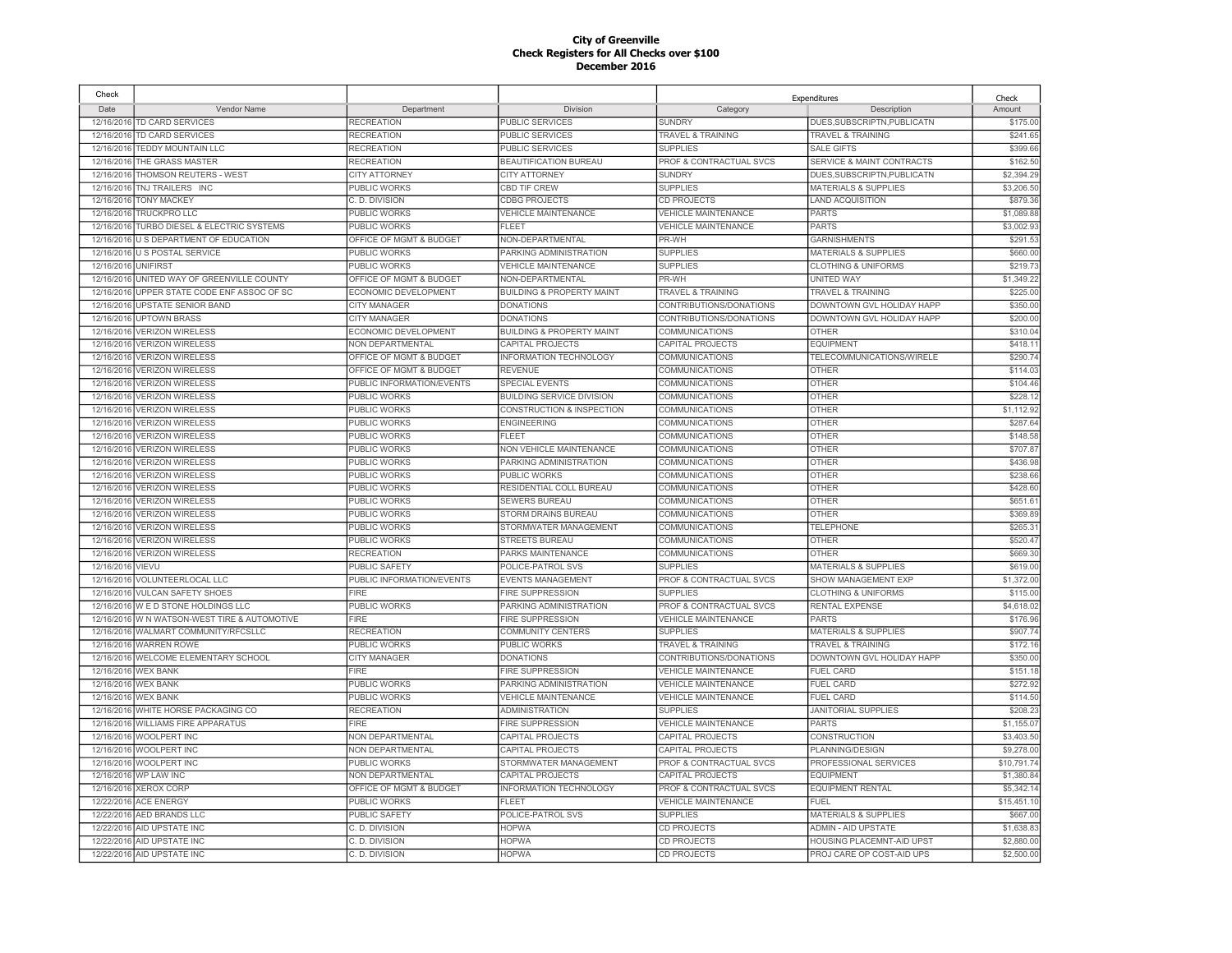| Check               |                                            |                           |                                      |                              | Expenditures                    | Check       |
|---------------------|--------------------------------------------|---------------------------|--------------------------------------|------------------------------|---------------------------------|-------------|
| Date                | Vendor Name                                | Department                | Division                             | Category                     | Description                     | Amount      |
|                     | 12/16/2016 TD CARD SERVICES                | <b>RECREATION</b>         | PUBLIC SERVICES                      | <b>SUNDRY</b>                | DUES, SUBSCRIPTN, PUBLICATN     | \$175.00    |
| 12/16/2016          | <b>TD CARD SERVICES</b>                    | <b>RECREATION</b>         | <b>PUBLIC SERVICES</b>               | <b>TRAVEL &amp; TRAINING</b> | <b>TRAVEL &amp; TRAINING</b>    | \$241.65    |
| 12/16/2016          | <b>TEDDY MOUNTAIN LLC</b>                  | <b>RECREATION</b>         | PUBLIC SERVICES                      | <b>SUPPLIES</b>              | <b>SALE GIFTS</b>               | \$399.66    |
| 12/16/2016          | THE GRASS MASTER                           | <b>RECREATION</b>         | <b>BEAUTIFICATION BUREAU</b>         | PROF & CONTRACTUAL SVCS      | SERVICE & MAINT CONTRACTS       | \$162.50    |
| 12/16/2016          | THOMSON REUTERS - WEST                     | <b>CITY ATTORNEY</b>      | <b>CITY ATTORNEY</b>                 | <b>SUNDRY</b>                | DUES, SUBSCRIPTN, PUBLICATN     | \$2,394.29  |
|                     | 12/16/2016 TNJ TRAILERS INC                | PUBLIC WORKS              | <b>CBD TIF CREW</b>                  | <b>SUPPLIES</b>              | <b>MATERIALS &amp; SUPPLIES</b> | \$3,206.50  |
| 12/16/2016          | <b>TONY MACKEY</b>                         | C. D. DIVISION            | <b>CDBG PROJECTS</b>                 | CD PROJECTS                  | <b>LAND ACQUISITION</b>         | \$879.36    |
| 12/16/2016          | <b>TRUCKPRO LLC</b>                        | PUBLIC WORKS              | <b>VEHICLE MAINTENANCE</b>           | <b>VEHICLE MAINTENANCE</b>   | <b>PARTS</b>                    | \$1,089.88  |
|                     | 12/16/2016 TURBO DIESEL & ELECTRIC SYSTEMS | PUBLIC WORKS              | <b>FLEET</b>                         | <b>VEHICLE MAINTENANCE</b>   | <b>PARTS</b>                    | \$3,002.93  |
|                     | 12/16/2016 U S DEPARTMENT OF EDUCATION     | OFFICE OF MGMT & BUDGET   | NON-DEPARTMENTAL                     | PR-WH                        | <b>GARNISHMENTS</b>             | \$291.53    |
|                     | 12/16/2016 U S POSTAL SERVICE              | PUBLIC WORKS              | PARKING ADMINISTRATION               | <b>SUPPLIES</b>              | <b>MATERIALS &amp; SUPPLIES</b> | \$660.00    |
| 12/16/2016 UNIFIRST |                                            | PUBLIC WORKS              | <b>VEHICLE MAINTENANCE</b>           | <b>SUPPLIES</b>              | <b>CLOTHING &amp; UNIFORMS</b>  | \$219.73    |
| 12/16/2016          | UNITED WAY OF GREENVILLE COUNTY            | OFFICE OF MGMT & BUDGET   | NON-DEPARTMENTAL                     | PR-WH                        | <b>UNITED WAY</b>               | \$1,349.2   |
| 12/16/2016          | UPPER STATE CODE ENF ASSOC OF SC           | ECONOMIC DEVELOPMENT      | <b>BUILDING &amp; PROPERTY MAINT</b> | <b>TRAVEL &amp; TRAINING</b> | <b>TRAVEL &amp; TRAINING</b>    | \$225.00    |
| 12/16/2016          | UPSTATE SENIOR BAND                        | <b>CITY MANAGER</b>       | <b>DONATIONS</b>                     | CONTRIBUTIONS/DONATIONS      | DOWNTOWN GVL HOLIDAY HAPP       | \$350.00    |
| 12/16/2016          | <b>UPTOWN BRASS</b>                        | <b>CITY MANAGER</b>       | <b>DONATIONS</b>                     | CONTRIBUTIONS/DONATIONS      | DOWNTOWN GVL HOLIDAY HAPP       | \$200.00    |
| 12/16/2016          | <b>VERIZON WIRELESS</b>                    | ECONOMIC DEVELOPMENT      | <b>BUILDING &amp; PROPERTY MAINT</b> | <b>COMMUNICATIONS</b>        | <b>OTHER</b>                    | \$310.04    |
| 12/16/2016          | <b>VERIZON WIRELESS</b>                    | NON DEPARTMENTAL          | CAPITAL PROJECTS                     | CAPITAL PROJECTS             | <b>EQUIPMENT</b>                | \$418.1     |
| 12/16/2016          | <b>VERIZON WIRELESS</b>                    | OFFICE OF MGMT & BUDGET   | INFORMATION TECHNOLOGY               | COMMUNICATIONS               | TELECOMMUNICATIONS/WIRELE       | \$290.7     |
| 12/16/2016          | <b>VERIZON WIRELESS</b>                    | OFFICE OF MGMT & BUDGET   | <b>REVENUE</b>                       | COMMUNICATIONS               | <b>OTHER</b>                    | \$114.03    |
| 12/16/201           | <b>VERIZON WIRELESS</b>                    | PUBLIC INFORMATION/EVENTS | SPECIAL EVENTS                       | COMMUNICATIONS               | <b>OTHER</b>                    | \$104.46    |
| 12/16/2016          | <b>VERIZON WIRELESS</b>                    | PUBLIC WORKS              | <b>BUILDING SERVICE DIVISION</b>     | COMMUNICATIONS               | <b>OTHER</b>                    | \$228.1     |
| 12/16/201           | <b>VERIZON WIRELESS</b>                    | PUBLIC WORKS              | <b>CONSTRUCTION &amp; INSPECTION</b> | <b>COMMUNICATIONS</b>        | <b>OTHER</b>                    | \$1,112.92  |
| 12/16/2016          | <b>VERIZON WIRELESS</b>                    | PUBLIC WORKS              | <b>ENGINEERING</b>                   | COMMUNICATIONS               | <b>OTHER</b>                    | \$287.64    |
| 12/16/2016          | <b>VERIZON WIRELESS</b>                    | PUBLIC WORKS              | FLEET                                | COMMUNICATIONS               | <b>OTHER</b>                    | \$148.58    |
| 12/16/2016          | <b>VERIZON WIRELESS</b>                    | PUBLIC WORKS              | <b>NON VEHICLE MAINTENANCE</b>       | COMMUNICATIONS               | <b>OTHER</b>                    | \$707.87    |
| 12/16/2016          | <b>VERIZON WIRELESS</b>                    | PUBLIC WORKS              | PARKING ADMINISTRATION               | <b>COMMUNICATIONS</b>        | <b>OTHER</b>                    | \$436.98    |
| 12/16/2016          | <b>VERIZON WIRELESS</b>                    | <b>PUBLIC WORKS</b>       | PUBLIC WORKS                         | <b>COMMUNICATIONS</b>        | <b>OTHER</b>                    | \$238.66    |
| 12/16/2016          | <b>VERIZON WIRELESS</b>                    | PUBLIC WORKS              | RESIDENTIAL COLL BUREAU              | <b>COMMUNICATIONS</b>        | <b>OTHER</b>                    | \$428.60    |
| 12/16/2016          | <b>VERIZON WIRELESS</b>                    | PUBLIC WORKS              | <b>SEWERS BUREAU</b>                 | COMMUNICATIONS               | <b>OTHER</b>                    | \$651.61    |
|                     |                                            |                           |                                      |                              |                                 |             |
| 12/16/2016          | <b>VERIZON WIRELESS</b>                    | PUBLIC WORKS              | STORM DRAINS BUREAU                  | <b>COMMUNICATIONS</b>        | <b>OTHER</b>                    | \$369.89    |
| 12/16/2016          | <b>VERIZON WIRELESS</b>                    | PUBLIC WORKS              | STORMWATER MANAGEMENT                | COMMUNICATIONS               | <b>TELEPHONE</b>                | \$265.3     |
| 12/16/2016          | <b>VERIZON WIRELESS</b>                    | PUBLIC WORKS              | <b>STREETS BUREAU</b>                | <b>COMMUNICATIONS</b>        | <b>OTHER</b>                    | \$520.47    |
| 12/16/2016          | <b>VERIZON WIRELESS</b>                    | <b>RECREATION</b>         | PARKS MAINTENANCE                    | <b>COMMUNICATIONS</b>        | <b>OTHER</b>                    | \$669.30    |
| 12/16/2016          | VIEVU                                      | PUBLIC SAFETY             | POLICE-PATROL SVS                    | <b>SUPPLIES</b>              | <b>MATERIALS &amp; SUPPLIES</b> | \$619.00    |
| 12/16/2016          | <b>VOLUNTEERLOCAL LLC</b>                  | PUBLIC INFORMATION/EVENTS | <b>EVENTS MANAGEMENT</b>             | PROF & CONTRACTUAL SVCS      | <b>SHOW MANAGEMENT EXP</b>      | \$1,372.00  |
| 12/16/2016          | <b>VULCAN SAFETY SHOES</b>                 | FIRE                      | <b>FIRE SUPPRESSION</b>              | <b>SUPPLIES</b>              | <b>CLOTHING &amp; UNIFORMS</b>  | \$115.00    |
| 12/16/2016          | WED STONE HOLDINGS LLC                     | PUBLIC WORKS              | PARKING ADMINISTRATION               | PROF & CONTRACTUAL SVCS      | <b>RENTAL EXPENSE</b>           | \$4,618.02  |
| 12/16/2016          | W N WATSON-WEST TIRE & AUTOMOTIVE          | <b>FIRE</b>               | <b>FIRE SUPPRESSION</b>              | <b>VEHICLE MAINTENANCE</b>   | <b>PARTS</b>                    | \$176.96    |
| 12/16/2016          | WALMART COMMUNITY/RFCSLLC                  | <b>RECREATION</b>         | <b>COMMUNITY CENTERS</b>             | <b>SUPPLIES</b>              | <b>MATERIALS &amp; SUPPLIES</b> | \$907.74    |
| 12/16/2016          | <b>WARREN ROWE</b>                         | PUBLIC WORKS              | PUBLIC WORKS                         | TRAVEL & TRAINING            | TRAVEL & TRAINING               | \$172.16    |
| 12/16/2016          | WELCOME ELEMENTARY SCHOOL                  | <b>CITY MANAGER</b>       | <b>DONATIONS</b>                     | CONTRIBUTIONS/DONATIONS      | DOWNTOWN GVL HOLIDAY HAPP       | \$350.00    |
| 12/16/2016          | <b>WEX BANK</b>                            | <b>FIRE</b>               | <b>FIRE SUPPRESSION</b>              | <b>VEHICLE MAINTENANCE</b>   | <b>FUEL CARD</b>                | \$151.18    |
| 12/16/2016          | <b>WEX BANK</b>                            | PUBLIC WORKS              | PARKING ADMINISTRATION               | <b>VEHICLE MAINTENANCE</b>   | FUEL CARD                       | \$272.92    |
|                     | 12/16/2016 WEX BANK                        | PUBLIC WORKS              | <b>VEHICLE MAINTENANCE</b>           | VEHICLE MAINTENANCE          | <b>FUEL CARD</b>                | \$114.50    |
|                     | 12/16/2016 WHITE HORSE PACKAGING CO        | <b>RECREATION</b>         | <b>ADMINISTRATION</b>                | <b>SUPPLIES</b>              | <b>JANITORIAL SUPPLIES</b>      | \$208.23    |
|                     | 12/16/2016 WILLIAMS FIRE APPARATUS         | <b>FIRE</b>               | <b>FIRE SUPPRESSION</b>              | VEHICLE MAINTENANCE          | <b>PARTS</b>                    | \$1,155.07  |
|                     | 12/16/2016 WOOLPERT INC                    | NON DEPARTMENTAL          | CAPITAL PROJECTS                     | CAPITAL PROJECTS             | CONSTRUCTION                    | \$3,403.50  |
|                     | 12/16/2016 WOOLPERT INC                    | NON DEPARTMENTAL          | CAPITAL PROJECTS                     | CAPITAL PROJECTS             | PLANNING/DESIGN                 | \$9,278.00  |
|                     | 12/16/2016 WOOLPERT INC                    | PUBLIC WORKS              | STORMWATER MANAGEMENT                | PROF & CONTRACTUAL SVCS      | PROFESSIONAL SERVICES           | \$10,791.74 |
|                     | 12/16/2016 WP LAW INC                      | NON DEPARTMENTAL          | CAPITAL PROJECTS                     | CAPITAL PROJECTS             | <b>EQUIPMENT</b>                | \$1,380.84  |
|                     | 12/16/2016 XEROX CORP                      | OFFICE OF MGMT & BUDGET   | INFORMATION TECHNOLOGY               | PROF & CONTRACTUAL SVCS      | <b>EQUIPMENT RENTAL</b>         | \$5,342.1   |
| 12/22/2016          | <b>ACE ENERGY</b>                          | PUBLIC WORKS              | <b>FLEET</b>                         | <b>VEHICLE MAINTENANCE</b>   | FUEL                            | \$15,451.1  |
| 12/22/2016          | AED BRANDS LLC                             | <b>PUBLIC SAFETY</b>      | POLICE-PATROL SVS                    | <b>SUPPLIES</b>              | MATERIALS & SUPPLIES            | \$667.00    |
| 12/22/2016          | AID UPSTATE INC                            | C. D. DIVISION            | <b>HOPWA</b>                         | CD PROJECTS                  | <b>ADMIN - AID UPSTATE</b>      | \$1,638.83  |
| 12/22/2016          | AID UPSTATE INC                            | C. D. DIVISION            | <b>HOPWA</b>                         | <b>CD PROJECTS</b>           | HOUSING PLACEMNT-AID UPST       | \$2,880.00  |
|                     | 12/22/2016 AID UPSTATE INC                 | C. D. DIVISION            | <b>HOPWA</b>                         | CD PROJECTS                  | PROJ CARE OP COST-AID UPS       | \$2,500.00  |
|                     |                                            |                           |                                      |                              |                                 |             |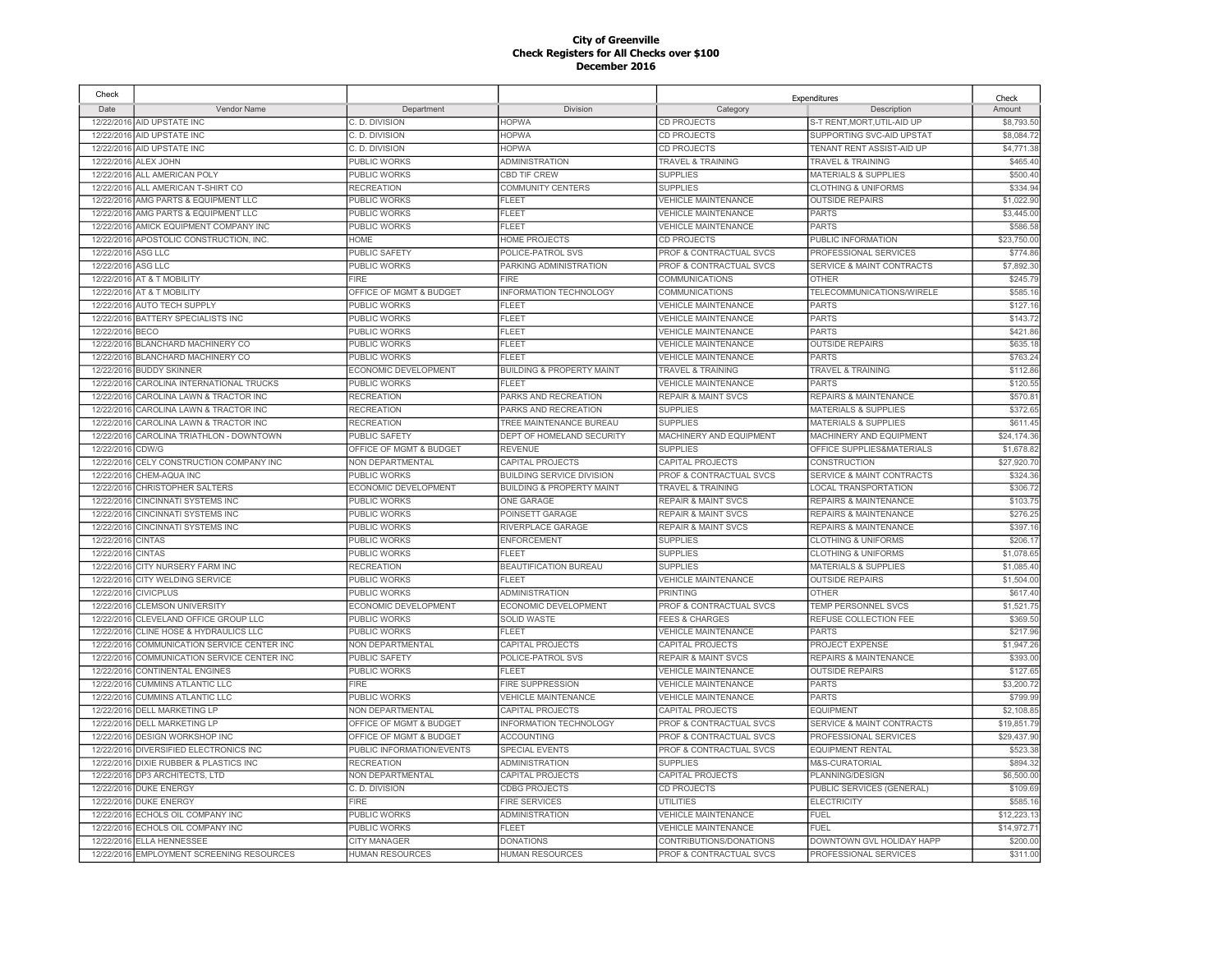| Check      |                                           |                           |                                      |                                    | Expenditures                         | Check       |
|------------|-------------------------------------------|---------------------------|--------------------------------------|------------------------------------|--------------------------------------|-------------|
| Date       | Vendor Name                               | Department                | Division                             | Category                           | Description                          | Amount      |
|            | 12/22/2016 AID UPSTATE INC                | C. D. DIVISION            | <b>HOPWA</b>                         | <b>CD PROJECTS</b>                 | S-T RENT, MORT, UTIL-AID UP          | \$8,793.50  |
| 12/22/2016 | AID UPSTATE INC                           | C. D. DIVISION            | <b>HOPWA</b>                         | CD PROJECTS                        | SUPPORTING SVC-AID UPSTAT            | \$8,084.72  |
| 12/22/2016 | AID UPSTATE INC                           | C. D. DIVISION            | <b>HOPWA</b>                         | <b>CD PROJECTS</b>                 | TENANT RENT ASSIST-AID UP            | \$4,771.38  |
| 12/22/2016 | ALEX JOHN                                 | PUBLIC WORKS              | <b>ADMINISTRATION</b>                | TRAVEL & TRAINING                  | <b>TRAVEL &amp; TRAINING</b>         | \$465.40    |
| 12/22/2016 | ALL AMERICAN POLY                         | PUBLIC WORKS              | CBD TIF CREW                         | <b>SUPPLIES</b>                    | MATERIALS & SUPPLIES                 | \$500.40    |
|            | 12/22/2016 ALL AMERICAN T-SHIRT CO        | <b>RECREATION</b>         | <b>COMMUNITY CENTERS</b>             | <b>SUPPLIES</b>                    | <b>CLOTHING &amp; UNIFORMS</b>       | \$334.94    |
| 12/22/2016 | AMG PARTS & EQUIPMENT LLC                 | PUBLIC WORKS              | <b>FLEET</b>                         | <b>VEHICLE MAINTENANCE</b>         | <b>OUTSIDE REPAIRS</b>               | \$1,022.90  |
| 12/22/2016 | AMG PARTS & EQUIPMENT LLC                 | <b>PUBLIC WORKS</b>       | <b>FLEET</b>                         | <b>VEHICLE MAINTENANCE</b>         | <b>PARTS</b>                         | \$3,445.00  |
| 12/22/2016 | AMICK EQUIPMENT COMPANY INC               | PUBLIC WORKS              | <b>FLEET</b>                         | <b>VEHICLE MAINTENANCE</b>         | <b>PARTS</b>                         | \$586.58    |
| 12/22/2016 | APOSTOLIC CONSTRUCTION, INC.              | HOME                      | <b>HOME PROJECTS</b>                 | <b>CD PROJECTS</b>                 | PUBLIC INFORMATION                   | \$23,750.00 |
| 12/22/2016 | ASG LLC                                   | PUBLIC SAFETY             | POLICE-PATROL SVS                    | PROF & CONTRACTUAL SVCS            | PROFESSIONAL SERVICES                | \$774.86    |
| 12/22/2016 | ASG LLC                                   | PUBLIC WORKS              | PARKING ADMINISTRATION               | PROF & CONTRACTUAL SVCS            | <b>SERVICE &amp; MAINT CONTRACTS</b> | \$7,892.30  |
| 12/22/2016 | AT & T MOBILITY                           | FIRE                      | FIRE                                 | <b>COMMUNICATIONS</b>              | <b>OTHER</b>                         | \$245.7     |
| 12/22/2016 | AT & T MOBILITY                           | OFFICE OF MGMT & BUDGET   | INFORMATION TECHNOLOGY               | COMMUNICATIONS                     | TELECOMMUNICATIONS/WIRELE            | \$585.1     |
| 12/22/2016 | AUTO TECH SUPPLY                          | PUBLIC WORKS              | <b>FLEET</b>                         | <b>VEHICLE MAINTENANCE</b>         | <b>PARTS</b>                         | \$127.16    |
| 12/22/2016 | <b>BATTERY SPECIALISTS INC</b>            | PUBLIC WORKS              | <b>FLEET</b>                         | <b>VEHICLE MAINTENANCE</b>         | <b>PARTS</b>                         | \$143.72    |
| 12/22/2016 | BECO                                      | <b>PUBLIC WORKS</b>       | <b>FLEET</b>                         | <b>VEHICLE MAINTENANCE</b>         | <b>PARTS</b>                         | \$421.86    |
| 12/22/2016 | <b>BLANCHARD MACHINERY CO</b>             | PUBLIC WORKS              | <b>FLEET</b>                         | <b>VEHICLE MAINTENANCE</b>         | <b>OUTSIDE REPAIRS</b>               | \$635.1     |
| 12/22/2016 | <b>BLANCHARD MACHINERY CO</b>             | PUBLIC WORKS              | <b>FLEET</b>                         | <b>VEHICLE MAINTENANCE</b>         | <b>PARTS</b>                         | \$763.24    |
| 12/22/2016 | <b>BUDDY SKINNER</b>                      | ECONOMIC DEVELOPMENT      | <b>BUILDING &amp; PROPERTY MAINT</b> | <b>TRAVEL &amp; TRAINING</b>       | <b>TRAVEL &amp; TRAINING</b>         | \$112.86    |
| 12/22/2016 | CAROLINA INTERNATIONAL TRUCKS             | <b>PUBLIC WORKS</b>       | <b>FLEET</b>                         | <b>VEHICLE MAINTENANCE</b>         | <b>PARTS</b>                         | \$120.55    |
| 12/22/2016 | CAROLINA LAWN & TRACTOR INC               | <b>RECREATION</b>         | PARKS AND RECREATION                 | <b>REPAIR &amp; MAINT SVCS</b>     | REPAIRS & MAINTENANCE                | \$570.8     |
|            |                                           |                           |                                      | <b>SUPPLIES</b>                    |                                      |             |
| 12/22/2016 | CAROLINA LAWN & TRACTOR INC               | <b>RECREATION</b>         | PARKS AND RECREATION                 |                                    | <b>MATERIALS &amp; SUPPLIES</b>      | \$372.65    |
| 12/22/2016 | CAROLINA LAWN & TRACTOR INC               | <b>RECREATION</b>         | TREE MAINTENANCE BUREAU              | <b>SUPPLIES</b>                    | <b>MATERIALS &amp; SUPPLIES</b>      | \$611.45    |
| 12/22/2016 | CAROLINA TRIATHLON - DOWNTOWN             | PUBLIC SAFETY             | DEPT OF HOMELAND SECURITY            | MACHINERY AND EQUIPMENT            | MACHINERY AND EQUIPMENT              | \$24,174.36 |
| 12/22/2016 | CDW/G                                     | OFFICE OF MGMT & BUDGET   | <b>REVENUE</b>                       | <b>SUPPLIES</b>                    | OFFICE SUPPLIES&MATERIALS            | \$1,678.82  |
| 12/22/2016 | CELY CONSTRUCTION COMPANY INC             | NON DEPARTMENTAL          | <b>CAPITAL PROJECTS</b>              | <b>CAPITAL PROJECTS</b>            | <b>CONSTRUCTION</b>                  | \$27,920.70 |
| 12/22/2016 | CHEM-AQUA INC                             | PUBLIC WORKS              | <b>BUILDING SERVICE DIVISION</b>     | PROF & CONTRACTUAL SVCS            | SERVICE & MAINT CONTRACTS            | \$324.36    |
| 12/22/2016 | CHRISTOPHER SALTERS                       | ECONOMIC DEVELOPMENT      | <b>BUILDING &amp; PROPERTY MAINT</b> | <b>TRAVEL &amp; TRAINING</b>       | <b>LOCAL TRANSPORTATION</b>          | \$306.72    |
| 12/22/2016 | <b>CINCINNATI SYSTEMS INC</b>             | PUBLIC WORKS              | <b>ONE GARAGE</b>                    | <b>REPAIR &amp; MAINT SVCS</b>     | REPAIRS & MAINTENANCE                | \$103.75    |
| 12/22/2016 | <b>CINCINNATI SYSTEMS INC</b>             | PUBLIC WORKS              | POINSETT GARAGE                      | <b>REPAIR &amp; MAINT SVCS</b>     | <b>REPAIRS &amp; MAINTENANCE</b>     | \$276.25    |
| 12/22/2016 | <b>CINCINNATI SYSTEMS INC</b>             | PUBLIC WORKS              | RIVERPLACE GARAGE                    | <b>REPAIR &amp; MAINT SVCS</b>     | <b>REPAIRS &amp; MAINTENANCE</b>     | \$397.16    |
| 12/22/2016 | <b>CINTAS</b>                             | PUBLIC WORKS              | <b>ENFORCEMENT</b>                   | <b>SUPPLIES</b>                    | <b>CLOTHING &amp; UNIFORMS</b>       | \$206.1     |
| 12/22/2016 | <b>CINTAS</b>                             | PUBLIC WORKS              | <b>FLEET</b>                         | <b>SUPPLIES</b>                    | <b>CLOTHING &amp; UNIFORMS</b>       | \$1,078.6   |
| 12/22/2016 | CITY NURSERY FARM INC                     | <b>RECREATION</b>         | BEAUTIFICATION BUREAU                | <b>SUPPLIES</b>                    | <b>MATERIALS &amp; SUPPLIES</b>      | \$1,085.40  |
| 12/22/2016 | <b>CITY WELDING SERVICE</b>               | PUBLIC WORKS              | <b>FLEET</b>                         | <b>VEHICLE MAINTENANCE</b>         | <b>OUTSIDE REPAIRS</b>               | \$1,504.00  |
| 12/22/2016 | <b>CIVICPLUS</b>                          | PUBLIC WORKS              | <b>ADMINISTRATION</b>                | <b>PRINTING</b>                    | <b>OTHER</b>                         | \$617.40    |
| 12/22/2016 | <b>CLEMSON UNIVERSITY</b>                 | ECONOMIC DEVELOPMENT      | ECONOMIC DEVELOPMENT                 | PROF & CONTRACTUAL SVCS            | TEMP PERSONNEL SVCS                  | \$1,521.7   |
| 12/22/2016 | CLEVELAND OFFICE GROUP LLC                | <b>PUBLIC WORKS</b>       | <b>SOLID WASTE</b>                   | <b>FEES &amp; CHARGES</b>          | REFUSE COLLECTION FEE                | \$369.50    |
| 12/22/2016 | CLINE HOSE & HYDRAULICS LLC               | PUBLIC WORKS              | <b>FLEET</b>                         | <b>VEHICLE MAINTENANCE</b>         | <b>PARTS</b>                         | \$217.96    |
| 12/22/2016 | COMMUNICATION SERVICE CENTER INC          | NON DEPARTMENTAL          | CAPITAL PROJECTS                     | CAPITAL PROJECTS                   | <b>PROJECT EXPENSE</b>               | \$1,947.26  |
| 12/22/2016 | COMMUNICATION SERVICE CENTER INC          | <b>PUBLIC SAFETY</b>      | POLICE-PATROL SVS                    | <b>REPAIR &amp; MAINT SVCS</b>     | <b>REPAIRS &amp; MAINTENANCE</b>     | \$393.00    |
| 12/22/2016 | CONTINENTAL ENGINES                       | PUBLIC WORKS              | FL FFT                               | <b>VEHICLE MAINTENANCE</b>         | <b>OUTSIDE REPAIRS</b>               | \$127.65    |
| 12/22/2016 | <b>CUMMINS ATLANTIC LLC</b>               | <b>FIRE</b>               | <b>FIRE SUPPRESSION</b>              | <b>VEHICLE MAINTENANCE</b>         | <b>PARTS</b>                         | \$3,200.72  |
| 12/22/2016 | <b>CUMMINS ATLANTIC LLC</b>               | PUBLIC WORKS              | <b>VEHICLE MAINTENANCE</b>           | <b>VEHICLE MAINTENANCE</b>         | PARTS                                | \$799.99    |
| 12/22/2016 | <b>DELL MARKETING LP</b>                  | NON DEPARTMENTAL          | <b>CAPITAL PROJECTS</b>              | <b>CAPITAL PROJECTS</b>            | <b>EQUIPMENT</b>                     | \$2,108.8   |
| 12/22/2016 | <b>DELL MARKETING LP</b>                  | OFFICE OF MGMT & BUDGET   | INFORMATION TECHNOLOGY               | PROF & CONTRACTUAL SVCS            | <b>SERVICE &amp; MAINT CONTRACTS</b> | \$19,851.79 |
| 12/22/2016 | <b>DESIGN WORKSHOP INC</b>                | OFFICE OF MGMT & BUDGET   | <b>ACCOUNTING</b>                    | <b>PROF &amp; CONTRACTUAL SVCS</b> | PROFESSIONAL SERVICES                | \$29,437.90 |
| 12/22/2016 | DIVERSIFIED ELECTRONICS INC               | PUBLIC INFORMATION/EVENTS | <b>SPECIAL EVENTS</b>                | PROF & CONTRACTUAL SVCS            | <b>EQUIPMENT RENTAL</b>              | \$523.38    |
| 12/22/2016 | DIXIE RUBBER & PLASTICS INC               | <b>RECREATION</b>         | <b>ADMINISTRATION</b>                | <b>SUPPLIES</b>                    | M&S-CURATORIAL                       | \$894.32    |
| 12/22/2016 | DP3 ARCHITECTS, LTD                       | NON DEPARTMENTAL          | <b>CAPITAL PROJECTS</b>              | CAPITAL PROJECTS                   | PLANNING/DESIGN                      | \$6,500.00  |
| 12/22/2016 | <b>DUKE ENERGY</b>                        | C. D. DIVISION            | <b>CDBG PROJECTS</b>                 | <b>CD PROJECTS</b>                 | PUBLIC SERVICES (GENERAL)            | \$109.69    |
| 12/22/2016 | <b>DUKE ENERGY</b>                        | <b>FIRE</b>               | <b>FIRE SERVICES</b>                 | <b>UTILITIES</b>                   | <b>ELECTRICITY</b>                   | \$585.1     |
| 12/22/2016 | ECHOLS OIL COMPANY INC                    | PUBLIC WORKS              | <b>ADMINISTRATION</b>                | <b>VEHICLE MAINTENANCE</b>         | <b>FUEL</b>                          | \$12,223.1  |
| 12/22/2016 | ECHOLS OIL COMPANY INC                    | PUBLIC WORKS              | <b>FLEET</b>                         | <b>VEHICLE MAINTENANCE</b>         | FUEL                                 | \$14,972.7  |
|            | 12/22/2016 ELLA HENNESSEE                 | <b>CITY MANAGER</b>       | <b>DONATIONS</b>                     | CONTRIBUTIONS/DONATIONS            | DOWNTOWN GVL HOLIDAY HAPP            | \$200.00    |
|            | 12/22/2016 EMPLOYMENT SCREENING RESOURCES | <b>HUMAN RESOURCES</b>    | <b>HUMAN RESOURCES</b>               | PROF & CONTRACTUAL SVCS            | PROFESSIONAL SERVICES                | \$311.00    |
|            |                                           |                           |                                      |                                    |                                      |             |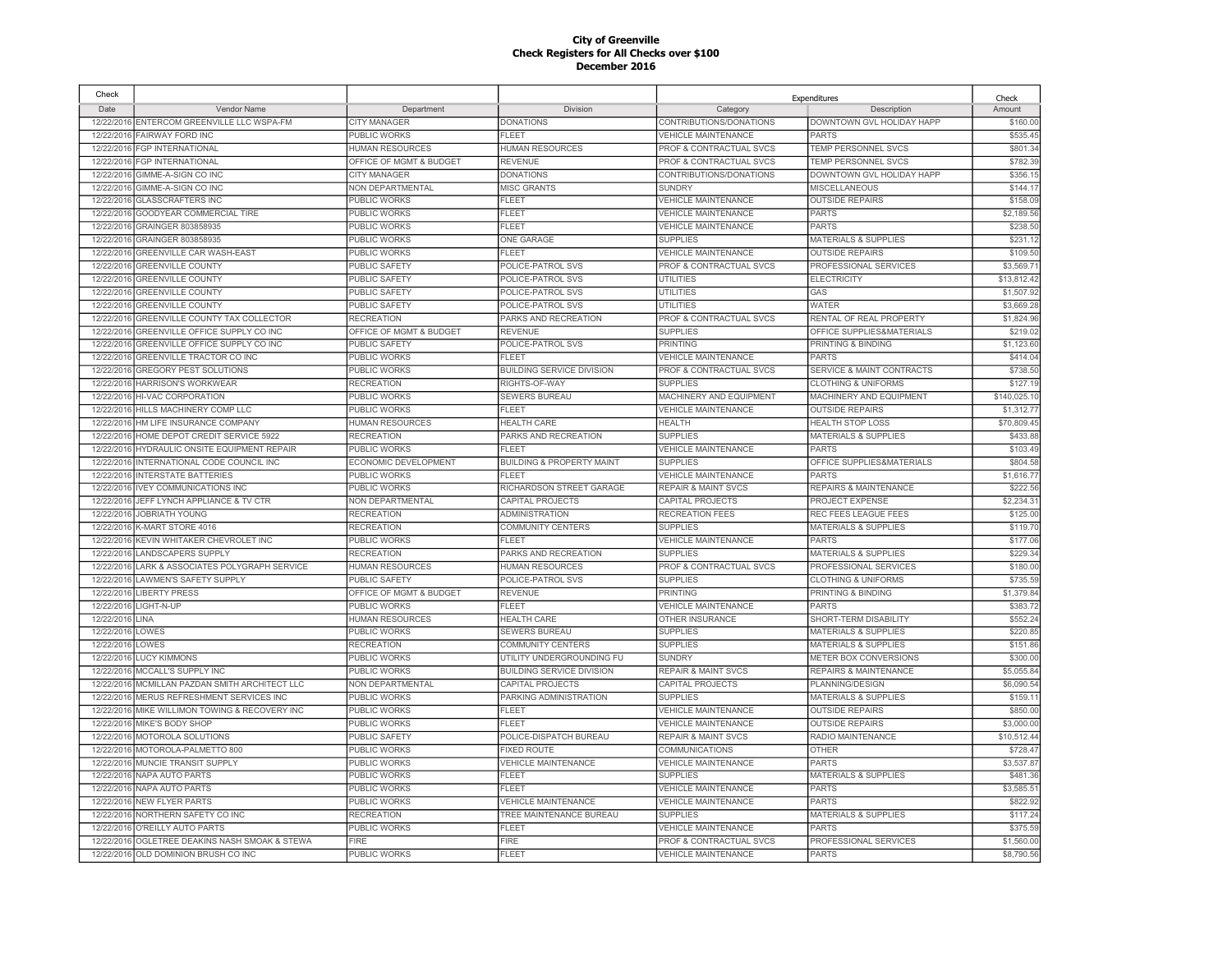| Check      |                                                |                         |                                      |                                    | Expenditures                         | Check       |
|------------|------------------------------------------------|-------------------------|--------------------------------------|------------------------------------|--------------------------------------|-------------|
| Date       | Vendor Name                                    | Department              | Division                             | Category                           | Description                          | Amount      |
|            | 12/22/2016 ENTERCOM GREENVILLE LLC WSPA-FM     | <b>CITY MANAGER</b>     | <b>DONATIONS</b>                     | CONTRIBUTIONS/DONATIONS            | DOWNTOWN GVL HOLIDAY HAPP            | \$160.00    |
|            | 12/22/2016 FAIRWAY FORD INC                    | PUBLIC WORKS            | <b>FLEET</b>                         | <b>VEHICLE MAINTENANCE</b>         | PARTS                                | \$535.45    |
| 12/22/2016 | <b>FGP INTERNATIONAL</b>                       | <b>HUMAN RESOURCES</b>  | <b>HUMAN RESOURCES</b>               | PROF & CONTRACTUAL SVCS            | <b>TEMP PERSONNEL SVCS</b>           | \$801.34    |
| 12/22/2016 | <b>FGP INTERNATIONAL</b>                       | OFFICE OF MGMT & BUDGET | <b>REVENUE</b>                       | PROF & CONTRACTUAL SVCS            | TEMP PERSONNEL SVCS                  | \$782.39    |
| 12/22/2016 | GIMME-A-SIGN CO INC                            | <b>CITY MANAGER</b>     | <b>DONATIONS</b>                     | CONTRIBUTIONS/DONATIONS            | DOWNTOWN GVL HOLIDAY HAPP            | \$356.1     |
| 12/22/2016 | GIMME-A-SIGN CO INC                            | <b>NON DEPARTMENTAL</b> | <b>MISC GRANTS</b>                   | <b>SUNDRY</b>                      | <b>MISCELLANEOUS</b>                 | \$144.1     |
| 12/22/2016 | <b>GLASSCRAFTERS INC</b>                       | PUBLIC WORKS            | <b>FLEET</b>                         | <b>VEHICLE MAINTENANCE</b>         | <b>OUTSIDE REPAIRS</b>               | \$158.09    |
| 12/22/2016 | GOODYEAR COMMERCIAL TIRE                       | PUBLIC WORKS            | <b>FLEET</b>                         | <b>VEHICLE MAINTENANCE</b>         | <b>PARTS</b>                         | \$2,189.56  |
| 12/22/2016 | GRAINGER 803858935                             | PUBLIC WORKS            | <b>FLEET</b>                         | <b>VEHICLE MAINTENANCE</b>         | <b>PARTS</b>                         | \$238.5     |
| 12/22/2016 | GRAINGER 803858935                             | <b>PUBLIC WORKS</b>     | <b>ONE GARAGE</b>                    | <b>SUPPLIES</b>                    | <b>MATERIALS &amp; SUPPLIES</b>      | \$231.1     |
| 12/22/2016 | GREENVILLE CAR WASH-EAST                       | PUBLIC WORKS            | <b>FLEET</b>                         | <b>VEHICLE MAINTENANCE</b>         | <b>OUTSIDE REPAIRS</b>               | \$109.50    |
| 12/22/2016 | <b>GREENVILLE COUNTY</b>                       | <b>PUBLIC SAFETY</b>    | POLICE-PATROL SVS                    | PROF & CONTRACTUAL SVCS            | PROFESSIONAL SERVICES                | \$3.569.7   |
| 12/22/2016 | <b>GREENVILLE COUNTY</b>                       | <b>PUBLIC SAFETY</b>    | POLICE-PATROL SVS                    | UTILITIES                          | <b>ELECTRICITY</b>                   | \$13.812.42 |
| 12/22/2016 | <b>GREENVILLE COUNTY</b>                       | PUBLIC SAFETY           | POLICE-PATROL SVS                    | <b>UTILITIES</b>                   | GAS                                  | \$1,507.92  |
| 12/22/2016 | <b>GREENVILLE COUNTY</b>                       | <b>PUBLIC SAFETY</b>    | POLICE-PATROL SVS                    | <b>UTILITIES</b>                   | <b>WATER</b>                         | \$3,669.28  |
| 12/22/2016 | <b>GREENVILLE COUNTY TAX COLLECTOR</b>         | <b>RECREATION</b>       | PARKS AND RECREATION                 | <b>PROF &amp; CONTRACTUAL SVCS</b> | RENTAL OF REAL PROPERTY              | \$1,824.96  |
| 12/22/2016 | GREENVILLE OFFICE SUPPLY CO INC                | OFFICE OF MGMT & BUDGET | <b>REVENUE</b>                       | <b>SUPPLIES</b>                    | OFFICE SUPPLIES&MATERIALS            | \$219.02    |
| 12/22/2016 | GREENVILLE OFFICE SUPPLY CO INC                | PUBLIC SAFETY           | POLICE-PATROL SVS                    | PRINTING                           | PRINTING & BINDING                   | \$1,123.60  |
| 12/22/2016 | <b>GREENVILLE TRACTOR CO INC</b>               | <b>PUBLIC WORKS</b>     | FL FFT                               | <b>VEHICLE MAINTENANCE</b>         | <b>PARTS</b>                         | \$414.04    |
| 12/22/2016 | <b>GREGORY PEST SOLUTIONS</b>                  | PUBLIC WORKS            | <b>BUILDING SERVICE DIVISION</b>     | <b>PROF &amp; CONTRACTUAL SVCS</b> | <b>SERVICE &amp; MAINT CONTRACTS</b> | \$738.50    |
| 12/22/2016 | <b>HARRISON'S WORKWEAR</b>                     | <b>RECREATION</b>       | RIGHTS-OF-WAY                        | <b>SUPPLIES</b>                    | <b>CLOTHING &amp; UNIFORMS</b>       | \$127.1     |
| 12/22/2016 | <b>HI-VAC CORPORATION</b>                      | PUBLIC WORKS            | <b>SEWERS BUREAU</b>                 | MACHINERY AND EQUIPMENT            | <b>MACHINERY AND EQUIPMENT</b>       | \$140.025.1 |
| 12/22/2016 | HILLS MACHINERY COMP LLC                       | PUBLIC WORKS            | <b>FLEET</b>                         | <b>VEHICLE MAINTENANCE</b>         | <b>OUTSIDE REPAIRS</b>               | \$1,312.7   |
| 12/22/2016 | HM LIFE INSURANCE COMPANY                      | <b>HUMAN RESOURCES</b>  | <b>HEALTH CARE</b>                   | <b>HEALTH</b>                      | <b>HEALTH STOP LOSS</b>              | \$70,809.45 |
| 12/22/2016 | HOME DEPOT CREDIT SERVICE 5922                 | <b>RECREATION</b>       | PARKS AND RECREATION                 | <b>SUPPLIES</b>                    | <b>MATERIALS &amp; SUPPLIES</b>      | \$433.88    |
| 12/22/2016 |                                                | PUBLIC WORKS            | FI FFT                               | <b>VEHICLE MAINTENANCE</b>         | <b>PARTS</b>                         | \$103.49    |
|            | HYDRAULIC ONSITE EQUIPMENT REPAIR              |                         |                                      |                                    | OFFICE SUPPLIES&MATERIALS            |             |
| 12/22/2016 | INTERNATIONAL CODE COUNCIL INC                 | ECONOMIC DEVELOPMENT    | <b>BUILDING &amp; PROPERTY MAINT</b> | <b>SUPPLIES</b>                    |                                      | \$804.58    |
| 12/22/2016 | <b>INTERSTATE BATTERIES</b>                    | PUBLIC WORKS            | FI FFT                               | <b>VEHICLE MAINTENANCE</b>         | <b>PARTS</b>                         | \$1,616.77  |
| 12/22/2016 | <b>IVEY COMMUNICATIONS INC</b>                 | PUBLIC WORKS            | RICHARDSON STREET GARAGE             | <b>REPAIR &amp; MAINT SVCS</b>     | <b>REPAIRS &amp; MAINTENANCE</b>     | \$222.56    |
| 12/22/2016 | JEFF LYNCH APPLIANCE & TV CTR                  | <b>NON DEPARTMENTAL</b> | <b>CAPITAL PROJECTS</b>              | CAPITAL PROJECTS                   | PROJECT EXPENSE                      | \$2.234.3'  |
| 12/22/2016 | JOBRIATH YOUNG                                 | <b>RECREATION</b>       | <b>ADMINISTRATION</b>                | <b>RECREATION FEES</b>             | REC FEES LEAGUE FEES                 | \$125.00    |
| 12/22/2016 | K-MART STORE 4016                              | <b>RECREATION</b>       | <b>COMMUNITY CENTERS</b>             | <b>SUPPLIES</b>                    | <b>MATERIALS &amp; SUPPLIES</b>      | \$119.70    |
| 12/22/2016 | KEVIN WHITAKER CHEVROLET INC                   | PUBLIC WORKS            | FI FFT                               | VEHICLE MAINTENANCE                | <b>PARTS</b>                         | \$177.06    |
| 12/22/2016 | LANDSCAPERS SUPPLY                             | <b>RECREATION</b>       | PARKS AND RECREATION                 | <b>SUPPLIES</b>                    | <b>MATERIALS &amp; SUPPLIES</b>      | \$229.34    |
| 12/22/2016 | LARK & ASSOCIATES POLYGRAPH SERVICE            | HUMAN RESOURCES         | <b>HUMAN RESOURCES</b>               | PROF & CONTRACTUAL SVCS            | PROFESSIONAL SERVICES                | \$180.00    |
| 12/22/2016 | <b>LAWMEN'S SAFETY SUPPLY</b>                  | PUBLIC SAFETY           | POLICE-PATROL SVS                    | <b>SUPPLIES</b>                    | <b>CLOTHING &amp; UNIFORMS</b>       | \$735.59    |
| 12/22/2016 | <b>LIBERTY PRESS</b>                           | OFFICE OF MGMT & BUDGET | <b>REVENUE</b>                       | <b>PRINTING</b>                    | PRINTING & BINDING                   | \$1,379.84  |
| 12/22/2016 | LIGHT-N-UP                                     | PUBLIC WORKS            | <b>FLEET</b>                         | <b>VEHICLE MAINTENANCE</b>         | <b>PARTS</b>                         | \$383.72    |
| 12/22/2016 | LINA                                           | <b>HUMAN RESOURCES</b>  | <b>HEALTH CARE</b>                   | OTHER INSURANCE                    | SHORT-TERM DISABILITY                | \$552.24    |
| 12/22/2016 | LOWES                                          | PUBLIC WORKS            | SEWERS BUREAU                        | <b>SUPPLIES</b>                    | <b>MATERIALS &amp; SUPPLIES</b>      | \$220.85    |
| 12/22/2016 | LOWES                                          | <b>RECREATION</b>       | <b>COMMUNITY CENTERS</b>             | <b>SUPPLIES</b>                    | <b>MATERIALS &amp; SUPPLIES</b>      | \$151.86    |
| 12/22/2016 | <b>LUCY KIMMONS</b>                            | PUBLIC WORKS            | UTILITY UNDERGROUNDING FU            | <b>SUNDRY</b>                      | METER BOX CONVERSIONS                | \$300.00    |
| 12/22/2016 | MCCALL'S SUPPLY INC                            | PUBLIC WORKS            | <b>BUILDING SERVICE DIVISION</b>     | <b>REPAIR &amp; MAINT SVCS</b>     | REPAIRS & MAINTENANCE                | \$5,055.84  |
| 12/22/2016 | MCMILLAN PAZDAN SMITH ARCHITECT LLC            | NON DEPARTMENTAL        | CAPITAL PROJECTS                     | CAPITAL PROJECTS                   | PLANNING/DESIGN                      | \$6,090.54  |
| 12/22/2016 | MERUS REFRESHMENT SERVICES INC                 | PUBLIC WORKS            | PARKING ADMINISTRATION               | <b>SUPPLIES</b>                    | <b>MATERIALS &amp; SUPPLIES</b>      | \$159.1     |
| 12/22/2016 | MIKE WILLIMON TOWING & RECOVERY INC            | PUBLIC WORKS            | <b>FLEET</b>                         | <b>VEHICLE MAINTENANCE</b>         | <b>OUTSIDE REPAIRS</b>               | \$850.00    |
| 12/22/2016 | MIKE'S BODY SHOP                               | PUBLIC WORKS            | <b>FLEET</b>                         | <b>VEHICLE MAINTENANCE</b>         | <b>OUTSIDE REPAIRS</b>               | \$3,000.00  |
| 12/22/2016 | MOTOROLA SOLUTIONS                             | <b>PUBLIC SAFETY</b>    | POLICE-DISPATCH BUREAU               | <b>REPAIR &amp; MAINT SVCS</b>     | RADIO MAINTENANCE                    | \$10,512.44 |
| 12/22/2016 | MOTOROLA-PALMETTO 800                          | PUBLIC WORKS            | <b>FIXED ROUTE</b>                   | COMMUNICATIONS                     | <b>OTHER</b>                         | \$728.47    |
| 12/22/201  | MUNCIE TRANSIT SUPPLY                          | <b>PUBLIC WORKS</b>     | <b>VEHICLE MAINTENANCE</b>           | <b>VEHICLE MAINTENANCE</b>         | <b>PARTS</b>                         | \$3,537.87  |
| 12/22/2016 | <b>NAPA AUTO PARTS</b>                         | <b>PUBLIC WORKS</b>     | <b>FLEET</b>                         | <b>SUPPLIES</b>                    | <b>MATERIALS &amp; SUPPLIES</b>      | \$481.36    |
| 12/22/2016 | NAPA AUTO PARTS                                | <b>PUBLIC WORKS</b>     | <b>FLEET</b>                         | VEHICLE MAINTENANCE                | <b>PARTS</b>                         | \$3,585.5   |
| 12/22/2016 | <b>NEW FLYER PARTS</b>                         | <b>PUBLIC WORKS</b>     | <b>VEHICLE MAINTENANCE</b>           | <b>VEHICLE MAINTENANCE</b>         | <b>PARTS</b>                         | \$822.92    |
| 12/22/201  | NORTHERN SAFETY CO INC                         | <b>RECREATION</b>       | TREE MAINTENANCE BUREAU              | <b>SUPPLIES</b>                    | <b>MATERIALS &amp; SUPPLIES</b>      | \$117.24    |
| 12/22/2016 | O'REILLY AUTO PARTS                            | <b>PUBLIC WORKS</b>     | FLEET                                | <b>/EHICLE MAINTENANCE</b>         | <b>PARTS</b>                         | \$375.59    |
| 12/22/2016 | <b>OGLETREE DEAKINS NASH SMOAK &amp; STEWA</b> | <b>FIRE</b>             | <b>FIRE</b>                          | <b>PROF &amp; CONTRACTUAL SVCS</b> | PROFESSIONAL SERVICES                | \$1,560.00  |
|            | 12/22/2016 OLD DOMINION BRUSH CO INC           | PUBLIC WORKS            | <b>FLEET</b>                         | <b>VEHICLE MAINTENANCE</b>         | <b>PARTS</b>                         | \$8,790.56  |
|            |                                                |                         |                                      |                                    |                                      |             |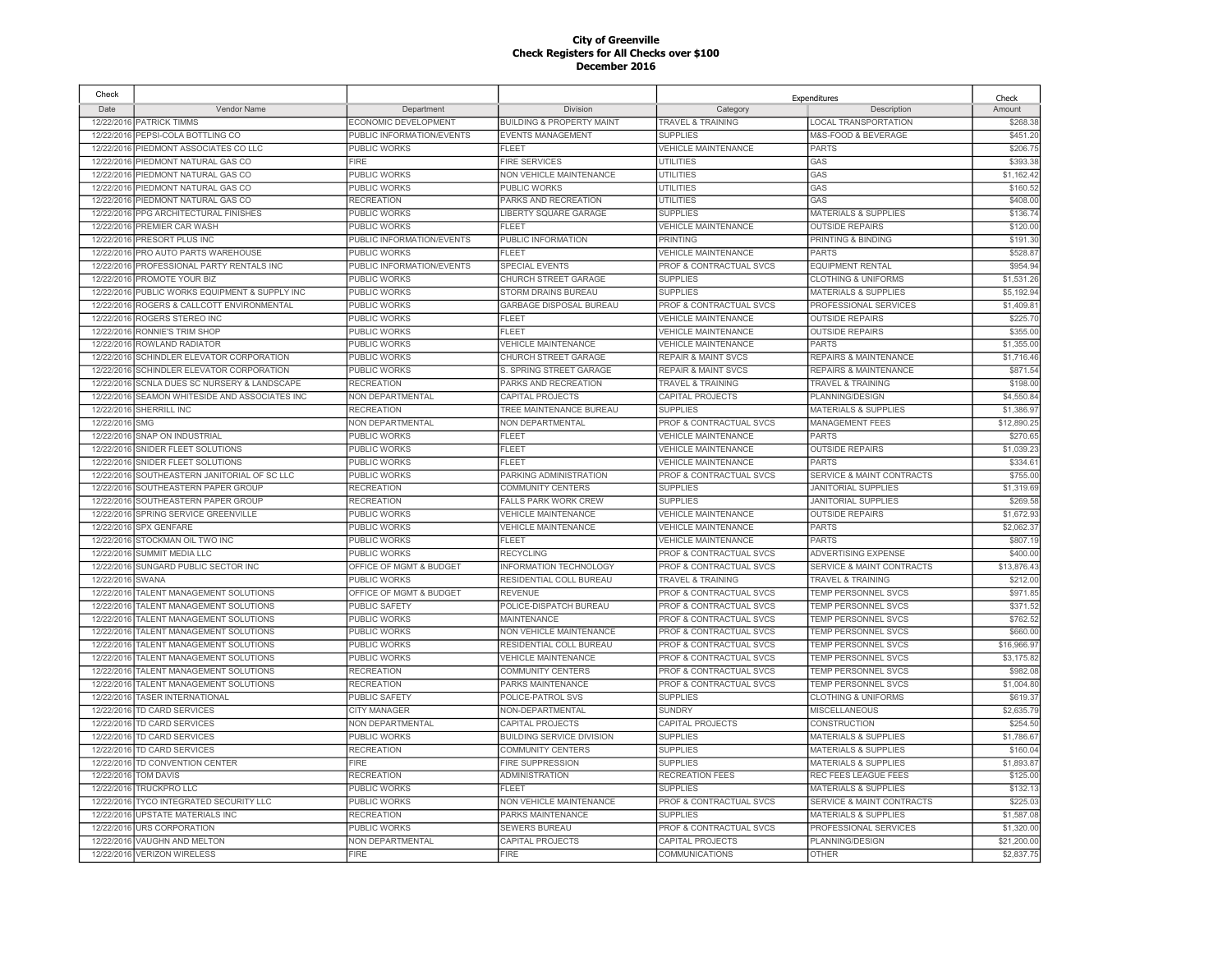| Check      |                                     |                           |                                      |                                    | Expenditures                         | Check       |
|------------|-------------------------------------|---------------------------|--------------------------------------|------------------------------------|--------------------------------------|-------------|
| Date       | Vendor Name                         | Department                | Division                             | Category                           | Description                          | Amount      |
|            | 12/22/2016 PATRICK TIMMS            | ECONOMIC DEVELOPMENT      | <b>BUILDING &amp; PROPERTY MAINT</b> | <b>TRAVEL &amp; TRAINING</b>       | LOCAL TRANSPORTATION                 | \$268.38    |
|            | 12/22/2016 PEPSI-COLA BOTTLING CO   | PUBLIC INFORMATION/EVENTS | <b>EVENTS MANAGEMENT</b>             | <b>SUPPLIES</b>                    | M&S-FOOD & BEVERAGE                  | \$451.20    |
| 12/22/2016 | PIEDMONT ASSOCIATES CO LLC          | PUBLIC WORKS              | <b>FLEET</b>                         | <b>VEHICLE MAINTENANCE</b>         | <b>PARTS</b>                         | \$206.7     |
| 12/22/2016 | PIEDMONT NATURAL GAS CO             | <b>FIRE</b>               | <b>FIRE SERVICES</b>                 | <b>UTILITIES</b>                   | GAS                                  | \$393.38    |
| 12/22/2016 | PIEDMONT NATURAL GAS CO             | PUBLIC WORKS              | NON VEHICLE MAINTENANCE              | <b>UTILITIES</b>                   | GAS                                  | \$1,162.42  |
| 12/22/2016 | PIEDMONT NATURAL GAS CO             | PUBLIC WORKS              | PUBLIC WORKS                         | UTILITIES                          | GAS                                  | \$160.5     |
| 12/22/2016 | PIEDMONT NATURAL GAS CO             | <b>RECREATION</b>         | PARKS AND RECREATION                 | <b>UTILITIES</b>                   | GAS                                  | \$408.00    |
| 12/22/2016 | PPG ARCHITECTURAL FINISHES          | PUBLIC WORKS              | LIBERTY SQUARE GARAGE                | <b>SUPPLIES</b>                    | <b>MATERIALS &amp; SUPPLIES</b>      | \$136.74    |
| 12/22/2016 | PREMIER CAR WASH                    | PUBLIC WORKS              | FLEET                                | <b>VEHICLE MAINTENANCE</b>         | <b>OUTSIDE REPAIRS</b>               | \$120.0     |
| 12/22/2016 | PRESORT PLUS INC                    | PUBLIC INFORMATION/EVENTS | PUBLIC INFORMATION                   | PRINTING                           | PRINTING & BINDING                   | \$191.3     |
| 12/22/2016 | PRO AUTO PARTS WAREHOUSE            | PUBLIC WORKS              | <b>FLEET</b>                         | <b>VEHICLE MAINTENANCE</b>         | <b>PARTS</b>                         | \$528.8     |
| 12/22/2016 | PROFESSIONAL PARTY RENTALS INC      | PUBLIC INFORMATION/EVENTS | <b>SPECIAL EVENTS</b>                | PROF & CONTRACTUAL SVCS            | <b>EQUIPMENT RENTAL</b>              | \$954.94    |
| 12/22/2016 | PROMOTE YOUR BIZ                    | <b>PUBLIC WORKS</b>       | CHURCH STREET GARAGE                 | <b>SUPPLIES</b>                    | <b>CLOTHING &amp; UNIFORMS</b>       | \$1,531,26  |
| 12/22/2016 | PUBLIC WORKS EQUIPMENT & SUPPLY INC | PUBLIC WORKS              | STORM DRAINS BUREAU                  | <b>SUPPLIES</b>                    | <b>MATERIALS &amp; SUPPLIES</b>      | \$5,192.94  |
| 12/22/2016 | ROGERS & CALLCOTT ENVIRONMENTAL     | PUBLIC WORKS              | GARBAGE DISPOSAL BUREAU              | PROF & CONTRACTUAL SVCS            | PROFESSIONAL SERVICES                | \$1,409.8   |
| 12/22/2016 | ROGERS STEREO INC                   | PUBLIC WORKS              | <b>FLEET</b>                         | <b>VEHICLE MAINTENANCE</b>         | <b>OUTSIDE REPAIRS</b>               | \$225.7     |
| 12/22/2016 | RONNIE'S TRIM SHOP                  | PUBLIC WORKS              | FI FFT                               | <b>VEHICLE MAINTENANCE</b>         | <b>OUTSIDE REPAIRS</b>               | \$355.0     |
| 12/22/2016 | ROWLAND RADIATOR                    | PUBLIC WORKS              | <b>VEHICLE MAINTENANCE</b>           | <b>VEHICLE MAINTENANCE</b>         | <b>PARTS</b>                         | \$1,355.0   |
| 12/22/2016 | SCHINDLER ELEVATOR CORPORATION      | PUBLIC WORKS              | CHURCH STREET GARAGE                 | <b>REPAIR &amp; MAINT SVCS</b>     | REPAIRS & MAINTENANCE                | \$1,716.46  |
| 12/22/2016 | SCHINDLER ELEVATOR CORPORATION      | PUBLIC WORKS              | S. SPRING STREET GARAGE              | <b>REPAIR &amp; MAINT SVCS</b>     | REPAIRS & MAINTENANCE                | \$871.54    |
| 12/22/2016 | SCNLA DUES SC NURSERY & LANDSCAPE   | <b>RECREATION</b>         | PARKS AND RECREATION                 | <b>TRAVEL &amp; TRAINING</b>       | TRAVEL & TRAINING                    | \$198.00    |
| 12/22/2016 | SEAMON WHITESIDE AND ASSOCIATES INC | <b>NON DEPARTMENTAL</b>   | CAPITAL PROJECTS                     | CAPITAL PROJECTS                   | PLANNING/DESIGN                      | \$4,550.8   |
| 12/22/2016 | <b>SHERRILL INC</b>                 | <b>RECREATION</b>         | TREE MAINTENANCE BUREAU              | <b>SUPPLIES</b>                    | <b>MATERIALS &amp; SUPPLIES</b>      | \$1,386.9   |
| 12/22/2016 | <b>SMG</b>                          | NON DEPARTMENTAL          | NON DEPARTMENTAL                     | PROF & CONTRACTUAL SVCS            | <b>MANAGEMENT FEES</b>               | \$12,890.2  |
| 12/22/2016 | SNAP ON INDUSTRIAL                  | PUBLIC WORKS              | <b>FLEET</b>                         | <b>VEHICLE MAINTENANCE</b>         | <b>PARTS</b>                         | \$270.65    |
| 12/22/2016 | SNIDER FLEET SOLUTIONS              | PUBLIC WORKS              | FLEET                                | <b>VEHICLE MAINTENANCE</b>         | <b>OUTSIDE REPAIRS</b>               | \$1,039.2   |
| 12/22/2016 | SNIDER FLEET SOLUTIONS              | <b>PUBLIC WORKS</b>       | FLEET                                | <b>VEHICLE MAINTENANCE</b>         | <b>PARTS</b>                         | \$334.6     |
| 12/22/2016 | SOUTHEASTERN JANITORIAL OF SC LLC   | PUBLIC WORKS              | PARKING ADMINISTRATION               | PROF & CONTRACTUAL SVCS            | <b>SERVICE &amp; MAINT CONTRACTS</b> | \$755.00    |
| 12/22/2016 | SOUTHEASTERN PAPER GROUP            | <b>RECREATION</b>         | <b>COMMUNITY CENTERS</b>             | <b>SUPPLIES</b>                    | <b>JANITORIAL SUPPLIES</b>           | \$1,319.69  |
| 12/22/2016 | SOUTHEASTERN PAPER GROUP            | <b>RECREATION</b>         | <b>FALLS PARK WORK CREW</b>          | <b>SUPPLIES</b>                    | <b>JANITORIAL SUPPLIES</b>           | \$269.5     |
| 12/22/2016 | SPRING SERVICE GREENVILLE           | PUBLIC WORKS              | <b>VEHICLE MAINTENANCE</b>           | <b>VEHICLE MAINTENANCE</b>         | <b>OUTSIDE REPAIRS</b>               | \$1,672.9   |
| 12/22/2016 | <b>SPX GENFARE</b>                  | <b>PUBLIC WORKS</b>       | <b>VEHICLE MAINTENANCE</b>           | <b>VEHICLE MAINTENANCE</b>         | <b>PARTS</b>                         | \$2,062.3   |
| 12/22/2016 | STOCKMAN OIL TWO INC                | PUBLIC WORKS              | <b>FLEET</b>                         | <b>VEHICLE MAINTENANCE</b>         | <b>PARTS</b>                         | \$807.19    |
| 12/22/2016 | SUMMIT MEDIA LLC                    | PUBLIC WORKS              | <b>RECYCLING</b>                     | PROF & CONTRACTUAL SVCS            | <b>ADVERTISING EXPENSE</b>           | \$400.0     |
| 12/22/2016 | SUNGARD PUBLIC SECTOR INC           | OFFICE OF MGMT & BUDGET   | INFORMATION TECHNOLOGY               | PROF & CONTRACTUAL SVCS            | <b>SERVICE &amp; MAINT CONTRACTS</b> | \$13,876.43 |
| 12/22/2016 | SWANA                               | PUBLIC WORKS              | RESIDENTIAL COLL BUREAU              | <b>TRAVEL &amp; TRAINING</b>       | <b>TRAVEL &amp; TRAINING</b>         | \$212.00    |
| 12/22/2016 | TALENT MANAGEMENT SOLUTIONS         | OFFICE OF MGMT & BUDGET   | <b>REVENUE</b>                       | PROF & CONTRACTUAL SVCS            | TEMP PERSONNEL SVCS                  | \$971.85    |
| 12/22/2016 | TALENT MANAGEMENT SOLUTIONS         | PUBLIC SAFETY             | POLICE-DISPATCH BUREAU               | PROF & CONTRACTUAL SVCS            | TEMP PERSONNEL SVCS                  | \$371.52    |
| 12/22/2016 | TALENT MANAGEMENT SOLUTIONS         | PUBLIC WORKS              | MAINTENANCE                          | PROF & CONTRACTUAL SVCS            | TEMP PERSONNEL SVCS                  | \$762.52    |
| 12/22/2016 | TALENT MANAGEMENT SOLUTIONS         | PUBLIC WORKS              | NON VEHICLE MAINTENANCE              | PROF & CONTRACTUAL SVCS            | TEMP PERSONNEL SVCS                  | \$660.00    |
| 12/22/2016 | TALENT MANAGEMENT SOLUTIONS         | <b>PUBLIC WORKS</b>       | RESIDENTIAL COLL BUREAU              | PROF & CONTRACTUAL SVCS            | TEMP PERSONNEL SVCS                  | \$16,966.97 |
| 12/22/2016 | TALENT MANAGEMENT SOLUTIONS         | PUBLIC WORKS              | <b>VEHICLE MAINTENANCE</b>           | PROF & CONTRACTUAL SVCS            | TEMP PERSONNEL SVCS                  | \$3,175.82  |
| 12/22/2016 | TALENT MANAGEMENT SOLUTIONS         | <b>RECREATION</b>         | COMMUNITY CENTERS                    | PROF & CONTRACTUAL SVCS            | <b>TEMP PERSONNEL SVCS</b>           | \$982.08    |
| 12/22/2016 | TALENT MANAGEMENT SOLUTIONS         | <b>RECREATION</b>         | PARKS MAINTENANCE                    | PROF & CONTRACTUAL SVCS            | TEMP PERSONNEL SVCS                  | \$1,004.80  |
| 12/22/2016 | <b>TASER INTERNATIONAL</b>          | PUBLIC SAFETY             | POLICE-PATROL SVS                    | <b>SUPPLIES</b>                    | <b>CLOTHING &amp; UNIFORMS</b>       | \$619.37    |
| 12/22/2016 | <b>TD CARD SERVICES</b>             | <b>CITY MANAGER</b>       | NON-DEPARTMENTAL                     | <b>SUNDRY</b>                      | <b>MISCELLANEOUS</b>                 | \$2,635.79  |
| 12/22/2016 | TD CARD SERVICES                    | NON DEPARTMENTAL          | CAPITAL PROJECTS                     | CAPITAL PROJECTS                   | CONSTRUCTION                         | \$254.50    |
| 12/22/2016 | TD CARD SERVICES                    | <b>PUBLIC WORKS</b>       | BUILDING SERVICE DIVISION            | <b>SUPPLIES</b>                    | <b>MATERIALS &amp; SUPPLIES</b>      | \$1,786.67  |
| 12/22/2016 | <b>TD CARD SERVICES</b>             | <b>RECREATION</b>         | COMMUNITY CENTERS                    | <b>SUPPLIES</b>                    | <b>MATERIALS &amp; SUPPLIES</b>      | \$160.04    |
| 12/22/2016 | TD CONVENTION CENTER                | <b>FIRE</b>               | FIRE SUPPRESSION                     | <b>SUPPLIES</b>                    | <b>MATERIALS &amp; SUPPLIES</b>      | \$1,893.87  |
| 12/22/2016 | <b>TOM DAVIS</b>                    | <b>RECREATION</b>         | <b>ADMINISTRATION</b>                | <b>RECREATION FEES</b>             | REC FEES LEAGUE FEES                 | \$125.00    |
| 12/22/2016 | TRUCKPRO LLC                        | PUBLIC WORKS              | FL FET                               | <b>SUPPLIES</b>                    | <b>MATERIALS &amp; SUPPLIES</b>      | \$132.13    |
| 12/22/2016 | <b>TYCO INTEGRATED SECURITY LLC</b> | PUBLIC WORKS              | <b>NON VEHICLE MAINTENANCE</b>       | <b>PROF &amp; CONTRACTUAL SVCS</b> | <b>SERVICE &amp; MAINT CONTRACTS</b> | \$225.0     |
| 12/22/2016 | <b>UPSTATE MATERIALS INC</b>        | RECREATION                | PARKS MAINTENANCE                    | <b>SUPPLIES</b>                    | <b>MATERIALS &amp; SUPPLIES</b>      | \$1,587.08  |
| 12/22/2016 | <b>URS CORPORATION</b>              | PUBLIC WORKS              | <b>SEWERS BUREAU</b>                 | PROF & CONTRACTUAL SVCS            | PROFESSIONAL SERVICES                | \$1,320.0   |
| 12/22/2016 | <b>VAUGHN AND MELTON</b>            | <b>NON DEPARTMENTAL</b>   | CAPITAL PROJECTS                     | <b>CAPITAL PROJECTS</b>            | PLANNING/DESIGN                      | \$21,200.00 |
|            | 12/22/2016 VERIZON WIRELESS         | <b>FIRE</b>               | <b>FIRE</b>                          | <b>COMMUNICATIONS</b>              | <b>OTHER</b>                         | \$2,837.75  |
|            |                                     |                           |                                      |                                    |                                      |             |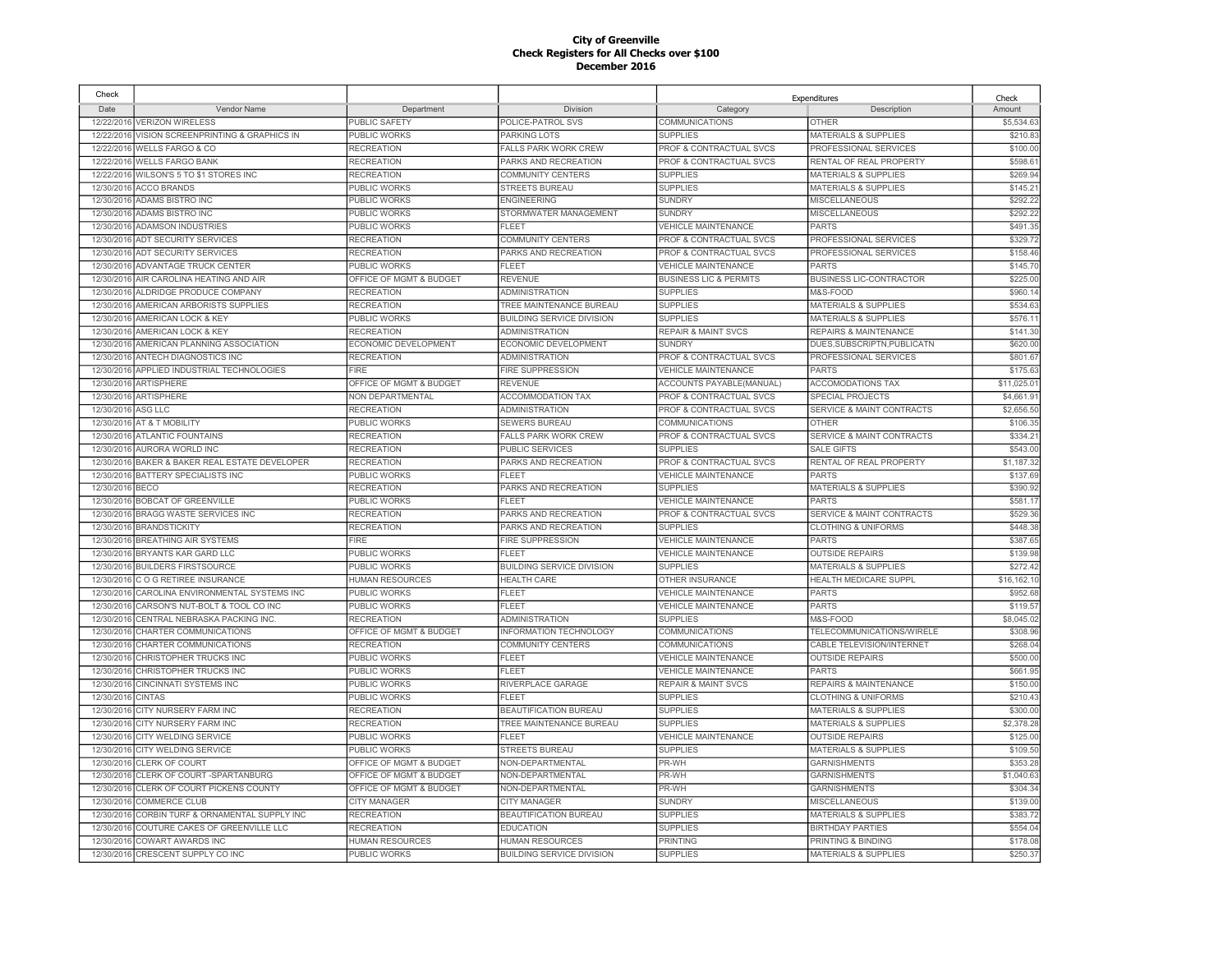| Check      |                                     |                         |                                  |                                   | Expenditures                         | Check      |
|------------|-------------------------------------|-------------------------|----------------------------------|-----------------------------------|--------------------------------------|------------|
| Date       | Vendor Name                         | Department              | Division                         | Category                          | Description                          | Amount     |
| 12/22/2016 | <b>VERIZON WIRELESS</b>             | PUBLIC SAFETY           | POLICE-PATROL SVS                | <b>COMMUNICATIONS</b>             | <b>OTHER</b>                         | \$5,534.63 |
| 12/22/2016 | VISION SCREENPRINTING & GRAPHICS IN | PUBLIC WORKS            | PARKING LOTS                     | <b>SUPPLIES</b>                   | <b>MATERIALS &amp; SUPPLIES</b>      | \$210.83   |
| 12/22/2016 | <b>WELLS FARGO &amp; CO</b>         | <b>RECREATION</b>       | <b>FALLS PARK WORK CREW</b>      | PROF & CONTRACTUAL SVCS           | PROFESSIONAL SERVICES                | \$100.00   |
| 12/22/2016 | <b>WELLS FARGO BANK</b>             | <b>RECREATION</b>       | PARKS AND RECREATION             | PROF & CONTRACTUAL SVCS           | RENTAL OF REAL PROPERTY              | \$598.6    |
| 12/22/2016 | WILSON'S 5 TO \$1 STORES INC        | <b>RECREATION</b>       | <b>COMMUNITY CENTERS</b>         | <b>SUPPLIES</b>                   | <b>MATERIALS &amp; SUPPLIES</b>      | \$269.94   |
| 12/30/2016 | <b>ACCO BRANDS</b>                  | PUBLIC WORKS            | <b>STREETS BUREAU</b>            | <b>SUPPLIES</b>                   | <b>MATERIALS &amp; SUPPLIES</b>      | \$145.2'   |
| 12/30/2016 | ADAMS BISTRO INC                    | PUBLIC WORKS            | <b>ENGINEERING</b>               | <b>SUNDRY</b>                     | <b>MISCELLANEOUS</b>                 | \$292.22   |
| 12/30/2016 | <b>ADAMS BISTRO INC</b>             | PUBLIC WORKS            | STORMWATER MANAGEMENT            | <b>SUNDRY</b>                     | <b>MISCELLANEOUS</b>                 | \$292.22   |
| 12/30/2016 | <b>ADAMSON INDUSTRIES</b>           | <b>PUBLIC WORKS</b>     | <b>FLEET</b>                     | <b>VEHICLE MAINTENANCE</b>        | <b>PARTS</b>                         | \$491.35   |
|            | 12/30/2016 ADT SECURITY SERVICES    | <b>RECREATION</b>       | <b>COMMUNITY CENTERS</b>         | PROF & CONTRACTUAL SVCS           | PROFESSIONAL SERVICES                | \$329.72   |
| 12/30/2016 | <b>ADT SECURITY SERVICES</b>        | <b>RECREATION</b>       | PARKS AND RECREATION             | PROF & CONTRACTUAL SVCS           | PROFESSIONAL SERVICES                | \$158.46   |
| 12/30/2016 | ADVANTAGE TRUCK CENTER              | PUBLIC WORKS            | <b>FLEET</b>                     | VEHICLE MAINTENANCE               | <b>PARTS</b>                         | \$145.70   |
| 12/30/2016 | AIR CAROLINA HEATING AND AIR        | OFFICE OF MGMT & BUDGET | <b>REVENUE</b>                   | <b>BUSINESS LIC &amp; PERMITS</b> | <b>BUSINESS LIC-CONTRACTOR</b>       | \$225.0    |
| 12/30/2016 | ALDRIDGE PRODUCE COMPANY            | <b>RECREATION</b>       | <b>ADMINISTRATION</b>            | <b>SUPPLIES</b>                   | M&S-FOOD                             | \$960.1    |
| 12/30/2016 | AMERICAN ARBORISTS SUPPLIES         | <b>RECREATION</b>       | TREE MAINTENANCE BUREAU          | <b>SUPPLIES</b>                   | <b>MATERIALS &amp; SUPPLIES</b>      | \$534.63   |
| 12/30/2016 | AMERICAN LOCK & KEY                 | <b>PUBLIC WORKS</b>     | <b>BUILDING SERVICE DIVISION</b> | <b>SUPPLIES</b>                   | <b>MATERIALS &amp; SUPPLIES</b>      | \$576.1    |
| 12/30/2016 | AMERICAN LOCK & KEY                 | <b>RECREATION</b>       | <b>ADMINISTRATION</b>            | <b>REPAIR &amp; MAINT SVCS</b>    | <b>REPAIRS &amp; MAINTENANCE</b>     | \$141.3    |
| 12/30/2016 | AMERICAN PLANNING ASSOCIATION       | ECONOMIC DEVELOPMENT    | ECONOMIC DEVELOPMENT             | <b>SUNDRY</b>                     | DUES, SUBSCRIPTN, PUBLICATN          | \$620.00   |
| 12/30/201  | ANTECH DIAGNOSTICS INC              | <b>RECREATION</b>       | <b>ADMINISTRATION</b>            | PROF & CONTRACTUAL SVCS           | PROFESSIONAL SERVICES                | \$801.67   |
| 12/30/2016 | APPLIED INDUSTRIAL TECHNOLOGIES     | <b>FIRE</b>             | <b>FIRE SUPPRESSION</b>          | <b>VEHICLE MAINTENANCE</b>        | <b>PARTS</b>                         | \$175.63   |
| 12/30/2016 | ARTISPHERE                          | OFFICE OF MGMT & BUDGET | <b>REVENUE</b>                   | <b>ACCOUNTS PAYABLE(MANUAL)</b>   | <b>ACCOMODATIONS TAX</b>             | \$11,025.0 |
| 12/30/2016 | ARTISPHERE                          | NON DEPARTMENTAL        | <b>ACCOMMODATION TAX</b>         | PROF & CONTRACTUAL SVCS           | <b>SPECIAL PROJECTS</b>              | \$4,661.9  |
| 12/30/2016 | ASG LLC                             | <b>RECREATION</b>       | <b>ADMINISTRATION</b>            | PROF & CONTRACTUAL SVCS           | <b>SERVICE &amp; MAINT CONTRACTS</b> | \$2,656.50 |
| 12/30/2016 | AT & T MOBILITY                     | PUBLIC WORKS            | SEWERS BUREAU                    | COMMUNICATIONS                    | OTHER                                | \$106.35   |
| 12/30/2016 | <b>ATLANTIC FOUNTAINS</b>           | <b>RECREATION</b>       | <b>FALLS PARK WORK CREW</b>      | PROF & CONTRACTUAL SVCS           | SERVICE & MAINT CONTRACTS            | \$334.2    |
| 12/30/2016 | AURORA WORLD INC                    | <b>RECREATION</b>       | <b>PUBLIC SERVICES</b>           | <b>SUPPLIES</b>                   | <b>SALE GIFTS</b>                    | \$543.00   |
| 12/30/2016 | BAKER & BAKER REAL ESTATE DEVELOPER | <b>RECREATION</b>       | PARKS AND RECREATION             | PROF & CONTRACTUAL SVCS           | RENTAL OF REAL PROPERTY              | \$1,187.32 |
| 12/30/2016 | BATTERY SPECIALISTS INC             | <b>PUBLIC WORKS</b>     | <b>FLEET</b>                     | <b>VEHICLE MAINTENANCE</b>        | <b>PARTS</b>                         | \$137.69   |
| 12/30/2016 | <b>BECO</b>                         | <b>RECREATION</b>       | PARKS AND RECREATION             | <b>SUPPLIES</b>                   | <b>MATERIALS &amp; SUPPLIES</b>      | \$390.92   |
| 12/30/2016 | <b>BOBCAT OF GREENVILLE</b>         | PUBLIC WORKS            | <b>FLEET</b>                     | <b>VEHICLE MAINTENANCE</b>        | PARTS                                | \$581.1    |
| 12/30/2016 | BRAGG WASTE SERVICES INC            | <b>RECREATION</b>       | PARKS AND RECREATION             | PROF & CONTRACTUAL SVCS           | <b>SERVICE &amp; MAINT CONTRACTS</b> | \$529.36   |
| 12/30/2016 | <b>BRANDSTICKITY</b>                | <b>RECREATION</b>       | PARKS AND RECREATION             | <b>SUPPLIES</b>                   | <b>CLOTHING &amp; UNIFORMS</b>       | \$448.38   |
| 12/30/2016 | <b>BREATHING AIR SYSTEMS</b>        | <b>FIRE</b>             | <b>FIRE SUPPRESSION</b>          | <b>VEHICLE MAINTENANCE</b>        | <b>PARTS</b>                         | \$387.65   |
| 12/30/2016 | BRYANTS KAR GARD LLC                | PUBLIC WORKS            | <b>FLEET</b>                     | <b>VEHICLE MAINTENANCE</b>        | <b>OUTSIDE REPAIRS</b>               | \$139.98   |
| 12/30/2016 | <b>BUILDERS FIRSTSOURCE</b>         | PUBLIC WORKS            | <b>BUILDING SERVICE DIVISION</b> | <b>SUPPLIES</b>                   | <b>MATERIALS &amp; SUPPLIES</b>      | \$272.42   |
| 12/30/2016 | COG RETIREE INSURANCE               | <b>HUMAN RESOURCES</b>  | <b>HEALTH CARE</b>               | OTHER INSURANCE                   | <b>HEALTH MEDICARE SUPPL</b>         | \$16,162.1 |
| 12/30/2016 | CAROLINA ENVIRONMENTAL SYSTEMS INC  | <b>PUBLIC WORKS</b>     | <b>FLEET</b>                     | <b>VEHICLE MAINTENANCE</b>        | <b>PARTS</b>                         | \$952.68   |
| 12/30/2016 | CARSON'S NUT-BOLT & TOOL CO INC     | PUBLIC WORKS            | <b>FLEET</b>                     | <b>VEHICLE MAINTENANCE</b>        | <b>PARTS</b>                         | \$119.5    |
| 12/30/2016 | CENTRAL NEBRASKA PACKING INC.       | <b>RECREATION</b>       | <b>ADMINISTRATION</b>            | <b>SUPPLIES</b>                   | M&S-FOOD                             | \$8,045.02 |
| 12/30/2016 | CHARTER COMMUNICATIONS              | OFFICE OF MGMT & BUDGET | INFORMATION TECHNOLOGY           | COMMUNICATIONS                    | TELECOMMUNICATIONS/WIRELE            | \$308.96   |
| 12/30/2016 | CHARTER COMMUNICATIONS              | <b>RECREATION</b>       | <b>COMMUNITY CENTERS</b>         | COMMUNICATIONS                    | CABLE TELEVISION/INTERNET            | \$268.04   |
| 12/30/2016 | CHRISTOPHER TRUCKS INC              | PUBLIC WORKS            | <b>FLEET</b>                     | <b>VEHICLE MAINTENANCE</b>        | <b>OUTSIDE REPAIRS</b>               | \$500.00   |
| 12/30/2016 | CHRISTOPHER TRUCKS INC              | <b>PUBLIC WORKS</b>     | FLEET                            | <b>VEHICLE MAINTENANCE</b>        | <b>PARTS</b>                         | \$661.95   |
| 12/30/2016 | <b>CINCINNATI SYSTEMS INC</b>       | PUBLIC WORKS            | RIVERPLACE GARAGE                | <b>REPAIR &amp; MAINT SVCS</b>    | REPAIRS & MAINTENANCE                | \$150.00   |
| 12/30/2016 | <b>CINTAS</b>                       | PUBLIC WORKS            | <b>FLEET</b>                     | <b>SUPPLIES</b>                   | <b>CLOTHING &amp; UNIFORMS</b>       | \$210.43   |
| 12/30/2016 | CITY NURSERY FARM INC               | <b>RECREATION</b>       | BEAUTIFICATION BUREAU            | <b>SUPPLIES</b>                   | <b>MATERIALS &amp; SUPPLIES</b>      | \$300.00   |
| 12/30/2016 | <b>CITY NURSERY FARM INC</b>        | <b>RECREATION</b>       | TREE MAINTENANCE BUREAU          | <b>SUPPLIES</b>                   | <b>MATERIALS &amp; SUPPLIES</b>      | \$2,378.28 |
| 12/30/2016 | CITY WELDING SERVICE                | <b>PUBLIC WORKS</b>     | <b>FLEET</b>                     | VEHICLE MAINTENANCE               | <b>OUTSIDE REPAIRS</b>               | \$125.00   |
| 12/30/2016 | <b>CITY WELDING SERVICE</b>         | PUBLIC WORKS            | STREETS BUREAU                   | <b>SUPPLIES</b>                   | <b>MATERIALS &amp; SUPPLIES</b>      | \$109.50   |
| 12/30/2016 | <b>CLERK OF COURT</b>               | OFFICE OF MGMT & BUDGET | NON-DEPARTMENTAL                 | PR-WH                             | <b>GARNISHMENTS</b>                  | \$353.28   |
| 12/30/2016 | CLERK OF COURT -SPARTANBURG         | OFFICE OF MGMT & BUDGET | NON-DEPARTMENTAL                 | PR-WH                             | <b>GARNISHMENTS</b>                  | \$1,040.63 |
| 12/30/2016 | CLERK OF COURT PICKENS COUNTY       | OFFICE OF MGMT & BUDGET | NON-DEPARTMENTAL                 | PR-WH                             | <b>GARNISHMENTS</b>                  | \$304.34   |
| 12/30/2016 | <b>COMMERCE CLUB</b>                | <b>CITY MANAGER</b>     | <b>CITY MANAGER</b>              | <b>SUNDRY</b>                     | <b>MISCELLANEOUS</b>                 | \$139.00   |
| 12/30/2016 | CORBIN TURF & ORNAMENTAL SUPPLY INC | <b>RECREATION</b>       | BEAUTIFICATION BUREAU            | <b>SUPPLIES</b>                   | <b>MATERIALS &amp; SUPPLIES</b>      | \$383.72   |
| 12/30/2016 | COUTURE CAKES OF GREENVILLE LLC     | <b>RECREATION</b>       | <b>EDUCATION</b>                 | <b>SUPPLIES</b>                   | <b>BIRTHDAY PARTIES</b>              | \$554.04   |
| 12/30/2016 | COWART AWARDS INC                   | <b>HUMAN RESOURCES</b>  | <b>HUMAN RESOURCES</b>           | <b>PRINTING</b>                   | PRINTING & BINDING                   | \$178.08   |
| 12/30/2016 | CRESCENT SUPPLY CO INC              | PUBLIC WORKS            | <b>BUILDING SERVICE DIVISION</b> | <b>SUPPLIES</b>                   | <b>MATERIALS &amp; SUPPLIES</b>      | \$250.37   |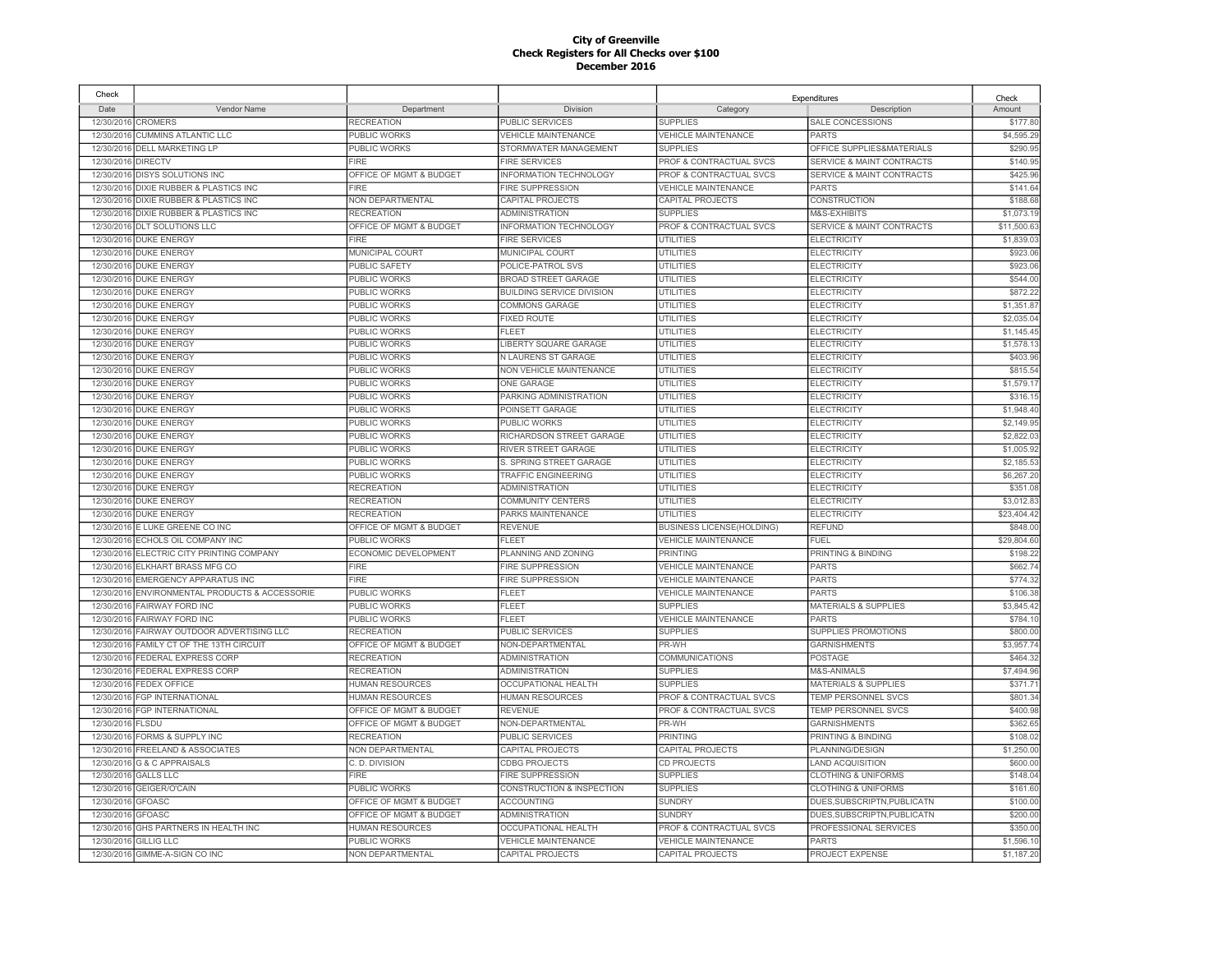| Check      |                                        |                         |                            |                                  | Expenditures                         | Check       |
|------------|----------------------------------------|-------------------------|----------------------------|----------------------------------|--------------------------------------|-------------|
| Date       | Vendor Name                            | Department              | Division                   | Category                         | Description                          | Amount      |
| 12/30/2016 | <b>CROMERS</b>                         | <b>RECREATION</b>       | PUBLIC SERVICES            | <b>SUPPLIES</b>                  | SALE CONCESSIONS                     | \$177.80    |
| 12/30/2016 | <b>CUMMINS ATLANTIC LLC</b>            | <b>PUBLIC WORKS</b>     | <b>VEHICLE MAINTENANCE</b> | <b>VEHICLE MAINTENANCE</b>       | <b>PARTS</b>                         | \$4,595.29  |
| 12/30/2016 | <b>DELL MARKETING LP</b>               | PUBLIC WORKS            | STORMWATER MANAGEMENT      | <b>SUPPLIES</b>                  | OFFICE SUPPLIES&MATERIALS            | \$290.95    |
| 12/30/2016 | <b>DIRECTV</b>                         | <b>FIRE</b>             | <b>FIRE SERVICES</b>       | PROF & CONTRACTUAL SVCS          | SERVICE & MAINT CONTRACTS            | \$140.95    |
| 12/30/2016 | <b>DISYS SOLUTIONS INC</b>             | OFFICE OF MGMT & BUDGET | INFORMATION TECHNOLOGY     | PROF & CONTRACTUAL SVCS          | <b>SERVICE &amp; MAINT CONTRACTS</b> | \$425.96    |
|            | 12/30/2016 DIXIE RUBBER & PLASTICS INC | <b>FIRE</b>             | <b>FIRE SUPPRESSION</b>    | <b>VEHICLE MAINTENANCE</b>       | <b>PARTS</b>                         | \$141.64    |
| 12/30/2016 | DIXIE RUBBER & PLASTICS INC            | NON DEPARTMENTAL        | CAPITAL PROJECTS           | CAPITAL PROJECTS                 | CONSTRUCTION                         | \$188.68    |
| 12/30/2016 | DIXIE RUBBER & PLASTICS INC            | <b>RECREATION</b>       | <b>ADMINISTRATION</b>      | <b>SUPPLIES</b>                  | M&S-EXHIBITS                         | \$1,073.19  |
| 12/30/2016 | <b>DLT SOLUTIONS LLC</b>               | OFFICE OF MGMT & BUDGET | INFORMATION TECHNOLOGY     | PROF & CONTRACTUAL SVCS          | SERVICE & MAINT CONTRACTS            | \$11,500.6  |
|            | 12/30/2016 DUKE ENERGY                 | <b>FIRE</b>             | <b>FIRE SERVICES</b>       | <b>UTILITIES</b>                 | <b>ELECTRICITY</b>                   | \$1,839.03  |
| 12/30/2016 | <b>DUKE ENERGY</b>                     | MUNICIPAL COURT         | MUNICIPAL COURT            | <b>UTILITIES</b>                 | <b>ELECTRICITY</b>                   | \$923.06    |
|            | 12/30/2016 DUKE ENERGY                 | PUBLIC SAFETY           | POLICE-PATROL SVS          | <b>UTILITIES</b>                 | <b>ELECTRICITY</b>                   | \$923.06    |
| 12/30/2016 | <b>DUKE ENERGY</b>                     | PUBLIC WORKS            | <b>BROAD STREET GARAGE</b> | UTILITIES                        | <b>ELECTRICITY</b>                   | \$544.00    |
| 12/30/2016 | <b>DUKE ENERGY</b>                     | PUBLIC WORKS            | BUILDING SERVICE DIVISION  | UTILITIES                        | <b>ELECTRICITY</b>                   | \$872.22    |
| 12/30/2016 | <b>DUKE ENERGY</b>                     | <b>PUBLIC WORKS</b>     | <b>COMMONS GARAGE</b>      | <b>UTILITIES</b>                 | <b>ELECTRICITY</b>                   | \$1,351.8   |
| 12/30/2016 | <b>DUKE ENERGY</b>                     | PUBLIC WORKS            | <b>FIXED ROUTE</b>         | UTILITIES                        | <b>ELECTRICITY</b>                   | \$2,035.04  |
| 12/30/2016 | <b>DUKE ENERGY</b>                     | PUBLIC WORKS            | <b>FLEET</b>               | UTILITIES                        | <b>ELECTRICITY</b>                   | \$1,145.4   |
| 12/30/2016 | <b>DUKE ENERGY</b>                     | PUBLIC WORKS            | LIBERTY SQUARE GARAGE      | <b>UTILITIES</b>                 | <b>ELECTRICITY</b>                   | \$1,578.1   |
| 12/30/2016 | <b>DUKE ENERGY</b>                     | PUBLIC WORKS            | N LAURENS ST GARAGE        | <b>UTILITIES</b>                 | <b>ELECTRICITY</b>                   | \$403.96    |
| 12/30/2016 | <b>DUKE ENERGY</b>                     | PUBLIC WORKS            | NON VEHICLE MAINTENANCE    | <b>UTILITIES</b>                 | <b>ELECTRICITY</b>                   | \$815.54    |
| 12/30/2016 | <b>DUKE ENERGY</b>                     | PUBLIC WORKS            | <b>ONE GARAGE</b>          | <b>UTILITIES</b>                 | <b>ELECTRICITY</b>                   | \$1.579.1   |
| 12/30/2016 | <b>DUKE ENERGY</b>                     | PUBLIC WORKS            | PARKING ADMINISTRATION     | <b>UTILITIES</b>                 | <b>ELECTRICITY</b>                   | \$316.1     |
| 12/30/2016 | <b>DUKE ENERGY</b>                     | PUBLIC WORKS            | POINSETT GARAGE            | <b>UTILITIES</b>                 | <b>ELECTRICITY</b>                   | \$1,948.40  |
| 12/30/2016 | <b>DUKE ENERGY</b>                     | PUBLIC WORKS            | PUBLIC WORKS               | <b>UTILITIES</b>                 | <b>ELECTRICITY</b>                   | \$2,149.95  |
| 12/30/2016 | <b>DUKE ENERGY</b>                     | PUBLIC WORKS            | RICHARDSON STREET GARAGE   | UTILITIES                        | <b>ELECTRICITY</b>                   | \$2,822.0   |
| 12/30/2016 | <b>DUKE ENERGY</b>                     | <b>PUBLIC WORKS</b>     | RIVER STREET GARAGE        | <b>UTILITIES</b>                 | <b>ELECTRICITY</b>                   | \$1,005.92  |
| 12/30/2016 | <b>DUKE ENERGY</b>                     | PUBLIC WORKS            | S. SPRING STREET GARAGE    | <b>UTILITIES</b>                 | <b>ELECTRICITY</b>                   | \$2,185.53  |
| 12/30/2016 | <b>DUKE ENERGY</b>                     | <b>PUBLIC WORKS</b>     | <b>TRAFFIC ENGINEERING</b> | <b>UTILITIES</b>                 | <b>ELECTRICITY</b>                   | \$6,267.20  |
| 12/30/2016 | <b>DUKE ENERGY</b>                     | <b>RECREATION</b>       | <b>ADMINISTRATION</b>      | <b>UTILITIES</b>                 | <b>ELECTRICITY</b>                   | \$351.08    |
| 12/30/2016 | <b>DUKE ENERGY</b>                     | <b>RECREATION</b>       | <b>COMMUNITY CENTERS</b>   | <b>UTILITIES</b>                 | <b>ELECTRICITY</b>                   | \$3,012.83  |
| 12/30/2016 | <b>DUKE ENERGY</b>                     | <b>RECREATION</b>       | PARKS MAINTENANCE          | <b>UTILITIES</b>                 | <b>ELECTRICITY</b>                   | \$23,404.42 |
| 12/30/2016 | E LUKE GREENE CO INC                   | OFFICE OF MGMT & BUDGET | <b>REVENUE</b>             | <b>BUSINESS LICENSE(HOLDING)</b> | <b>REFUND</b>                        | \$848.00    |
| 12/30/2016 | ECHOLS OIL COMPANY INC                 | PUBLIC WORKS            | <b>FLEET</b>               | <b>VEHICLE MAINTENANCE</b>       | <b>FUEL</b>                          | \$29,804.60 |
| 12/30/2016 | ELECTRIC CITY PRINTING COMPANY         | ECONOMIC DEVELOPMENT    | PLANNING AND ZONING        | <b>PRINTING</b>                  | PRINTING & BINDING                   | \$198.22    |
| 12/30/2016 | ELKHART BRASS MFG CO                   | <b>FIRE</b>             | <b>FIRE SUPPRESSION</b>    | <b>VEHICLE MAINTENANCE</b>       | <b>PARTS</b>                         | \$662.74    |
| 12/30/2016 | <b>EMERGENCY APPARATUS INC</b>         | <b>FIRE</b>             | FIRE SUPPRESSION           | <b>VEHICLE MAINTENANCE</b>       | <b>PARTS</b>                         | \$774.32    |
| 12/30/2016 | ENVIRONMENTAL PRODUCTS & ACCESSORIE    | PUBLIC WORKS            | FLEET                      | <b>VEHICLE MAINTENANCE</b>       | <b>PARTS</b>                         | \$106.38    |
| 12/30/2016 | <b>FAIRWAY FORD INC</b>                | <b>PUBLIC WORKS</b>     | FLEET                      | <b>SUPPLIES</b>                  | <b>MATERIALS &amp; SUPPLIES</b>      | \$3,845.42  |
| 12/30/2016 | <b>FAIRWAY FORD INC</b>                | <b>PUBLIC WORKS</b>     | <b>FLEET</b>               | <b>VEHICLE MAINTENANCE</b>       | <b>PARTS</b>                         | \$784.10    |
| 12/30/2016 | FAIRWAY OUTDOOR ADVERTISING LLC        | <b>RECREATION</b>       | PUBLIC SERVICES            | <b>SUPPLIES</b>                  | SUPPLIES PROMOTIONS                  | \$800.00    |
| 12/30/2016 | FAMILY CT OF THE 13TH CIRCUIT          | OFFICE OF MGMT & BUDGET | NON-DEPARTMENTAL           | PR-WH                            | <b>GARNISHMENTS</b>                  | \$3,957.74  |
| 12/30/2016 | <b>FEDERAL EXPRESS CORP</b>            | <b>RECREATION</b>       | <b>ADMINISTRATION</b>      | COMMUNICATIONS                   | <b>POSTAGE</b>                       | \$464.32    |
| 12/30/2016 | FEDERAL EXPRESS CORP                   | <b>RECREATION</b>       | <b>ADMINISTRATION</b>      | <b>SUPPLIES</b>                  | M&S-ANIMALS                          | \$7,494.96  |
| 12/30/2016 | <b>FEDEX OFFICE</b>                    | <b>HUMAN RESOURCES</b>  | OCCUPATIONAL HEALTH        | <b>SUPPLIES</b>                  | <b>MATERIALS &amp; SUPPLIES</b>      | \$371.7'    |
| 12/30/2016 | <b>FGP INTERNATIONAL</b>               | <b>HUMAN RESOURCES</b>  | <b>HUMAN RESOURCES</b>     | PROF & CONTRACTUAL SVCS          | TEMP PERSONNEL SVCS                  | \$801.34    |
| 12/30/2016 | <b>FGP INTERNATIONAL</b>               | OFFICE OF MGMT & BUDGET | <b>REVENUE</b>             | PROF & CONTRACTUAL SVCS          | <b>TEMP PERSONNEL SVCS</b>           | \$400.98    |
| 12/30/2016 | <b>FLSDU</b>                           | OFFICE OF MGMT & BUDGET | NON-DEPARTMENTAL           | PR-WH                            | <b>GARNISHMENTS</b>                  | \$362.65    |
| 12/30/2016 | FORMS & SUPPLY INC                     | <b>RECREATION</b>       | <b>PUBLIC SERVICES</b>     | <b>PRINTING</b>                  | PRINTING & BINDING                   | \$108.0     |
| 12/30/2016 | FREELAND & ASSOCIATES                  | NON DEPARTMENTAL        | CAPITAL PROJECTS           | CAPITAL PROJECTS                 | PLANNING/DESIGN                      | \$1,250.00  |
| 12/30/2016 | <b>G &amp; C APPRAISALS</b>            | C.D. DIVISION           | <b>CDBG PROJECTS</b>       | <b>CD PROJECTS</b>               | <b>LAND ACQUISITION</b>              | \$600.00    |
| 12/30/2016 | <b>GALLS LLC</b>                       | <b>FIRE</b>             | <b>FIRE SUPPRESSION</b>    | <b>SUPPLIES</b>                  | <b>CLOTHING &amp; UNIFORMS</b>       | \$148.04    |
| 12/30/2016 | GEIGER/O'CAIN                          | PUBLIC WORKS            | CONSTRUCTION & INSPECTION  | <b>SUPPLIES</b>                  | <b>CLOTHING &amp; UNIFORMS</b>       | \$161.60    |
| 12/30/2016 | <b>GFOASC</b>                          | OFFICE OF MGMT & BUDGET | <b>ACCOUNTING</b>          | <b>SUNDRY</b>                    | DUES.SUBSCRIPTN.PUBLICATN            | \$100.00    |
| 12/30/201  | <b>GFOASC</b>                          | OFFICE OF MGMT & BUDGET | <b>ADMINISTRATION</b>      | <b>SUNDRY</b>                    | DUES, SUBSCRIPTN, PUBLICATN          | \$200.00    |
| 12/30/2016 | GHS PARTNERS IN HEALTH INC             | <b>HUMAN RESOURCES</b>  | <b>OCCUPATIONAL HEALTH</b> | PROF & CONTRACTUAL SVCS          | PROFESSIONAL SERVICES                | \$350.00    |
| 12/30/2016 | <b>GILLIG LLC</b>                      | PUBLIC WORKS            | <b>VEHICLE MAINTENANCE</b> | <b>VEHICLE MAINTENANCE</b>       | <b>PARTS</b>                         | \$1,596.1   |
|            | 12/30/2016 GIMME-A-SIGN CO INC         | <b>NON DEPARTMENTAL</b> | <b>CAPITAL PROJECTS</b>    | <b>CAPITAL PROJECTS</b>          | PROJECT EXPENSE                      | \$1,187.20  |
|            |                                        |                         |                            |                                  |                                      |             |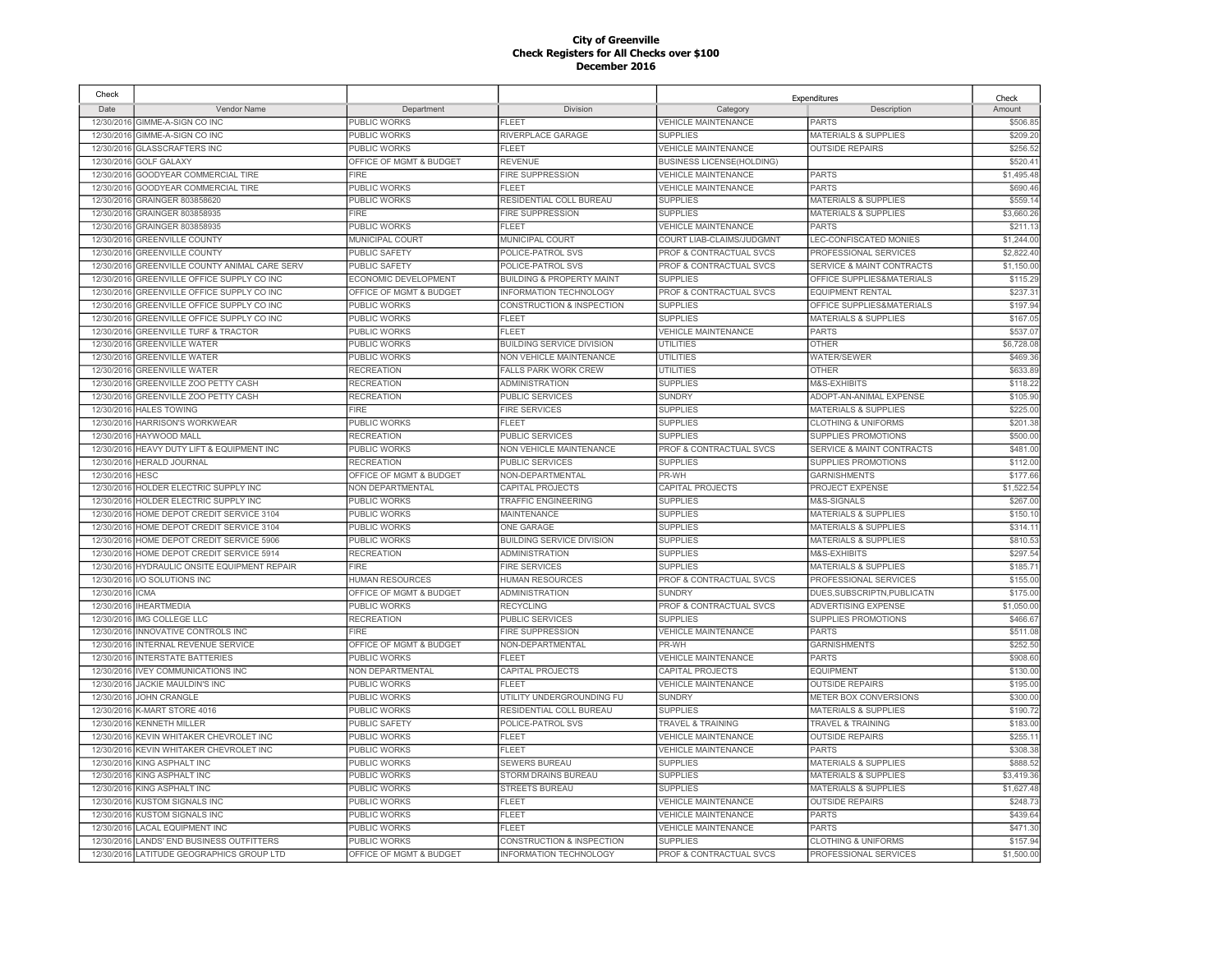| Check      |                                           |                         |                                      |                                  | Expenditures                         | Check      |
|------------|-------------------------------------------|-------------------------|--------------------------------------|----------------------------------|--------------------------------------|------------|
| Date       | Vendor Name                               | Department              | Division                             | Category                         | Description                          | Amount     |
| 12/30/2016 | GIMME-A-SIGN CO INC                       | PUBLIC WORKS            | <b>FLEET</b>                         | <b>VEHICLE MAINTENANCE</b>       | <b>PARTS</b>                         | \$506.85   |
| 12/30/2016 | GIMME-A-SIGN CO INC                       | PUBLIC WORKS            | RIVERPLACE GARAGE                    | <b>SUPPLIES</b>                  | <b>MATERIALS &amp; SUPPLIES</b>      | \$209.20   |
| 12/30/2016 | <b>GLASSCRAFTERS INC</b>                  | PUBLIC WORKS            | <b>FLEET</b>                         | <b>VEHICLE MAINTENANCE</b>       | <b>OUTSIDE REPAIRS</b>               | \$256.52   |
| 12/30/2016 | <b>GOLF GALAXY</b>                        | OFFICE OF MGMT & BUDGET | <b>REVENUE</b>                       | <b>BUSINESS LICENSE(HOLDING)</b> |                                      | \$520.4'   |
| 12/30/2016 | GOODYEAR COMMERCIAL TIRE                  | <b>FIRE</b>             | FIRE SUPPRESSION                     | VEHICLE MAINTENANCE              | <b>PARTS</b>                         | \$1,495.48 |
|            | 12/30/2016 GOODYEAR COMMERCIAL TIRE       | PUBLIC WORKS            | <b>FLEET</b>                         | <b>VEHICLE MAINTENANCE</b>       | <b>PARTS</b>                         | \$690.46   |
| 12/30/2016 | GRAINGER 803858620                        | PUBLIC WORKS            | RESIDENTIAL COLL BUREAU              | <b>SUPPLIES</b>                  | <b>MATERIALS &amp; SUPPLIES</b>      | \$559.1    |
| 12/30/2016 | GRAINGER 803858935                        | <b>FIRE</b>             | <b>FIRE SUPPRESSION</b>              | <b>SUPPLIES</b>                  | <b>MATERIALS &amp; SUPPLIES</b>      | \$3,660.26 |
| 12/30/2016 | GRAINGER 803858935                        | PUBLIC WORKS            | <b>FLEET</b>                         | <b>VEHICLE MAINTENANCE</b>       | <b>PARTS</b>                         | \$211.1    |
| 12/30/2016 | <b>GREENVILLE COUNTY</b>                  | MUNICIPAL COURT         | MUNICIPAL COURT                      | COURT LIAB-CLAIMS/JUDGMNT        | LEC-CONFISCATED MONIES               | \$1,244.00 |
| 12/30/2016 | <b>GREENVILLE COUNTY</b>                  | PUBLIC SAFETY           | POLICE-PATROL SVS                    | PROF & CONTRACTUAL SVCS          | PROFESSIONAL SERVICES                | \$2,822.40 |
| 12/30/2016 | GREENVILLE COUNTY ANIMAL CARE SERV        | PUBLIC SAFETY           | POLICE-PATROL SVS                    | PROF & CONTRACTUAL SVCS          | <b>SERVICE &amp; MAINT CONTRACTS</b> | \$1,150.00 |
| 12/30/2016 | GREENVILLE OFFICE SUPPLY CO INC           | ECONOMIC DEVELOPMENT    | <b>BUILDING &amp; PROPERTY MAINT</b> | <b>SUPPLIES</b>                  | OFFICE SUPPLIES&MATERIALS            | \$115.2    |
| 12/30/2016 | GREENVILLE OFFICE SUPPLY CO INC           | OFFICE OF MGMT & BUDGET | <b>INFORMATION TECHNOLOGY</b>        | PROF & CONTRACTUAL SVCS          | <b>EQUIPMENT RENTAL</b>              | \$237.3    |
| 12/30/2016 | GREENVILLE OFFICE SUPPLY CO INC           | PUBLIC WORKS            | CONSTRUCTION & INSPECTION            | <b>SUPPLIES</b>                  | OFFICE SUPPLIES&MATERIALS            | \$197.94   |
| 12/30/2016 | GREENVILLE OFFICE SUPPLY CO INC           | PUBLIC WORKS            | <b>FLEET</b>                         | <b>SUPPLIES</b>                  | <b>MATERIALS &amp; SUPPLIES</b>      | \$167.05   |
| 12/30/2016 | <b>GREENVILLE TURF &amp; TRACTOR</b>      | <b>PUBLIC WORKS</b>     | FL FFT                               | VEHICLE MAINTENANCE              | <b>PARTS</b>                         | \$537.0    |
| 12/30/2016 | <b>GREENVILLE WATER</b>                   | PUBLIC WORKS            | <b>BUILDING SERVICE DIVISION</b>     | UTILITIES                        | <b>OTHER</b>                         | \$6,728.08 |
| 12/30/2016 | <b>GREENVILLE WATER</b>                   | PUBLIC WORKS            | <b>NON VEHICLE MAINTENANCE</b>       | UTILITIES                        | <b>WATER/SEWER</b>                   | \$469.36   |
| 12/30/2016 | <b>GREENVILLE WATER</b>                   | <b>RECREATION</b>       | <b>FALLS PARK WORK CREW</b>          | <b>UTILITIES</b>                 | <b>OTHER</b>                         | \$633.89   |
| 12/30/2016 | GREENVILLE ZOO PETTY CASH                 | <b>RECREATION</b>       | <b>ADMINISTRATION</b>                | <b>SUPPLIES</b>                  | M&S-EXHIBITS                         | \$118.22   |
| 12/30/2016 | GREENVILLE ZOO PETTY CASH                 | <b>RECREATION</b>       | <b>PUBLIC SERVICES</b>               | <b>SUNDRY</b>                    | ADOPT-AN-ANIMAL EXPENSE              | \$105.90   |
| 12/30/2016 | <b>HALES TOWING</b>                       | <b>FIRE</b>             | <b>FIRE SERVICES</b>                 | <b>SUPPLIES</b>                  | <b>MATERIALS &amp; SUPPLIES</b>      | \$225.00   |
| 12/30/2016 | <b>HARRISON'S WORKWEAR</b>                | PUBLIC WORKS            | <b>FLEET</b>                         | <b>SUPPLIES</b>                  | <b>CLOTHING &amp; UNIFORMS</b>       | \$201.38   |
| 12/30/2016 | HAYWOOD MALL                              | <b>RECREATION</b>       | <b>PUBLIC SERVICES</b>               | <b>SUPPLIES</b>                  | <b>SUPPLIES PROMOTIONS</b>           | \$500.00   |
| 12/30/2016 | HEAVY DUTY LIFT & EQUIPMENT INC           | PUBLIC WORKS            | NON VEHICLE MAINTENANCE              | PROF & CONTRACTUAL SVCS          | SERVICE & MAINT CONTRACTS            | \$481.00   |
| 12/30/2016 | <b>HERALD JOURNAL</b>                     | <b>RECREATION</b>       | PUBLIC SERVICES                      | <b>SUPPLIES</b>                  | SUPPLIES PROMOTIONS                  | \$112.00   |
| 12/30/2016 | <b>HESC</b>                               | OFFICE OF MGMT & BUDGET | NON-DEPARTMENTAL                     | PR-WH                            | <b>GARNISHMENTS</b>                  | \$177.66   |
| 12/30/2016 | HOLDER ELECTRIC SUPPLY INC                | NON DEPARTMENTAL        | CAPITAL PROJECTS                     | CAPITAL PROJECTS                 | PROJECT EXPENSE                      | \$1,522.54 |
| 12/30/2016 | HOLDER ELECTRIC SUPPLY INC                | PUBLIC WORKS            | <b>TRAFFIC ENGINEERING</b>           | <b>SUPPLIES</b>                  | M&S-SIGNALS                          | \$267.00   |
| 12/30/2016 | HOME DEPOT CREDIT SERVICE 3104            | PUBLIC WORKS            | <b>MAINTENANCE</b>                   | <b>SUPPLIES</b>                  | <b>MATERIALS &amp; SUPPLIES</b>      | \$150.10   |
| 12/30/2016 | HOME DEPOT CREDIT SERVICE 3104            | PUBLIC WORKS            | <b>ONE GARAGE</b>                    | <b>SUPPLIES</b>                  | <b>MATERIALS &amp; SUPPLIES</b>      | \$314.1    |
|            | 12/30/2016 HOME DEPOT CREDIT SERVICE 5906 | PUBLIC WORKS            | <b>BUILDING SERVICE DIVISION</b>     | <b>SUPPLIES</b>                  | <b>MATERIALS &amp; SUPPLIES</b>      | \$810.53   |
| 12/30/2016 | HOME DEPOT CREDIT SERVICE 5914            | <b>RECREATION</b>       | <b>ADMINISTRATION</b>                | <b>SUPPLIES</b>                  | M&S-EXHIBITS                         | \$297.54   |
| 12/30/2016 | HYDRAULIC ONSITE EQUIPMENT REPAIR         | FIRE                    | <b>FIRE SERVICES</b>                 | <b>SUPPLIES</b>                  | <b>MATERIALS &amp; SUPPLIES</b>      | \$185.7'   |
| 12/30/2016 | I/O SOLUTIONS INC                         | <b>HUMAN RESOURCES</b>  | <b>HUMAN RESOURCES</b>               | PROF & CONTRACTUAL SVCS          | PROFESSIONAL SERVICES                | \$155.00   |
| 12/30/2016 | <b>ICMA</b>                               | OFFICE OF MGMT & BUDGET | <b>ADMINISTRATION</b>                | <b>SUNDRY</b>                    | DUES, SUBSCRIPTN, PUBLICATN          | \$175.00   |
| 12/30/2016 | <b>IHEARTMEDIA</b>                        | PUBLIC WORKS            | <b>RECYCLING</b>                     | PROF & CONTRACTUAL SVCS          | ADVERTISING EXPENSE                  | \$1,050.00 |
| 12/30/2016 | IMG COLLEGE LLC                           | <b>RECREATION</b>       | <b>PUBLIC SERVICES</b>               | <b>SUPPLIES</b>                  | SUPPLIES PROMOTIONS                  | \$466.67   |
| 12/30/2016 | INNOVATIVE CONTROLS INC                   | <b>FIRE</b>             | <b>FIRE SUPPRESSION</b>              | <b>VEHICLE MAINTENANCE</b>       | <b>PARTS</b>                         | \$511.08   |
| 12/30/2016 | <b>INTERNAL REVENUE SERVICE</b>           | OFFICE OF MGMT & BUDGET | NON-DEPARTMENTAL                     | PR-WH                            | <b>GARNISHMENTS</b>                  | \$252.50   |
| 12/30/2016 | <b>NTERSTATE BATTERIES</b>                | PUBLIC WORKS            | FLEET                                | VEHICLE MAINTENANCE              | <b>PARTS</b>                         | \$908.60   |
| 12/30/2016 | <b>IVEY COMMUNICATIONS INC</b>            | NON DEPARTMENTAL        | <b>CAPITAL PROJECTS</b>              | CAPITAL PROJECTS                 | <b>EQUIPMENT</b>                     | \$130.00   |
| 12/30/2016 | <b>JACKIE MAULDIN'S INC</b>               | PUBLIC WORKS            | FL F.FT                              | <b>VEHICLE MAINTENANCE</b>       | <b>OUTSIDE REPAIRS</b>               | \$195.00   |
| 12/30/2016 | <b>JOHN CRANGLE</b>                       | PUBLIC WORKS            | UTILITY UNDERGROUNDING FU            | <b>SUNDRY</b>                    | METER BOX CONVERSIONS                | \$300.00   |
| 12/30/2016 | K-MART STORE 4016                         | PUBLIC WORKS            | RESIDENTIAL COLL BUREAU              | <b>SUPPLIES</b>                  | <b>MATERIALS &amp; SUPPLIES</b>      | \$190.72   |
| 12/30/2016 | <b>KENNETH MILLER</b>                     | <b>PUBLIC SAFETY</b>    | POLICE-PATROL SVS                    | <b>TRAVEL &amp; TRAINING</b>     | <b>TRAVEL &amp; TRAINING</b>         | \$183.00   |
| 12/30/2016 | KEVIN WHITAKER CHEVROLET INC              | PUBLIC WORKS            | <b>FLEET</b>                         | <b>VEHICLE MAINTENANCE</b>       | <b>OUTSIDE REPAIRS</b>               | \$255.1    |
| 12/30/2016 | KEVIN WHITAKER CHEVROLET INC              | PUBLIC WORKS            | <b>FLEET</b>                         | <b>VEHICLE MAINTENANCE</b>       | <b>PARTS</b>                         | \$308.38   |
| 12/30/2016 | KING ASPHALT INC                          | PUBLIC WORKS            | <b>SEWERS BUREAU</b>                 | <b>SUPPLIES</b>                  | <b>MATERIALS &amp; SUPPLIES</b>      | \$888.52   |
| 12/30/2016 | <b>KING ASPHALT INC</b>                   | PUBLIC WORKS            | STORM DRAINS BUREAU                  | <b>SUPPLIES</b>                  | <b>MATERIALS &amp; SUPPLIES</b>      | \$3,419.36 |
| 12/30/2016 | KING ASPHALT INC                          | PUBLIC WORKS            | STREETS BUREAU                       | <b>SUPPLIES</b>                  | <b>MATERIALS &amp; SUPPLIES</b>      | \$1,627.48 |
| 12/30/2016 | <b>KUSTOM SIGNALS INC</b>                 | PUBLIC WORKS            | <b>FLEET</b>                         | <b>VEHICLE MAINTENANCE</b>       | <b>OUTSIDE REPAIRS</b>               | \$248.7    |
| 12/30/2016 | KUSTOM SIGNALS INC                        | PUBLIC WORKS            | <b>FLEET</b>                         | <b>VEHICLE MAINTENANCE</b>       | <b>PARTS</b>                         | \$439.64   |
| 12/30/2016 | <b>LACAL EQUIPMENT INC</b>                | PUBLIC WORKS            | <b>FLEET</b>                         | <b>VEHICLE MAINTENANCE</b>       | <b>PARTS</b>                         | \$471.30   |
| 12/30/2016 | LANDS' END BUSINESS OUTFITTERS            | PUBLIC WORKS            | CONSTRUCTION & INSPECTION            | <b>SUPPLIES</b>                  | <b>CLOTHING &amp; UNIFORMS</b>       | \$157.94   |
|            | 12/30/2016 LATITUDE GEOGRAPHICS GROUP LTD | OFFICE OF MGMT & BUDGET | <b>INFORMATION TECHNOLOGY</b>        | PROF & CONTRACTUAL SVCS          | PROFESSIONAL SERVICES                | \$1,500.00 |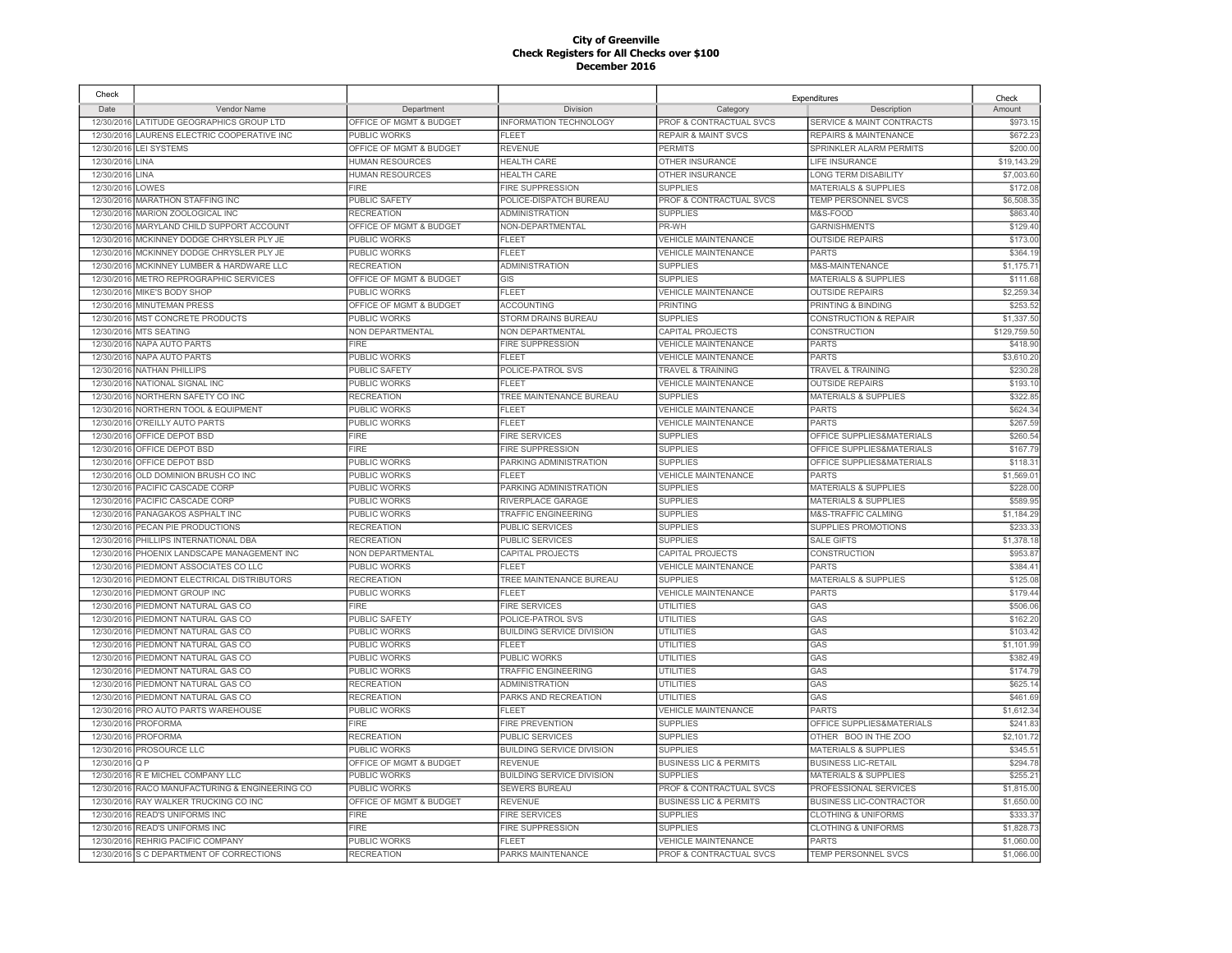| Check      |                                           |                         |                                  |                                    | Expenditures                     | Check        |
|------------|-------------------------------------------|-------------------------|----------------------------------|------------------------------------|----------------------------------|--------------|
| Date       | <b>Vendor Name</b>                        | Department              | Division                         | Category                           | Description                      | Amount       |
|            | 12/30/2016 LATITUDE GEOGRAPHICS GROUP LTD | OFFICE OF MGMT & BUDGET | INFORMATION TECHNOLOGY           | PROF & CONTRACTUAL SVCS            | SERVICE & MAINT CONTRACTS        | \$973.15     |
| 12/30/2016 | LAURENS ELECTRIC COOPERATIVE INC          | PUBLIC WORKS            | FI FFT                           | <b>REPAIR &amp; MAINT SVCS</b>     | <b>REPAIRS &amp; MAINTENANCE</b> | \$672.23     |
| 12/30/2016 | <b>LEI SYSTEMS</b>                        | OFFICE OF MGMT & BUDGET | <b>REVENUE</b>                   | <b>PERMITS</b>                     | SPRINKLER ALARM PERMITS          | \$200.00     |
| 12/30/2016 | LINA                                      | <b>HUMAN RESOURCES</b>  | <b>HEALTH CARE</b>               | OTHER INSURANCE                    | <b>LIFE INSURANCE</b>            | \$19,143.29  |
| 12/30/2016 | LINA                                      | <b>HUMAN RESOURCES</b>  | <b>HEALTH CARE</b>               | OTHER INSURANCE                    | LONG TERM DISABILITY             | \$7,003.60   |
| 12/30/2016 | LOWES                                     | <b>FIRE</b>             | FIRE SUPPRESSION                 | <b>SUPPLIES</b>                    | <b>MATERIALS &amp; SUPPLIES</b>  | \$172.08     |
| 12/30/2016 | MARATHON STAFFING INC                     | <b>PUBLIC SAFETY</b>    | POLICE-DISPATCH BUREAU           | PROF & CONTRACTUAL SVCS            | TEMP PERSONNEL SVCS              | \$6,508.35   |
| 12/30/2016 | MARION ZOOLOGICAL INC                     | <b>RECREATION</b>       | <b>ADMINISTRATION</b>            | <b>SUPPLIES</b>                    | M&S-FOOD                         | \$863.40     |
| 12/30/2016 | MARYLAND CHILD SUPPORT ACCOUNT            | OFFICE OF MGMT & BUDGET | NON-DEPARTMENTAL                 | PR-WH                              | <b>GARNISHMENTS</b>              | \$129.40     |
| 12/30/2016 | MCKINNEY DODGE CHRYSLER PLY JE            | PUBLIC WORKS            | FLEET                            | <b>VEHICLE MAINTENANCE</b>         | <b>OUTSIDE REPAIRS</b>           | \$173.00     |
| 12/30/2016 | MCKINNEY DODGE CHRYSLER PLY JE            | PUBLIC WORKS            | <b>FLEET</b>                     | <b>VEHICLE MAINTENANCE</b>         | <b>PARTS</b>                     | \$364.1      |
| 12/30/2016 | MCKINNEY LUMBER & HARDWARE LLC            | <b>RECREATION</b>       | <b>ADMINISTRATION</b>            | <b>SUPPLIES</b>                    | M&S-MAINTENANCE                  | \$1,175.7    |
| 12/30/2016 | METRO REPROGRAPHIC SERVICES               | OFFICE OF MGMT & BUDGET | GIS                              | <b>SUPPLIES</b>                    | <b>MATERIALS &amp; SUPPLIES</b>  | \$111.68     |
| 12/30/2016 | MIKE'S BODY SHOP                          | PUBLIC WORKS            | FLEET                            | <b>VEHICLE MAINTENANCE</b>         | <b>OUTSIDE REPAIRS</b>           | \$2,259.3    |
| 12/30/2016 | MINUTEMAN PRESS                           | OFFICE OF MGMT & BUDGET | <b>ACCOUNTING</b>                | <b>PRINTING</b>                    | PRINTING & BINDING               | \$253.5      |
| 12/30/2016 | <b>MST CONCRETE PRODUCTS</b>              | PUBLIC WORKS            | <b>STORM DRAINS BUREAU</b>       | <b>SUPPLIES</b>                    | <b>CONSTRUCTION &amp; REPAIR</b> | \$1,337.50   |
| 12/30/2016 | <b>MTS SEATING</b>                        | NON DEPARTMENTAL        | NON DEPARTMENTAL                 | CAPITAL PROJECTS                   | <b>CONSTRUCTION</b>              | \$129,759.50 |
| 12/30/2016 | <b>NAPA AUTO PARTS</b>                    | <b>FIRE</b>             | <b>FIRE SUPPRESSION</b>          | <b>VEHICLE MAINTENANCE</b>         | <b>PARTS</b>                     | \$418.90     |
| 12/30/2016 | <b>NAPA AUTO PARTS</b>                    | <b>PUBLIC WORKS</b>     | <b>FLEET</b>                     | <b>VEHICLE MAINTENANCE</b>         | <b>PARTS</b>                     | \$3,610.20   |
| 12/30/2016 | <b>NATHAN PHILLIPS</b>                    | <b>PUBLIC SAFETY</b>    | POLICE-PATROL SVS                | <b>TRAVEL &amp; TRAINING</b>       | <b>TRAVEL &amp; TRAINING</b>     | \$230.28     |
| 12/30/2016 | <b>NATIONAL SIGNAL INC</b>                | <b>PUBLIC WORKS</b>     | FLEET                            | <b>VEHICLE MAINTENANCE</b>         | <b>OUTSIDE REPAIRS</b>           | \$193.1      |
| 12/30/2016 | NORTHERN SAFETY CO INC                    | <b>RECREATION</b>       | TREE MAINTENANCE BUREAU          | <b>SUPPLIES</b>                    | <b>MATERIALS &amp; SUPPLIES</b>  | \$322.85     |
| 12/30/2016 | NORTHERN TOOL & EQUIPMENT                 | <b>PUBLIC WORKS</b>     | <b>FLEET</b>                     | <b>VEHICLE MAINTENANCE</b>         | <b>PARTS</b>                     | \$624.34     |
| 12/30/2016 | O'REILLY AUTO PARTS                       | <b>PUBLIC WORKS</b>     | FLEET                            | <b>VEHICLE MAINTENANCE</b>         | <b>PARTS</b>                     | \$267.59     |
| 12/30/2016 | OFFICE DEPOT BSD                          | FIRE                    | <b>FIRE SERVICES</b>             | <b>SUPPLIES</b>                    | OFFICE SUPPLIES&MATERIALS        | \$260.54     |
| 12/30/2016 | OFFICE DEPOT BSD                          | <b>FIRE</b>             | <b>FIRE SUPPRESSION</b>          | <b>SUPPLIES</b>                    | OFFICE SUPPLIES&MATERIALS        | \$167.79     |
| 12/30/2016 | OFFICE DEPOT BSD                          | <b>PUBLIC WORKS</b>     | PARKING ADMINISTRATION           | <b>SUPPLIES</b>                    | OFFICE SUPPLIES&MATERIALS        | \$118.3'     |
| 12/30/2016 | OLD DOMINION BRUSH CO INC                 | PUBLIC WORKS            | <b>FLEET</b>                     | VEHICLE MAINTENANCE                | <b>PARTS</b>                     | \$1,569.0    |
| 12/30/2016 | PACIFIC CASCADE CORP                      | PUBLIC WORKS            | PARKING ADMINISTRATION           | <b>SUPPLIES</b>                    | MATERIALS & SUPPLIES             | \$228.00     |
| 12/30/2016 | PACIFIC CASCADE CORP                      | <b>PUBLIC WORKS</b>     | RIVERPLACE GARAGE                | <b>SUPPLIES</b>                    | <b>MATERIALS &amp; SUPPLIES</b>  | \$589.95     |
| 12/30/2016 | PANAGAKOS ASPHALT INC                     | PUBLIC WORKS            | <b>TRAFFIC ENGINEERING</b>       | <b>SUPPLIES</b>                    | M&S-TRAFFIC CALMING              | \$1,184.29   |
| 12/30/2016 | PECAN PIE PRODUCTIONS                     | <b>RECREATION</b>       | PUBLIC SERVICES                  | <b>SUPPLIES</b>                    | SUPPLIES PROMOTIONS              | \$233.33     |
| 12/30/2016 | PHILLIPS INTERNATIONAL DBA                | <b>RECREATION</b>       | <b>PUBLIC SERVICES</b>           | <b>SUPPLIES</b>                    | <b>SALE GIFTS</b>                | \$1,378.1    |
| 12/30/2016 | PHOENIX LANDSCAPE MANAGEMENT INC          | NON DEPARTMENTAL        | CAPITAL PROJECTS                 | CAPITAL PROJECTS                   | CONSTRUCTION                     | \$953.87     |
| 12/30/2016 | PIEDMONT ASSOCIATES CO LLC                | <b>PUBLIC WORKS</b>     | FLEET                            | VEHICLE MAINTENANCE                | <b>PARTS</b>                     | \$384.4      |
| 12/30/2016 | PIEDMONT ELECTRICAL DISTRIBUTORS          | <b>RECREATION</b>       | TREE MAINTENANCE BUREAU          | <b>SUPPLIES</b>                    | <b>MATERIALS &amp; SUPPLIES</b>  | \$125.08     |
| 12/30/2016 | PIEDMONT GROUP INC                        | PUBLIC WORKS            | FLEET                            | VEHICLE MAINTENANCE                | <b>PARTS</b>                     | \$179.44     |
| 12/30/2016 | PIEDMONT NATURAL GAS CO                   | <b>FIRE</b>             | <b>FIRE SERVICES</b>             | <b>UTILITIES</b>                   | GAS                              | \$506.06     |
| 12/30/2016 | PIEDMONT NATURAL GAS CO                   | <b>PUBLIC SAFETY</b>    | POLICE-PATROL SVS                | <b>UTILITIES</b>                   | GAS                              | \$162.20     |
| 12/30/2016 | PIEDMONT NATURAL GAS CO                   | <b>PUBLIC WORKS</b>     | <b>BUILDING SERVICE DIVISION</b> | <b>UTILITIES</b>                   | GAS                              | \$103.4      |
| 12/30/2016 | PIEDMONT NATURAL GAS CO                   | <b>PUBLIC WORKS</b>     | <b>FLEET</b>                     | UTILITIES                          | GAS                              | \$1,101.99   |
| 12/30/2016 | PIEDMONT NATURAL GAS CO                   | <b>PUBLIC WORKS</b>     | PUBLIC WORKS                     | <b>UTILITIES</b>                   | GAS                              | \$382.49     |
| 12/30/2016 | PIEDMONT NATURAL GAS CO                   | PUBLIC WORKS            | <b>TRAFFIC ENGINEERING</b>       | <b>UTILITIES</b>                   | GAS                              | \$174.79     |
| 12/30/2016 | PIEDMONT NATURAL GAS CO                   | <b>RECREATION</b>       | <b>ADMINISTRATION</b>            | <b>UTILITIES</b>                   | GAS                              | \$625.1      |
| 12/30/2016 | PIEDMONT NATURAL GAS CO                   | <b>RECREATION</b>       | PARKS AND RECREATION             | <b>UTILITIES</b>                   | GAS                              | \$461.69     |
| 12/30/2016 | PRO AUTO PARTS WAREHOUSE                  | <b>PUBLIC WORKS</b>     | <b>FLEET</b>                     | <b>VEHICLE MAINTENANCE</b>         | <b>PARTS</b>                     | \$1,612.34   |
| 12/30/2016 | <b>PROFORMA</b>                           | <b>FIRE</b>             | <b>FIRE PREVENTION</b>           | <b>SUPPLIES</b>                    | OFFICE SUPPLIES&MATERIALS        | \$241.83     |
| 12/30/2016 | <b>PROFORMA</b>                           | <b>RECREATION</b>       | <b>PUBLIC SERVICES</b>           | <b>SUPPLIES</b>                    | OTHER BOO IN THE ZOO             | \$2,101.72   |
| 12/30/2016 | PROSOURCE LLC                             | PUBLIC WORKS            | <b>BUILDING SERVICE DIVISION</b> | <b>SUPPLIES</b>                    | <b>MATERIALS &amp; SUPPLIES</b>  | \$345.5'     |
| 12/30/2016 | O <sub>P</sub>                            | OFFICE OF MGMT & BUDGET | <b>REVENUE</b>                   | <b>BUSINESS LIC &amp; PERMITS</b>  | <b>BUSINESS LIC-RETAIL</b>       | \$294.78     |
| 12/30/2016 | R E MICHEL COMPANY LLC                    | <b>PUBLIC WORKS</b>     | <b>BUILDING SERVICE DIVISION</b> | <b>SUPPLIES</b>                    | <b>MATERIALS &amp; SUPPLIES</b>  | \$255.2'     |
| 12/30/2016 | RACO MANUFACTURING & ENGINEERING CO       | <b>PUBLIC WORKS</b>     | <b>SEWERS BUREAU</b>             | <b>PROF &amp; CONTRACTUAL SVCS</b> | PROFESSIONAL SERVICES            | \$1,815.00   |
| 12/30/2016 | RAY WALKER TRUCKING CO INC                | OFFICE OF MGMT & BUDGET | <b>REVENUE</b>                   | <b>BUSINESS LIC &amp; PERMITS</b>  | <b>BUSINESS LIC-CONTRACTOR</b>   | \$1,650.00   |
| 12/30/2016 | READ'S UNIFORMS INC                       | <b>FIRE</b>             | <b>FIRE SERVICES</b>             | <b>SUPPLIES</b>                    | <b>CLOTHING &amp; UNIFORMS</b>   | \$333.37     |
| 12/30/2016 | READ'S UNIFORMS INC                       | <b>FIRE</b>             | <b>FIRE SUPPRESSION</b>          | <b>SUPPLIES</b>                    | <b>CLOTHING &amp; UNIFORMS</b>   | \$1,828.73   |
| 12/30/2016 | REHRIG PACIFIC COMPANY                    | <b>PUBLIC WORKS</b>     | FI FFT                           | <b>VEHICLE MAINTENANCE</b>         | <b>PARTS</b>                     | \$1,060.00   |
| 12/30/2016 | S C DEPARTMENT OF CORRECTIONS             | <b>RECREATION</b>       | PARKS MAINTENANCE                | PROF & CONTRACTUAL SVCS            | TEMP PERSONNEL SVCS              | \$1,066.00   |
|            |                                           |                         |                                  |                                    |                                  |              |